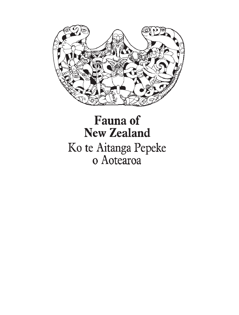

# Fauna of **New Zealand** Ko te Aitanga Pepeke o Aotearoa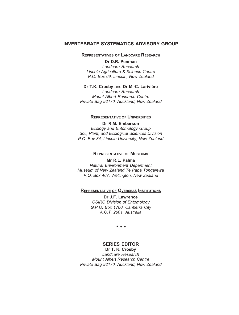#### **INVERTEBRATE SYSTEMATICS ADVISORY GROUP**

#### **REPRESENTATIVES OF LANDCARE RESEARCH**

**Dr D.R. Penman** *Landcare Research Lincoln Agriculture & Science Centre P.O. Box 69, Lincoln, New Zealand*

#### **Dr T.K. Crosby** and **Dr M.-C. Larivière**

*Landcare Research Mount Albert Research Centre Private Bag 92170, Auckland, New Zealand*

#### **REPRESENTATIVE OF UNIVERSITIES**

**Dr R.M. Emberson** *Ecology and Entomology Group Soil, Plant, and Ecological Sciences Division P.O. Box 84, Lincoln University, New Zealand*

#### **REPRESENTATIVE OF MUSEUMS**

**Mr R.L. Palma** *Natural Environment Department Museum of New Zealand Te Papa Tongarewa*

*P.O. Box 467, Wellington, New Zealand*

#### **REPRESENTATIVE OF OVERSEAS INSTITUTIONS**

**Dr J.F. Lawrence** *CSIRO Division of Entomology G.P.O. Box 1700, Canberra City A.C.T. 2601, Australia*

*\* \* \**

#### **SERIES EDITOR**

**Dr T. K. Crosby** *Landcare Research Mount Albert Research Centre*

*Private Bag 92170, Auckland, New Zealand*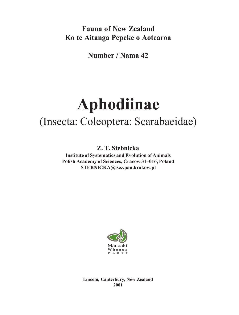**Fauna of New Zealand Ko te Aitanga Pepeke o Aotearoa**

**Number / Nama 42**

# **Aphodiinae** (Insecta: Coleoptera: Scarabaeidae)

**Z. T. Stebnicka**

**Institute of Systematics and Evolution of Animals Polish Academy of Sciences, Cracow 31–016, Poland STEBNICKA@isez.pan.krakow.pl**



**Lincoln, Canterbury, New Zealand 2001**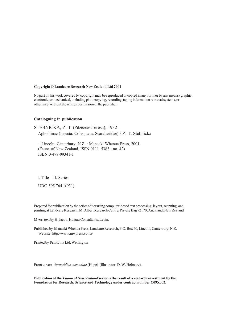#### **Copyright © Landcare Research New Zealand Ltd 2001**

No part of this work covered by copyright may be reproduced or copied in any form or by any means (graphic, electronic, or mechanical, including photocopying, recording, taping information retrieval systems, or otherwise) without the written permission of the publisher.

#### **Cataloguing in publication**

STEBNICKA, Z. T. (Zdzis»awaTeresa), 1932– Aphodiinae (Insecta: Coleoptera: Scarabaeidae) / Z. T. Stebnicka

– Lincoln, Canterbury, N.Z. : Manaaki Whenua Press, 2001. (Fauna of New Zealand, ISSN 0111–5383 ; no. 42). ISBN 0-478-09341-1

I. Title II. Series

UDC 595.764.1(931)

Prepared for publication by the series editor using computer-based text processing, layout, scanning, and printing at Landcare Research, Mt Albert Research Centre, Private Bag 92170, Auckland, New Zealand

M~ori text by H. Jacob, Huatau Consultants, Levin.

Published by Manaaki Whenua Press, Landcare Research, P.O. Box 40, Lincoln, Canterbury, N.Z. Website: http://www.mwpress.co.nz/

Printed by PrintLink Ltd, Wellington

Front cover: *Acrossidius tasmaniae* (Hope) (Illustrator: D. W. Helmore).

**Publication of the** *Fauna of New Zealand* **series is the result of a research investment by the Foundation for Research, Science and Technology under contract number C09X002.**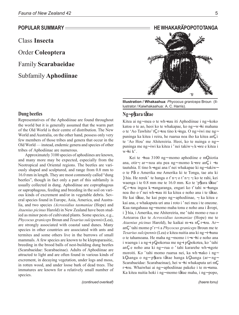Class **Insecta**

Order **Coleoptera** Family **Scarabaeidae** Subfamily **Aphodiinae**

# **POPULAR SUMMARY HE WHAKARAPOPOTOTANGA** 悕

**Illustration / Whakaahua**: *Phycocus graniceps* Broun (Illustrator / Kaiwhakaahua: A. C. Harris).

#### **Dung beetles Ng**~ **p**§**tara t**ã**tae**

Kitea ai ng~ mea o te wh~nau iti Aphodiinae i ng~ koko katoa o te ao, heoi ko te whakapae, ko ng~ w~hi mahana o te 'Ao Tawhito' tÇ r~tou tino k~inga. O ng~ iwi me ng~ puninga ka kitea i reira, he ruarua noa iho ka kitea an**C**i te 'Ao Hou' me Ahitereiria. Heoi, ko te nuinga o ng~ puninga me ng~ iwi ka kitea i 'nei takiw~, k~ore e kitea i w~hi k'.

Kei te ~hua 3100 ng~ momo aphodiine e mChiotia ana, otir $\sim$ , ar $\sim$  noa atu pea ng $\sim$  momo k $\sim$ ore an $\mathbb{C}$ i  $\sim$ ta tautuhia. E tino h~ngai ana t<sup>6</sup>nei whakapae ki ng~ takiw~ o te Pã o Amerika me Amerika ki te Tonga, tae atu ki I hia. He rerek<sup> $\epsilon$ </sup> te hanga o t<sup> $\epsilon$ </sup>n $\sim$ , o t<sup> $\epsilon$ </sup>n $\sim$ ,  $\sim$ , ko te rahi, kei waenga i te 0.8 mm me te 16.0 mm. Ko te 'p§ara tãtae' tÇr~tou ingoa k~rangaranga, engari ko t<sup>o</sup> tahi w~hanga noa iho o t<sup>o</sup>nei wh~nau iti ka kitea e noho ana i te t**ã**tae. He kai tã ta e, he kai popo ng ~ aphodiinae, ~, ka kitea e kai ana, e whakaputa uri ana i roto i *'*nei mea i te oneone. Kua rangahaua ng~momo maha tonu e noho ana i âropi, i }hia, i Amerika, me Ahitereiria, me 'tahi momo e rua o Aotearoa (ko te *Acrossidius tasmaniae* (Hope) me te *Ataenius picinus* Harold), he kaikai m~ra n**Ç**r~tou. Ar~ anÇ 'tahi momo p'r~ i a *Phycocus graniceps* Broun me te *Tesarius sulcipennis* (Lea) e kitea nuitia ana ki ng~ t~huna o te tahamoana. He maha ng~ momo i t~w~hi e noho ana i waenga i a ng~i p $\mathbf{\mathbb{Q}}$ okorua me ng~i p $\mathbf{\mathbb{Q}}$ okotea, ko 'tahi an**Ç**e noho ana ki ng~ rua o 'tahi kararehe wh~ngote moroiti. Ko 'tahi momo ruarua nei, ka wh~nako i ng~ kÇhanga o ng~ p§ara tãtae hanga kÇhanga (ar~ ng~ Scarabaeidae: Scarabaeinae), hei w~hi whakaputa uri m**C** r~tou. Whaiwhai ai ng~ aphodiinae pakeke i te m~rama. Ka kitea nuitia hoki i ng~momo tãtae maha, i ng~popo,

Representatives of the Aphodiinae are found throughout the world but it is generally assumed that the warm part of the Old World is their centre of distribution. The New World and Australia, on the other hand, possess only very few members of those tribes and genera that occur in the Old World — instead, endemic genera and species of other tribes of Aphodiinae are numerous.

Approximately 3100 species of aphodiines are known, and many more may be expected, especially from the Neotropical and Oriental regions. The beetles are variously shaped and sculptured, and range from 0.8 mm to 16.0 mm in length. They are most commonly called "dung beetles", though in fact only a part of this subfamily is usually collected in dung. Aphodiinae are coprophagous or saprophagous, feeding and breeding in the soil on various kinds of excrement and/or in vegetable debris. Several species found in Europe, Asia, America, and Australia, and two species *(Acrossidius tasmaniae* (Hope) and *Ataenius picinus* Harold) in New Zealand have been studied as minor pests of cultivated plants. Some species, e.g., *Phycocus graniceps* Broun and *Tesarius sulcipennis* (Lea), are strongly associated with coastal sand dunes. Many species in other countries are associated with ants and termites and some others live in the burrows of small mammals. A few species are known to be kleptoparasitic, breeding in the brood balls of nest-building dung beetles (Scarabaeidae: Scarabaeinae). Adults of Aphodiinae are attracted to light and are often found in various kinds of excrement, in decaying vegetation, under logs and moss, in rotten wood, and under loose bark of dead trees. The immatures are known for a relatively small number of species.

*(continued overleaf) (haere tonu)*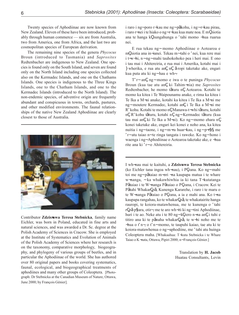Twenty species of Aphodiinae are now known from New Zealand. Eleven of these have been introduced, probably through human commerce — six are from Australia, two from America, one from Africa, and the last two are cosmopolitan species of European derivation.

The remaining nine species of the genera *Phycocus* Broun (introduced to Tasmania) and *Saprosites* Redtenbacher are indigenous to New Zealand. One species is found only on the South Island, and seven are found only on the North Island including one species collected also on the Kermadec Islands, and one on the Chathams Islands. One species is indigenous to the Three Kings Islands, one to the Chatham Islands, and one to the Kermadec Islands (introduced to the North Island). The non-endemic species, of adventive origin are frequently abundant and conspicuous in towns, orchards, pastures, and other modified environments. The faunal relationships of the native New Zealand Aphodiinae are clearly closest to those of Australia.



Contributor **Zdzis**»**awa Teresa Stebnicka**, family name Eichler, was born in Poland, educated in fine arts and natural sciences, and was awarded a Dr. Sc. degree at the Polish Academy of Sciences in Cracow. She is employed at the Institute of Systematics and Evolution of Animals of the Polish Academy of Sciences where her research is on the taxonomy, comparative morphology, biogeography, and phylogeny of various groups of beetles, and in particular the Aphodiinae of the world. She has authored over 80 original papers and books covering systematics, faunal, ecological, and biogeographical treatments of aphodiines and many other groups of Coleoptera. [Photograph: Dr Stebnicka at the Canadian Museum of Nature, Ottawa, June 2000; by François Génier].

i raro i ng~ poro r~kau me ng~ pãkohu, i ng~ r~kau pirau, i raro r~nei i te hiako o ng~r~kau kua mate noa. E m¶iotia ana te hanga kÇhungahunga o 'tahi momo ~hua ruarua nei.

E rua tekau ng~ momo Aphodiinae o Aotearoa e mÇhiotia ana in~ianei. Tekau m~ tahi o 'nei, kua rere mai i t~w~hi, n~ ng~ mahi tauhokohoko pea i heri mai. E ono i tau mai i Ahitereiria, e rua mai i Amerika, kotahi mai i } wherika, e rua atu anÇnÇâropi taketake ake, engari kua puta atu ki ng~ hau e wh~.

T'r~ anÇ ng~ momo e iwa o te puninga *Phycocus* Broun (kua tae atu an**C**ki Tahim~nia) me *Saprosites* Redtenbacher, he momo tāuru nÇAotearoa. Kotahi te momo ka kitea i Te Waipounamu anake, e rima ka kitea i Te Ika a M~ui anake, kotahi ka kitea i Te Ika a M~ui me ng~ moutere Kermadec, kotahi an**Ç** i Te Ika a M~ui me R<sup>'</sup>kohu. Kotahi te momo nQManawa-t~whi tãturu, kotahi nÇR'kohu tãturu, kotahi nÇng~ Kermadec tãturu (kua tau mai anÇki Te Ika a M-ui). Ko ng~ momo ehara nÇ konei taketake ake, engari kei konei e noho ana, ka kitea nuitia i ng~ taone, i ng~ m~ra huar~kau, i ng~ p~t§§ me 'r~ atu taiao n~ te ringa tangata i raweke. Ko ng~ hono i waenga i ng~ Aphodiinae o Aotearoa taketake ake, e ~hua rite ana ki 'r~ o Ahitereiria.

I wh~nau mai te kaituhi, a **Zdzis**»**awa Teresa Stebnicka** (ko Eichler tana ingoa wh $\neg$ nau), i P $\mathbb{C}$ ana. Ko ng $\neg$ mahi toi me ng~ pãtaiao m~ori ~na kaupapa matua i te whare w~nanga, ~ ka whakawhiwhia ia ki tana T~kutatanga Pãtaiao i te W~nanga Pãtaiao o PCana, i Cracow. Kei te Pãtahi Whakar $\boldsymbol{\mathbb{G}}$ ã, Kunenga Kararehe, i raro i te maru o te W~nanga Pãtaiao o PÇana, a ia e mahi ana. Ko t~na kaupapa rangahau, ko te whakar $\mathbb{G}\tilde{a}$ te whakatairite hanga rauropi, te koiora-matawhenua, me te kunenga o 'tahi r**Gã** p§tara, otir~, me te aro wh~iti ki ng~ tini Aphodiinae, huri i te ao. Neke atu i te 80 ng~ k Gero n~na an C tuhi e titiro ana ki te p**ã**naha whakar $\boldsymbol{\odot}$ ã te w~hi noho me te ~hua o t'n~, o t'n~ momo, te taupuhi kaiao, tae atu ki te koiora-matawhenua o ng~ aphodiine, me 'tahi atu huinga Coleoptera maha. [Whakaahua: T~kuta Stebnicka i te Whare Taiao o K~nata, Ottawa, Pipiri 2000; n~ François Génier.]

> Translation by **H. Jacob** Huatau Consultants, Levin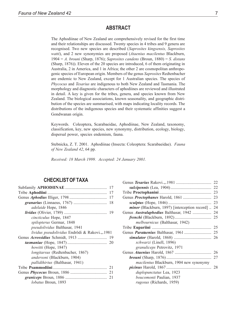#### **ABSTRACT**

The Aphodiinae of New Zealand are comprehensively revised for the first time and their relationships are discussed. Twenty species in 4 tribes and 9 genera are recognised. Two new species are described (*Saprosites kingsensis, Saprosites watti*), and 2 new synonymies are proposed (*Ataenius macilentus* Blackburn, 1904 = *A. brouni* (Sharp, 1876); *Saprosites candens* (Broun, 1880) = *S. distans* (Sharp, 1876)). Eleven of the 20 species are introduced, 6 of them originating in Australia, 2 in America, and 1 in Africa; the other 2 are cosmopolitan anthropogenic species of European origin. Members of the genus *Saprosites* Redtenbacher are endemic to New Zealand, except for 1 Australian species. The species of *Phycocus* and *Tesarius* are indigenous to both New Zealand and Tasmania. The morphology and diagnostic characters of aphodiines are reviewed and illustrated in detail. A key is given for the tribes, genera, and species known from New Zealand. The biological associations, known seasonality, and geographic distribution of the species are summarised, with maps indicating locality records. The distributions of the indigenous species and their systematic affinities suggest a Gondwanan origin.

Keywords. Coleoptera, Scarabaeidae, Aphodiinae, New Zealand, taxonomy, classification, key, new species, new synonymy, distribution, ecology, biology, dispersal power, species endemism, fauna.

Stebnicka, Z. T. 2001. Aphodiinae (Insecta: Coleoptera: Scarabaeidae). *Fauna of New Zealand 42*, 64 pp.

*Received: 18 March 1999. Accepted: 24 January 2001.*

#### **CHECKLIST OF TAXA**

|                                            | 17 |
|--------------------------------------------|----|
|                                            | 17 |
|                                            | 17 |
|                                            | 18 |
| <i>adelaide</i> Hope, 1846                 |    |
|                                            |    |
| <i>cincticulus</i> Hope, 1847              |    |
| spilopterus Germar, 1848                   |    |
| <i>pseudolividus</i> Balthasar, 1941       |    |
| lividus pseudolividus Endrödi & Rakovi1981 |    |
|                                            | 19 |
|                                            |    |
| <i>howitti</i> (Hope, 1847)                |    |
| <i>longitarsus</i> (Redtenbacher, 1867)    |    |
| <i>andersoni</i> (Blackburn, 1904)         |    |
| <i>pallidihirtus</i> (Balthasar, 1941)     |    |
|                                            |    |
|                                            |    |
|                                            |    |
| <i>lobatus</i> Broun, 1893                 |    |

|                                                          | 23 |
|----------------------------------------------------------|----|
|                                                          | 23 |
| <i>minor</i> (Blackburn, 1897) [interception record]  24 |    |
|                                                          |    |
|                                                          |    |
| <i>melbournicus</i> (Balthasar, 1942)                    |    |
|                                                          |    |
|                                                          |    |
|                                                          |    |
| <i>schwarzi</i> (Linell, 1896)                           |    |
| granuliceps Petrovitz, 1971                              |    |
|                                                          |    |
|                                                          |    |
| <i>macilentus</i> Blackburn, 1904 new synonymy           |    |
|                                                          |    |
| <i>duplopunctatus</i> Lea, 1923                          |    |
| boucomonti Paulian, 1937                                 |    |
| <i>rugosus</i> (Richards, 1959)                          |    |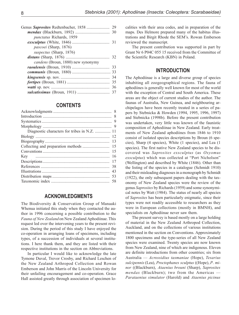|                                           | 29 |
|-------------------------------------------|----|
|                                           |    |
| <i>punctatus</i> Richards, 1959           |    |
|                                           |    |
| <i>pascoei</i> (Sharp, 1876)              |    |
| suspectus (Sharp, 1876)                   |    |
|                                           |    |
| <i>candens</i> (Broun, 1880) new synonymy |    |
|                                           | 33 |
|                                           | 33 |
|                                           | 34 |
|                                           | 35 |
|                                           | 36 |
|                                           | 37 |
|                                           |    |

#### **CONTENTS**

|                                          | 9  |
|------------------------------------------|----|
|                                          |    |
| Diagnostic characters for tribes in N.Z. | 11 |
|                                          | 12 |
|                                          | 13 |
|                                          | 15 |
|                                          | 15 |
|                                          | 16 |
|                                          | 17 |
|                                          | 38 |
|                                          | 43 |
|                                          | 53 |
|                                          | 58 |
|                                          |    |

#### **ACKNOWLEDGMENTS**

The Biodiversity & Conservation Group of Manaaki Whenua initiated this study when they contacted the author in 1996 concerning a possible contribution to the *Fauna of New Zealand* on New Zealand Aphodiinae. This request led over the intervening years to the present revision. During the period of this study I have enjoyed the co-operation in arranging loans of specimens, including types, of a succession of individuals at several institutions. I here thank them, and they are listed with their respective institutions in the section on Abbreviations.

In particular I would like to acknowledge the late Tymone Duval, Trevor Crosby, and Richard Leschen of the New Zealand Arthropod Collection and Rowan Emberson and John Marris of the Lincoln University for their unfailing encouragement and co-operation. Grace Hall assisted greatly through association of specimen localities with their area codes, and in preparation of the maps. Des Helmore prepared many of the habitus illustrations and Birgit Rhode the SEM's. Rowan Emberson reviewed the manuscript.

The present contribution was supported in part by Grant Nr 6 P04C 055 15 received from the Committee of the Scientific Research (KBN) in Poland.

#### **INTRODUCTION**

The Aphodiinae is a large and diverse group of species inhabiting all zoogeographical regions. The fauna of aphodiines is generally well known for most of the world with the exception of Central and South America. These areas are the object of current studies of the author. The faunas of Australia, New Guinea, and neighbouring archipelagos have been recently treated in a series of papers by Stebnicka & Howden (1994, 1995, 1996, 1997) and Stebnicka (1998b). Before the present contribution was undertaken, very little was known of the faunistic composition of Aphodiinae in New Zealand. Early treatments of New Zealand aphodiines from 1846 to 1910 consist of isolated species descriptions by Broun (6 species), Sharp (4 species), White (1 species), and Lea (1 species). The first native New Zealand species to be discovered was *Saprosites exsculptus* (as *Oxyomus exsculptus*) which was collected at "Port Nicholson" (Wellington) and described by White (1846). Other than the listing of the species in a catalogue (Schmidt 1910) and their misleading diagnoses in a monograph by Schmidt (1922), the only subsequent papers dealing with the taxonomy of New Zealand species were the review of the genus *Saprosites* by Richards (1959) and some synonymical notes by Watt (1984). The status of nearly all species of *Saprosites* has been particularly enigmatic, since their types were not readily accessible to researchers as they were in European collections (mostly in BMNH), and specialists on Aphodiinae never saw them.

The present survey is based mostly on a large holding of material in the New Zealand Arthropod Collection, Auckland, and on the collections of various institutions mentioned in the section on Conventions. Approximately 1800 specimens and the type-series of all New Zealand species were examined. Twenty species are now known from New Zealand, nine of which are indigenous. Eleven are definite introductions from other countries; six from Australia — *Acrossidius tasmaniae* (Hope), *Tesarius sulcipennis* (Lea), *Proctophanes sculptus* ((Hope), *P*. *minor* ((Blackburn), *Ataenius brouni* (Sharp), *Saprosites mendax* (Blackburn); two from the Americas — *Parataenius simulator* (Harold) and *Ataenius picinus*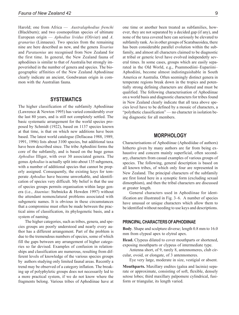Harold; one from Africa — *Australaphodius frenchi* (Blackburn); and two cosmopolitan species of ultimate European origin — *Aphodius lividus* (Olivier) and *A. granarius* (Linnaeus). Two species from the remaining nine are here described as new, and the genera *Tesarius* and *Parataenius* are recognised from New Zealand for the first time. In general, the New Zealand fauna of aphodiines is similar to that of Australia but strongly impoverished in the number of genera and species. The biogeographic affinities of the New Zealand Aphodiinae clearly indicate an ancient, Gondwanan origin in common with the Australian fauna.

#### **SYSTEMATICS**

The higher classification of the subfamily Aphodiinae (Lawrence & Newton 1995) has varied considerably over the last 80 years, and is still not completely settled. The basic systematic arrangement for the world species proposed by Schmidt (1922), based on 1137 species known at that time, is that on which new additions have been based. The latest world catalogue (Dellacasa 1988, 1989, 1991, 1996) lists about 3100 species, but additional taxa have been described since. The tribe Aphodiini forms the core of the subfamily, and is based on the huge genus *Aphodius* Illiger, with over 30 associated genera. The genus *Aphodius* is actually split into about 135 subgenera, with a number of additional species that cannot be properly assigned. Consequently, the existing keys for temperate *Aphodius* have become unworkable, and identification of species very difficult. My belief is that the use of species groups permits organisation within large genera (i.e., *Ataenius*: Stebnicka & Howden 1997) without the attendant nomenclatural problems associated with subgeneric names. It is obvious in these circumstances that a compromise must often be made between the practical aims of classification, its phylogenetic basis, and a system of naming.

The higher categories, such as tribes, genera, and species groups are poorly understood and nearly every author has a different arrangement. Part of the problem is due to the tremendous numbers of species, some of which fill the gaps between any arrangement of higher categories so far devised. Examples of confusion in relationships and classification are numerous, resulting from different levels of knowledge of the various species groups by authors studying only limited faunal areas. Recently a trend may be observed of a category inflation. The breaking up of polyphyletic groups does not necessarily led to a more practical system, if we do not know where the fragments belong. Various tribes of Aphodiinae have at one time or another been treated as subfamilies, however, they are not separated by a decided gap (if any), and none of the taxa covered here can seriously be elevated to subfamily rank. As in other groups of Scarabaeoidea, there has been considerable parallel evolution within the subfamily, and almost all characters claimed to be diagnostic at tribal or generic level have evolved independetly several times. In some cases, groups which are easily separated in the Old World, e.g., Psammodiini–Eupariini– Aphodiini, become almost indistinguishable in South America or Australia. Often seemingly distinct genera in temperate regions break down in the tropics and potentially strong defining characters are diluted and must be qualified. The following characterisation of Aphodiinae on a world basis and diagnostic characters for tribes found in New Zealand clearly indicate that all taxa above species level have to be defined by a mosaic of characters, a "polythetic classification" — no character in isolation being diagnostic for all members.

#### **MORPHOLOGY**

Characterisations of Aphodiinae (Aphodiidae of authors) hitherto given by many authors are far from being exhaustive and concern mainly superficial, often secondary, characters from casual examples of various groups of species. The following, general description is based on all known tribes, of which only four are represented in New Zealand. The principal characters of the subfamily are first listed here in a synoptic form (excluding sexual dimorphism), and then the tribal characters are discussed at greater length.

General characters used in Aphodiinae for identification are illustrated in Fig. 3–6. A number of species have unusual or unique characters which allow them to be identified without needing to use keys and descriptions.

#### **PRINCIPAL CHARACTERS OF APHODIINAE**

**Body**. Shape and sculpture diverse; length 0.8 mm to 16.0 mm from clypeal apex to elytral apex.

**Head.** Clypeus dilated to cover mouthparts or shortened, exposing mouthparts or clypeus of intermediate type.

Antenna short, of 9, rarely 8, antennomeres, club circular, ovoid, or elongate, of 3 antennomeres.

Eye very large, moderate in size, vestigial or absent.

**Mouthparts.** Maxillary endites (galea and lacinia) separate or approximate, consisting of soft, flexible, densely setose lobes; third maxillary palpomere cylindrical, fusiform or triangular, its length varied.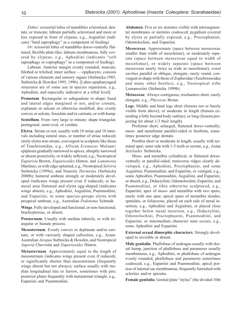*Either*: scissorial lobes of mandibles sclerotised, dentate, or truncate; labrum partially sclerotised and more or less exposed in front of clypeus, e.g., Aegialiini (indicates "hard saprophagy" as a component of feeding)

*Or*: scissorial lobes of mandibles dorso-ventrally flattened, flexible plate-like; labrum membranous, fully covered by clypeus, e.g., Aphodiini (indicates "soft saprophagy or coprophagy" as a component of feeding).

Labrum. Anterior margin evenly rounded, truncate, bilobed or trilobed; inner surface — epipharynx, consists of various elements and sensory organs (Stebnicka 1985, Stebnicka & Howden 1995, 1996). [Labro-epipharyngeal structures are of some use in species separation, e.g., Aphodiini, and especially indicative at a tribal level].

**Pronotum**. Rectangular or subquadrate in shape; basal and lateral edges margined or not, and/or crenate, explanate or sulcate or otherwise modified; disc evenly convex or sulcate, fossulate and/or carinate, or with hump.

**Scutellum**. From very large to minute; shape triangular, pentagonal, semi-oval, or cordate.

**Elytra**. Striate or not; usually with 10 striae and 10 intervals including sutural ones, or number of striae reduced; rarely elytra non-striate, convergent in sculpture like those of Tenebrionidae, e.g., African *Eremazus* Mulsant; epipleura gradually narrowed to apices, abruptly narrowed or absent posteriorly, or widely inflexed, e.g., Neotropical *Euparixia* Brown, *Euparixoides* Hinton, and *Lomanoxia* Martinez, or with edge upturned, e.g., Neotropical *Selviria* Stebnicka (1999a), and Nearctic *Hornietus* (Stebnicka 2000b); humeral umbone strongly or moderately developed (indicates wings present even if reduced), or humeral area flattened and elytra egg-shaped (indicates wings absent), e.g., Aphodiini, Aegialiini, Psammodiini, and Eupariini; in some species-groups elytra with preapical umbone, e.g., Australian *Podotenus* Schmidt.

**Wings**. Fully developed and functional, or non-functional, brachypterous, or absent.

**Prosternum**. Usually with median tubercle, or with triangular or hastate process.

**Mesosternum**. Evenly convex or deplanate and/or carinate, or with variously shaped callosities, e.g., Asian-Australian *Airapus* Stebnicka & Howden, and Neotropical *Auperia* Chevrolat and *Euparixoides* Hinton.

**Metasternum**. Approximately equal to the length of mesosternum (indicates wings present even if reduced), or significantly shorter than mesosternum (frequently wings absent but not always); surface usually with median longitudinal line or furrow, sometimes with pits; posterior plates frequently with metasternal triangle, e.g., Eupariini and Psammodiini.

**Abdomen**. Five or six sternites visible with intersegmental membranes or sternites coalesced; pygidium covered by elytra or partially exposed, e.g., Proctophanini, Odontolochini, and Eupariini.

**Mesocoxae**. Approximate (space between mesocoxae smaller than width of mesofemur), or moderately separate (space between mesocoxae equal to width of mesofemur), or widely separate (space between mesocoxae nearly twice as wide as mesofemur); coxal cavities parallel or oblique, elongate, rarely round, convergent in shape with those of Zopheridae (Tenebrionoidea and many other beetles), e.g., Neotropical tribe Lomanoxiini (Stebnicka 1999b).

**Metacoxae**. Always contiguous; trochanters short, rarely elongate, e.g., *Phycocus* Broun.

**Legs**. Middle and hind legs short (femora not or barely visible from above), or moderate in length (femora extending a little beyond body outline), or long (femora projecting for about 1/3 their length).

Profemur short, enlarged, flattened dorso-ventrally; meso- and metafemur parallel-sided or fusiform, sometimes posterior edge dentate.

Protibia short or moderate in length, usually with terminal spur; outer side with 1-5 teeth or serrate, e.g., Asian *Setylaides* Stebnicka.

Meso- and metatibia cylindrical, or flattened dorsoventrally or parallel-sided; transverse ridges clearly developed, e.g., Aphodiini, Proctophanini, and some Aegialiini, Psammodiini, and Eupariini, or vestigial, e.g., some Aphodiini, Psammodiini, Aegialiini, and Eupariini, or absent, e.g., Didactyliini, Odontolochini, Eupariini, and Psammodiini, or tibia otherwise sculptured, e.g., Eupariini; apex of meso- and metatibia with two spurs, rarely with one spur; apical spurs of metatibia slender, spatulate, or foliaceous, placed on each side of tarsal insertion, e.g., Aphodiini and Aegialiini, or placed close together below tarsal insertion, e.g., Didactyliini, Odontolochini, Proctophanini, Psammodiini, and Eupariini, or intermediate character state occurs, e.g., some Aphodiini and Eupariini.

**External sexual dimorphic characters**. Strongly developed to invisible or absent.

**Male genitalia**. Phallobase of aedeagus usually with dorsal hump, junction of phallobase and parameres usually membranous, e.g., Aphodiini, or phallobase of aedeagus evenly rounded, phallobase and parameres sometimes coalesced, e.g., Eupariini and Psammodiini; apical portion of internal sac membranous, frequently furnished with sclerites and/or spicules.

**Female genitalia**. Genital plate "stylus" (the divided 10th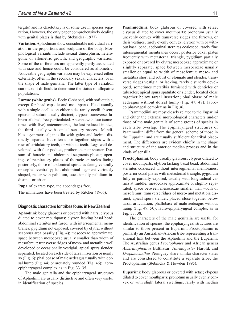tergite) and its chaetotaxy is of some use in species separation. However, the only paper comprehensively dealing with genital plates is that by Stebnicka (1977).

**Variation**. Aphodiinae show considerable individual variation in the proportions and sculpture of the body. Morphological variants include sexual dimorphism, heterogonic or allometric growth, and geographic variation. Some of the differences are apparently partly associated with size and hence could be considered as allometric. Noticeable geographic variation may be expressed either externally, often in the secondary sexual characters, or in the shape of male genitalia. The latter type of variation can make it difficult to determine the status of allopatric populations.

**Larvae (white grubs).** Body C-shaped, with soft cuticle, except for head capsule and mouthparts. Head usually with a single ocellus on either side, rarely ocelli absent; epicranial suture usually distinct; clypeus transverse, labrum trilobed, freely articulated. Antenna with four (sometimes with five) antennomeres, the last reduced in size, the third usually with conical sensory process. Mandibles asymmetrical; maxilla with galea and lacinia distinctly separate, but often close together, stipes with a row of stridulatory teeth, or without teeth. Legs well developed, with four podites, prothoracic pair shorter. Dorsum of thoracic and abdominal segments plicate; openings of respiratory plates of thoracic spiracles facing posteriorly, those of abdominal spiracles facing ventrally or cephaloventrally; last abdominal segment variously shaped, raster with palidium, oocasionally palidium indistinct or absent.

**Pupa** of exarate type, the appendages free.

The immatures have been treated by Ritcher (1966).

#### **Diagnostic characters for tribes found in New Zealand**

**Aphodiini**: body glabrous or covered with hairs; clypeus dilated to cover mouthparts; elytron lacking basal bead; abdominal sternites not fused, with intersegmental membranes; pygidium not exposed, covered by elytra, without scabrous area basally (Fig. 4); mesocoxae approximate, space between mesocoxae usually smaller than width of mesofemur; transverse ridges of meso- and metatibia well developed or occasionally vestigial, apical spurs slender, separated, located on each side of tarsal insertion or nearly so (Fig. 6); phallobase of male aedeagus usually with dorsal hump (Fig. 44) or arcuately rounded (Fig. 46); labroepipharyngeal complex as in Fig. 33–35.

The male genitalia and the epipharyngeal structures of Aphodiini are usually distinctive and often very useful in identification of species.

**Psammodiini**: body glabrous or covered with setae; clypeus dilated to cover mouthparts; pronotum usually unevenly convex with transverse ridges and furrows, or their vestiges, rarely evenly convex; elytron with or without basal bead; abdominal sternites coalesced, rarely fine intersegmental membranes occur; posterior coxal plates frequently with metasternal triangle, pygidium partially exposed or covered by elytra; mesocoxae approximate or slightly separate, space between mesocoxae usually smaller or equal to width of mesofemur; meso- and metatibia short and robust or elongate and slender, transverse ridges vestigial or lacking, rarely distinctly developed, sometimes metatibia furnished with denticles or tubercles; apical spurs spatulate or slender, located close together below tarsal insertion; phallobase of male aedeagus without dorsal hump (Fig. 47, 48); labroepipharyngeal complex as in Fig 36.

Psammodiini are most closely related to the Eupariini and either the external morphological characters and/or those of the male genitalia of some groups of species in each tribe overlap. The epipharyngeal structures of Psammodiini differ from the general scheme of those in the Eupariini and are usually sufficient for tribal placement. The differences are evident chiefly in the shape and structure of the anterior median process and in the kinds of sensilla.

**Proctophanini**: body usually glabrous; clypeus dilated to cover mouthparts; elytron lacking basal bead; abdominal sternites coalesced without intersegmental membranes; posterior coxal plates with metasternal triangle, pygidium fully or partially exposed, usually with longitudinal carina at middle; mesocoxae approximate or slightly separated, space between mesocoxae smaller than width of mesofemur; transverse ridges of meso- and metatibia distinct, apical spurs slender, placed close together below tarsal articulation; phallobase of male aedeagus without hump (Fig. 49, 50); labro-epipharyngeal complex as in Fig. 37, 38.

The characters of the male genitalia are useful for identification of species; the epipharyngeal structures are similar to those present in Eupariini. Proctophanini is primarily an Australian–African tribe representing a transitional link between the Aphodiini and the Eupariini. The Australian genus *Proctophanes* and African genera *Australaphodius* Balthasar, *Harmogaster* Harold, and *Drepanocanthus* Péringuey share similar character states and are considered to constitute a separate tribe, the Proctophanini (Stebnicka & Howden 1995).

**Eupariini**: body glabrous or covered with setae; clypeus dilated to cover mouthparts; pronotum usually evenly convex or with slight lateral swellings, rarely with median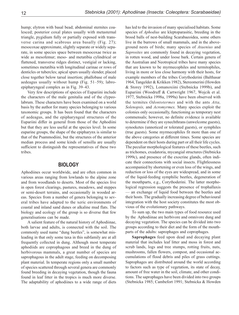hump; elytron with basal bead; abdominal sternites coalesced; posterior coxal plates usually with metasternal triangle, pygidium fully or partially exposed with transverse carina and scabrous area basally (Fig. 27); mesocoxae approximate, slightly separate or widely separate, in some species space between mesocoxae twice as wide as mesofemur; meso- and metatibia cylindrical or flattened, transverse ridges distinct, vestigial or lacking, sometimes metatibia with longitudinal carinae or rows of denticles or tubercles; apical spurs usually slender, placed close together below tarsal insertion; phallobase of male aedeagus usually without hump (Fig. 51–59); labroepipharyngeal complex as in Fig. 39–43.

Very few descriptions of species of Eupariini include the characters of the male genitalia and of the clypeolabrum. These characters have been examined on a world basis by the author for many species belonging to various taxonomic groups. It has been found that the characters of aedeagus, and the epipharyngeal structures of the Eupariini differ in general from those of the Aphodiini but that they are less useful at the species level. In some euparine groups, the shape of the epipharynx is similar to that of the Psammodiini, but the structures of the anterior median process and some kinds of sensilla are usually sufficient to distinguish the representatives of these two tribes.

#### **BIOLOGY**

Aphodiines occur worldwide, and are often common in various areas ranging from lowlands to the alpine zone and from woodlands to deserts. Most of the species live in open forest clearings, pastures, meadows, and steppes or semi-desert terrains, and occasionally in wooded areas. Species from a number of genera belonging to several tribes have adapted to the xeric environments of coastal and inland sand dunes or alkaline mud flats. The biology and ecology of the group is so diverse that few generalisations can be made.

A salient feature of the natural history of Aphodiinae, both larvae and adults, is connected with the soil. The commonly used name "dung beetles", is somewhat misleading in that only some taxa in this subfamily are at all frequently collected in dung. Although most temperate aphodiids are coprophagous and breed in the dung of herbivorous mammals, a great number of species are saprophagous in the adult stage, feeding on decomposing plant material. In temperate regions only a small number of species scattered through several genera are commonly found breeding in decaying vegetation, though the fauna found in leaf litter in the tropics is much more diverse. The adaptability of aphodiines to a wide range of diets

has led to the invasion of many specialised habitats. Some species of *Aphodius* are kleptoparasitic, breeding in the brood balls of nest-building Scarabaeoidea, some others live in the burrows of small mammals, and in the aboveground nests of birds; many species of *Ataenius* and *Saprosites* are commonly found in decaying vegetation, in rotten wood, and under loose bark. Certain genera of the Australian and Neotropical tribes have many species that are known to be myrmecophiles and termitophiles, living in more or less close harmony with their hosts, for example members of the tribes Corythoderini (Balthasar 1964, Tangelder & Krikken 1982), Stereomerini (Howden & Storey 1992), Lomanoxiini (Stebnicka 1999b), and Eupariini (Woodruff & Cartwright 1967, Wojcik et al. 1977, Stebnicka 1998a, 1999a) have been observed with the termites *Odontotermes* and with the ants *Atta, Solenopsis,* and *Acromyrmex.* Many species exploit the colonies only occasionally, functioning as temporary nest commensals; however, no definite evidence is available to determine if they are synechthrans (unwelcome guests), synoeketes (unnoticed or tolerated guests), or symphiles (true guests). Some myrmecophiles fit more than one of the above categories at different times. Some species are dependent on their hosts during part or all their life cycles. The peculiar morphological features of these beetles, such as trichomes, exudatoria, mycangial structures (Stebnicka 1999c), and presence of the exocrine glands, often indicate their connections with social insects. Flightlessness accompanied by shortening or even loss of the wings, and reduction or loss of the eyes are widespread, and in some of the liquid-feeding symphilic beetles, degeneration of the mouthparts, e.g., Corythoderini. The latter morphological regression suggests the presence of trophallaxis — an exchange of liquid food between the beetles and their hosts. The gradually increasing degree of behavioural integration with the host society constitutes the most obvious of the evolutionary pathways.

To sum up, the two main types of food resource used by the Aphodiinae are herbivore and omnivore dung and decaying vegetation. The species can be divided into two groups according to their diet and the form of the mouthparts of the adults: saprophages and coprophages.

**Saprophages** feed upon dead and decaying plant material that includes leaf litter and moss in forest and scrub lands, logs and tree stumps, rotting fruits, nuts, mushrooms, fallen flowers, compost, and occasional accumulations of flood debris and piles of grass cuttings. Saprophages are distributed around the world according to factors such as type of vegetation, its state of decay, amount of free water in the soil, climate, and other conditions. The saprophages have been divided into two groups (Stebnicka 1985; Cambefort 1991; Stebnicka & Howden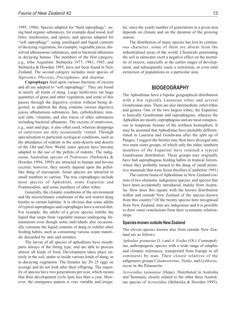1995, 1996). Species adapted for "hard saprophagy", using hard organic substances, for example dead wood, leaf litter, mushrooms, and spores, and species adapted for "soft saprophagy", using semiliquid and liquid contents of decaying vegetation, for example, vegetable juices, dissolved albumenous substances, and/or bacterial albumens in decaying humus. The members of the first category, e.g., tribe Aegialiini: Stebnicka 1977, 1981, 1985; and Stebnicka & Howden 1995, have not been found in New Zealand. The second category includes most species of *Saprosites*, *Phycocus*, *Proctophanes,* and *Ataenius*.

**Coprophages** feed upon various fractions of excreta and all are adapted to "soft saprophagy". They are found in nearly all kinds of dung. Large herbivores eat huge quantities of grass and other vegetation, and some of this passes through the digestive system without being digested; in addition the dung contains various digestive juices, albumenous substances, fats, carbohydrates, mineral salts, vitamins, and also traces of other substances including bacterial albumens. The excreta of omnivores, e.g., man and pigs, is also often used, whereas droppings of carnivores are only occasionally visited. Through specialisation to particular ecological conditions, such as the abundance of rodents in the semi-deserts and deserts of the Old and New World, some species have become adapted to the use of the pellets of rodents. The indigenous Australian species of *Podotenus* (Stebnicka & Howden 1994, 1995) are attracted to human and bovine excreta; however, they mostly depend upon the pelletlike dung of marsupials. Some species are attracted in small numbers to carrion. The true coprophages include most species of Aphodiini, some Eupariini and Psammodiini, and some members of other tribes.

Generally, the climatic conditions of the environment and the microclimatic conditions of the soil restrict dung beetles to certain habitats. It is obvious that some adults of typical saprophages and coprophages have a mixed diet. For example, the adults of a given species imbibe the liquid that seeps from vegetable masses undergoing fermentation even though some individuals also occasionally consume the liquid contents of dung or exhibit other feeding habits, such as consuming various waste materials discarded by ants and termites.

The larvae of all species of aphodiines have mouthparts always of the biting type, and are able to process almost all kinds of food. Development takes place entirely in the soil, under or inside various kinds of dung, or in decaying vegetation. The females lay 20–25 eggs on average and do not look after their offspring. The majority of species have two generations per year, which means that their development cycle lasts less than a year. However, the emergence pattern is very variable and irregular, since the yearly number of generations in a given area depends on climate and on the duration of the growing season.

The distribution of many species has lost its continuous character, some of them are absent from the industrialised areas of the world. Chemicals penetrating the soil in rainwater exert a negative effect on the mortality of insects, especially at the earlier stages of development, and subsequently cause a restriction, or even total extinction of populations in a particular area.

#### **BIOGEOGRAPHY**

The Aphodiinae have a bipolar geographical distribution with a few typically Laurasian tribes and several Gondwanan ones. There are also intermediate, relict tribes and genera. One of the two largest tribes, the Eupariini, is basically Gondwanan and saprophagous, whereas the Aphodiini are mostly coprophagous and are most conspicuous in temperate biomes of the northern hemisphere. It may be assumed that Aphodiinae have probably differentiated in Laurasia and Gondwana after the split up of Pangea. I suggest the beetles may then have diverged into two main sister groups, of which only the older, southern members of the Eupariini have retained a typical Gondwanan distribution. These groups may originally have had saprophagous feeding habits in tropical forests, where they probably turned to the dung of small primitive mammals that were forest dwellers (Cambefort 1991)

The current fauna of Aphodiinae in New Zealand consists of two elements: indigenous species, and species that have been accidentally introduced, mainly from Australia. How does this equate with the known distribution within and outside New Zealand of the species known from this country? Of the twenty species here recognised from New Zealand, nine are indigenous and it is possible to draw some conclusions from their systematic relationships.

#### **Species known outside New Zealand**

The eleven species known also from outside New Zealand are as follows:

*Aphodius granarius* (L.) and *A*. *lividus* (Ol.). Cosmopolitan, anthropogenic species with a wide range of edaphic and climatic tolerances, transported from Europe to all continents by man. Their closest relatives of the subgeneric-groups *Calamosternus, Nialus,* and *Liothorax,* occur in the Palaearctic.

*Acrossidius tasmaniae* (Hope). Distributed in Australia and Tasmania, closely related to the other three Australian species of *Acrossidius* (Stebnicka & Howden 1995);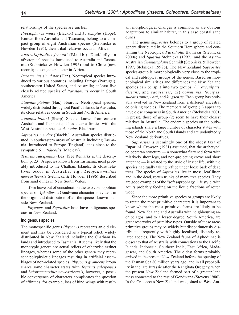relationships of the species are unclear.

*Proctophanes minor* (Blackb.) and *P*. *sculptus* (Hope). Known from Australia and Tasmania, belong to a compact group of eight Australian species (Stebnicka & Howden 1995); their tribal relatives occur in Africa.

*Australaphodius frenchi* (Blackb.). Decidedly an afrotropical species introduced to Australia and Tasmania (Stebnicka & Howden 1995) and to Chile (new record); its congeners occur in Africa.

*Parataenius simulator* (Har.). Neotropical species introduced to various countries including Europe (Portugal), southeastern United States, and Australia; at least five closely related species of *Parataenius* occur in South America.

*Ataenius picinus* (Har.). Nearctic–Neotropical species, widely distributed throughout Pacific Islands to Australia; its close relatives occur in South and North America.

*Ataenius brouni* (Sharp). Species known from eastern Australia and Tasmania; it has clear affinities with the West Australian species *A. nudus* Blackburn.

*Saprosites mendax* (Blackb.). Australian species distributed in southeastern areas of Australia including Tasmania, introduced to Europe (England); it is close to the sympatric *S. nitidicollis* (Macleay).

*Tesarius sulcipennis* (Lea) [See Remarks at the description, p. 23]. A species known from Tasmania, most probably introduced to the Chatham Islands; its close relatives occur in Australia, e.g., *Leiopsammodius newcastleensis* Stebnicka & Howden (1996) described from sand dunes in New South Wales.

If we leave out of consideration the two cosmopolitan species of *Aphodius*, a Gondwana character is evident in the origin and distribution of all the species known outside New Zealand.

*Phycocus* and *Saprosites* both have indigenous species in New Zealand.

#### **Indigenous species**

The monospecific genus *Phycocus* represents an old element and may be considered as a typical relict, widely distributed in New Zealand including the Chatham Islands and introduced to Tasmania. It seems likely that the monotypic genera are actual relicts of otherwise extinct lineages, whereas some of the other genera may represent polyphyletic lineages resulting in artificial assemblages of non-related species. *Phycocus graniceps* Broun shares some character states with *Tesarius sulcipennis* and *Leiopsammodius newcastleensis,* however, a possible convergence of characters complicates the question of affinities, for example, loss of hind wings with resultant morphological changes is common, as are obvious adaptations to similar habitat, in this case coastal sand dunes.

The genus *Saprosites* belongs to a group of related genera distributed in the Southern Hemisphere and containing the Neotropical *Passaliolla* Balthasar (Stebnicka 2000a) and *Iguazua* Stebnicka (1997), and the Asian– Australian *Cnematoplatys* Schmidt (Stebnicka & Howden 1997, Stebnicka 1998b). The New Zealand *Saprosites* species-group is morphologically very close to the tropical and subtropical groups of the genus. Based on morphological similarities and differences the New Zealand species can be split into two groups: (1) *exsculptus*, *distans*, and *raoulensis;* (2) *communis*, *fortipes*, *sulcatissimus*, *watti*, and *kingsensis*. Each group has probably evolved in New Zealand from a different ancestral colonising species. The members of group (1) appear to have close congeners in South America (Stebnicka 2001, in press), those of group (2) seem to have their closest relatives in Australia. The endemic species on the outlying islands share a large number of character states with those of the North and South Islands and are undoubtedly New Zealand derivatives.

*Saprosites* is seemingly one of the oldest taxa of Eupariini. Crowson (1981) assumed, that the archetypal coleopteran structure — a somewhat flattened form with relatively short legs, and non-projecting coxae and short antennae — is related to the style of insect life, with the species habitually taking refuge under loose bark of dead trees. The species of *Saprosites* live in moss, leaf litter, and in the dead, rotten trunks of many tree species. They are good examples of the "soft saprophagy" life style, with adults probably feeding on the liquid fractions of rotten wood.

Since the more primitive species or groups are likely to retain the most primitive characters it is important to know where the most primitive forms are likely to be found. New Zealand and Australia with neighbouring archipelagos, and to a lesser degree, South America, are great reservoirs of primitive types. Outside of these areas primitive groups may be widely but discontinuously distributed, frequently with highly localised, distantly related species. The New Zealand fauna of Aphodiinae is closest to that of Australia with connections to the Pacific Islands, Indonesia, Southern India, East Africa, Madagascar, and South America. The oldest forms probably arrived in the present New Zealand before the opening of the Tasman Sea 80 million years ago, and in all probability in the late Jurassic after the Rangitata Orogeny, when the present New Zealand formed part of a greater land mass connected to the rest of Gondwana (Stevens 1980). In the Cretaceous New Zealand was joined to West Ant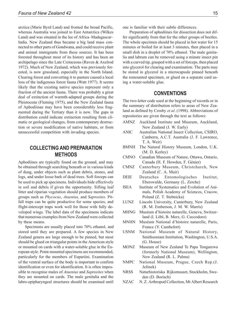arctica (Marie Byrd Land) and fronted the broad Pacific, whereas Australia was joined to East Antarctica (Wilkes Land) and was situated in the lee of Africa–Madagascar– India. New Zealand thus became a big land mass connected to other parts of Gondwana, and could receive plant and animal immigrants from these sources. It has been forested throughout most of its history and has been an archipelago since the Late Cretaceous (Raven & Axelrod 1972). Much of New Zealand, which was previously forested, is now grassland, especially in the North Island. Clearing forest and converting it to pasture caused a local loss of the indigenous forest fauna (Watt 1977). It seems likely that the existing native species represent only a fraction of the ancient fauna. There was probably a great deal of extinction of warmth-adapted groups during the Pleistocene (Fleming 1975), and the New Zealand fauna of Aphodiinae may have been considerably less fragmented during the Tertiary than it is now. The gaps in distribution could indicate extinction resulting from climatic or geological changes, from contemporary destruction or severe modification of native habitats, or from unsuccessful competition with invading species.

## **COLLECTING AND PREPARATION METHODS**

Aphodiines are typically found on the ground, and may be obtained through searching beneath or in various kinds of dung, under objects such as plant debris, stones, and logs, and under loose bark of dead trees. Soft forceps can be used to pick up specimens. Individuals hide effectively in soil and debris if given the opportunity. Sifting leaf litter and riparian vegetation should produce members of groups such as *Phycocus*, *Ataenius,* and *Saprosites*. Pitfall traps can be quite productive for some species, and flight-intercept traps work well for those with fully developed wings. The label data of the specimens indicate that numerous examples from New Zealand were collected by these means.

Specimens are usually placed into 70% ethanol, and stored until they are prepared. A few species in New Zealand genera are large enough to be pinned, but most should be glued on triangular points in the American style or mounted on cards with a water-soluble glue in the European style. Point-mounted specimens are recommended, particularly for the members of Eupariini. Examination of the ventral surface of the body is important to confirm identification or even for identification. It is often impossible to recognise males of *Ataenius* and *Saprosites* when they are mounted on cards. The male genitalia and the labro-epipharyngeal structures should be examined until

one is familiar with their subtle differences.

Preparation of aphodiines for dissection does not differ significantly from that for the other groups of beetles. The whole specimen should be placed in hot water for 15 minutes or boiled for at least 3 minutes, then placed in a small dish in a droplet of 70% ethanol. The male genitalia and labrum can be removed using a minute insect pin with a curved tip, grasped with a set of forceps, then placed into glycerol for clearing and examination. The parts may be stored in glycerol in a microcapsule pinned beneath the remounted specimen, or glued on a separate card using a water-soluble glue.

#### **CONVENTIONS**

The two-letter code used at the beginning of records or in the summary of distribution refers to areas of New Zealand as defined by Crosby *et al*. (1998). Abbreviations of repositories are given through the text as follows:

- AMNZ Auckland Institute and Museum, Auckland, New Zealand (J. W. Early)
- ANIC Australian National Insect Collection, CSIRO, Canberra, A.C.T. Australia (J. F. Lawrence, T. A. Weir)
- BMNH The Natural History Museum, London, U.K. (M. D. Kerley)
- CMNO Canadian Museum of Nature, Ottawa, Ontario, Canada (H. F. Howden, F. Génier)
- CMNZ Canterbury Museum, Christchurch, New Zealand (C. A. Muir)
- DEIE Deutsches Entomologisches Institut, Eberswalde, Germany (L. Zerche)
- ISEA Institute of Systematics and Evolution of Animals, Polish Academy of Sciences, Cracow, Poland (Z. T. Stebnicka)
- LUNZ Lincoln University, Canterbury, New Zealand (R. M. Emberson, J. M. W. Marris)
- MHNG Muséum d'histoire naturelle, Geneva, Switzerland (I. Löbl, B. Merz, G. Cuccodoro)
- MNHN Muséum National d'histoire naturelle, Paris, France (Y. Cambefort)
- USNM National Museum of Natural History, Smithsoniam Institution, Washington, U.S.A. (G. House)
- MONZ Museum of New Zealand Te Papa Tongarewa (formerly National Museum), Wellington, New Zealand (R. L. Palma)
- NMPC National Museum, Prague, Czech Rep.(J. Jelínek)
- NRSS Naturhistoriska Rijksmuseet, Stockholm, Sweden (D. Borisch)
- NZAC N. Z. Arthropod Collection, Mt Albert Research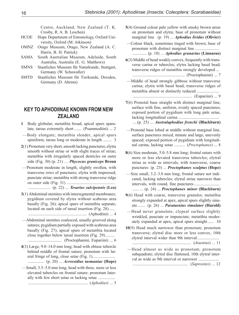Centre, Auckland, New Zealand (T. K. Crosby, R. A. B. Leschen)

- HCOE Hope Department of Entomology, Oxford University, Oxford (M. Atkinson)
- OMNZ Otago Museum, Otago, New Zealand (A. C. Harris, B. H. Patrick)
- SAMA South Australian Museum, Adelaide, South Australia, Australia (E. G. Matthews)
- SMNS Staatliches Museum für Naturkunde, Stuttgart, Germany (W. Schawaller)
- SMTD Staatliches Museum für Tierkunde, Dresden, Germany (D. Ahrens)

### **KEY TO APHODIINAE KNOWN FROM NEW ZEALAND**

- **1** Body globular; metatibia broad, apical spurs spatulate, tarsus extremely short ....... (Psammodiini) ... 2
- —Body elongate; metatibia slender, apical spurs spiniform, tarsus long or moderate in length ........ 3
- **2**(1) Pronotum very short, smooth lacking punctures; elytra smooth without striae or with slight traces of striae; metatibia with irregularly spaced denticles on outer side (Fig. 30) (p. 21) … *Phycocus graniceps* **Broun**
- —Pronotum moderate in length, slightly swollen, with transverse rows of punctures; elytra with impressed, punctate striae; metatibia with strong transverse ridge on outer side (Fig. 31) .............................................. ..................... (p. 22) ... *Tesarius sulcipennis* **(Lea)**
- **3**(1) Abdominal sternites with intersegmental membranes; pygidium covered by elytra without scabrous area basally (Fig. 26); apical spurs of metatibia separate, located on each side of tarsal insertion (Fig. 28) ..... ........................................................ (Aphodiini) ... 4
- —Abdominal sternites coalesced, usually grooved along sutures; pygidium partially exposed with scabrous area basally (Fig. 27); apical spurs of metatibia located close together below tarsal insertion (Fig. 29)......... ................................ (Proctophanini, Eupariini) ... 6
- **4**(3) Large, 9.0–14.0 mm long; head with obtuse tubercle behind middle of frontal suture; pronotum with lateral fringe of long, close setae (Fig. 1)..................... ............... (p. 20) ... *Acrossidius tasmaniae* **(Hope)**
- —Small, 3.5–5.0 mm long; head with three, more or less elevated tubercles on frontal suture; pronotum laterally with few short setae or lacking setae ................ ......................................................... (*Aphodius*) ... 5

**5**(4) Ground colour pale yellow with smoky brown areas on pronotum and elytra; base of pronotum without marginal line (p. 19) ... *Aphodius lividus* **(Olivier)**

 —Colour black, sometimes tinged with brown; base of pronotum with distinct marginal line ....................... ............. (p. 18) ... *Aphodius granarius* **(Linnaeus)**

**6**(3) Middle of head weakly convex, frequently with transverse carina or tubercles; elytra lacking basal bead; transverse ridges of metatibia strongly developed ...

.................................................. (Proctophanini) ... 7

 —Middle of head strongly gibbose without transverse carina; elytra with basal bead; transverse ridges of metatibia absent or distinctly reduced ......................

......................................................... (Eupariini) ... 9

- **7**(6) Pronotal base straight with distinct marginal line, surface with fine, uniform, evenly spaced punctures; exposed portion of pygidium with long pale setae, lacking longitudinal carina ....................................... ....(p. 25) ... *Australaphodius frenchi* **(Blackburn)**
- —Pronotal base lobed at middle without marginal line, surface punctures mixed, minute and large, unevenly spaced; exposed portion of pygidium with longitudinal carina, lacking setae .......... (*Proctophanes*) ... 8
- **8**(6) Size moderate, 5.0–5.8 mm long; frontal suture with more or less elevated transverse tubercles; elytral striae as wide as intervals, with transverse, coarse punctures (p. 23) ... *Proctophanes sculptus* **(Hope)**
- —Size small, 3.2–3.8 mm long; frontal suture not indicated, lacking tubercles; elytral striae narrower than intervals, with round, fine punctures ........................ ...... ... (p. 24) ... *Proctophanes minor* **(Blackburn)**
- **9**(6) Head with coarse, transverse granules; metatibia strongly expanded at apex, apical spurs slightly sinuate ....... (p. 26) ... *Parataenius simulator* **(Harold)**
- —Head never granulate; clypeal surface slightly wrinkled, punctate or impunctate; metatibia moderately expanded at apex, apical spurs straight...... 10
- **10**(9) Head much narrower than pronotum; pronotum transverse; elytral disc more or less convex, 10th elytral interval wider than 9th interval.....................

........................................................ (*Ataenius*) ... 11

 —Head almost as wide as pronotum; pronotum subquadrate; elytral disc flattened, 10th elytral interval as wide as 9th interval or narrower ....................

..................................................... (*Saprosites*) ... 12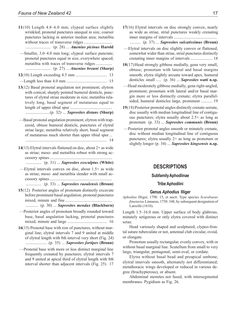**11**(10) Length 4.8–6.0 mm; clypeal surface slightly wrinkled; pronotal punctures unequal in size, coarser punctures lacking in anterior median area; metatibia without traces of transverse ridges ........................... ........................ (p. 28) ... *Ataenius picinus* **Harold** —Smaller, 3.0–4.0 mm long; clypeal surface punctate; pronotal punctures equal in size, everywhere spaced; metatibia with traces of transverse ridges................ ........................ (p. 27) ... *Ataenius brouni* **(Sharp) 12**(10) Length exceeding 4.5 mm .............................. 13 —Length less than 4.0 mm ....................................... 15 **13**(12) Basal pronotal angulation not prominent; elytron with conical, sharply pointed humeral denticle, punctures of elytral striae moderate in size; metatibia relatively long, basal segment of metatarsus equal to length of upper tibial spur ........................................ .......................(p. 32) ... *Saprosites distans* **(Sharp)** —Basal pronotal angulation prominent; elytron with trapezoid, obtuse humeral denticle, punctures of elytral striae large; metatibia relatively short, basal segment of metatarsus much shorter than upper tibial spur... .............................................................................. 14 **14**(13) Elytral intervals flattened on disc, about  $2 \times$  as wide as striae; meso- and metatibia robust with strong accessory spines............................................................ ............... (p. 31) ... *Saprosites exsculptus* **(White)** —Elytral intervals convex on disc, about  $1.5\times$  as wide as striae; meso- and metatibia slender with small accessory spines............................................................ ............... (p. 33) ... *Saprosites raoulensis* **(Broun) 15**(12) Posterior angles of pronotum distinctly excavate before prominent basal angulation, pronotal punctures mixed, minute and fine ............................................. ............ (p. 30) ... *Saprosites mendax* **(Blackburn)** —Posterior angles of pronotum broadly rounded toward base, basal angulation lacking, pronotal punctures mixed, minute and large ...................................... 16 **16**(15) Pronotal base with row of punctures, without marginal line; elytral intervals 7 and 9 united at middle of elytral length with 8th interval very short (Fig. 24) .................... .(p. 35) ... *Saprosites fortipes* **(Broun)** —Pronotal base with more or less distinct marginal line frequently crenated by punctures; elytral intervals 7 and 9 united at apical third of elytral length with 8th interval shorter than adjacent intervals (Fig. 25) . 17

#### .......... (p. 37) ... *Saprosites sulcatissimus* **(Broun)**

- —Elytral intervals on disc slightly convex or flattened, somewhat wider than striae, strial punctures distinctly crenating inner margins of intervals ..................... 18
- **18**(17)Head strongly gibbose medially, gena very small, obtuse; pronotum with lateral and basal margins smooth; elytra slightly arcuate toward apex, humeral denticles small ..... (p. 36) ... *Saprosites watti* **n.sp.**
- —Head moderately gibbose medially, gena right-angled, prominent; pronotum with lateral and/or basal margin more or less distinctly crenate; elytra parallelsided, humeral denticles large, prominent ........... 19
- **19**(18) Posterior pronotal angles distinctly crenate-serrate, disc usually with median longitudinal line of contiguous punctures; elytra usually about 2.5× as long as pronotum (p. 33) ... *Saprosites communis* **(Broun)**
- —Posterior pronotal angles smooth or minutely crenate, disc without median longitudinal line of contiguous punctures; elytra usually  $2 \times$  as long as pronotum or slightly longer (p. 34) ... *Saprosites kingsensis* **n.sp.**

#### **DESCRIPTIONS**

#### **Subfamily Aphodiinae**

#### **Tribe Aphodiini**

#### **Genus** *Aphodius* **Illiger**

*Aphodius* Illiger, 1798: 15, et auctt. Type species *Scarabaeus fimetarius* Linnaeus, 1758: 348, by subsequent designation of Latreille (1810).

Length 1.5–16.0 mm. Upper surface of body glabrous, minutely setigerous or only elytra covered with distinct setae.

Head variously shaped and sculptured; clypeo-frontal suture tuberculate or not, antennal club circular, ovoid, or elongate.

Pronotum usually rectangular, evenly convex, with or without basal marginal line. Scutellum from small to very large, triangular, pentagonal, semi-oval, or cordate.

Elytra without basal bead and preapical umbone; elytral intervals smooth, alternately not differentiated; metathoracic wings developed or reduced in various degree (brachypterous), or absent.

Abdominal sternites not fused, with intersegmental membranes. Pygidium as Fig. 26.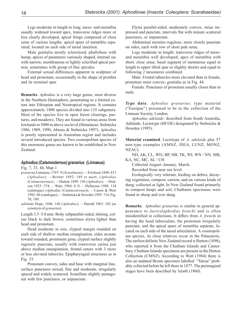Legs moderate in length to long; meso- and metatibia usually widened toward apex, transverse ridges more or less clearly developed, apical fringe composed of close setae of various lengths; apical spurs of metatibia separated, located on each side of tarsal insertion.

Male genitalia mostly sclerotised; phallobase with hump, apices of parameres variously shaped, internal sac with narrow, membranous or lightly sclerified apical portion, sometimes with group of fine spicules.

External sexual differences apparent in sculpture of head and pronotum, occasionally in the shape of protibia and its terminal spur.

**Remarks**. *Aphodius* is a very large genus, most diverse in the Northern Hemisphere, penetrating to a limited extent into Ethiopian and Neotropical regions. It contains approximately 1800 species divided into 135 subgenera. Most of the species live in open forest clearings, pastures, and meadows. They are found in various areas from lowlands to 5000 m above sea level (Himalayas: Stebnicka 1986, 1989, 1990; Ahrens & Stebnicka 1997). *Aphodius* is poorly represented in Australian region and includes several introduced species. Two cosmopolitan species of this enormous genus are known to be established in New Zealand.

#### *Aphodius (Calamosternus) granarius* **(Linnaeus)**

Fig. 7, 33, 44, Map 1

- *granarius* Linnaeus, 1767: 9 (*Scarabaeus*); —Erichson 1848: 813 (*Aphodius*); —Reitter 1892: 189 et auctt. (*Aphodius* (*Calamosternus))*; —Hutton 1898: 156 (*Aphodius*); —Hudson 1923: 374; —Watt, 1984: 8–9; —Dellacasa 1988: 134 (catalogue) (*Aphodius* (*Calamosternus*)); —Cassis & Weir 1992: 88 (catalogue); —Stebnicka & Howden 1995: 714, Fig. 70, 109.
- *adelaide* Hope, 1846: 146 (*Aphodius*); —Harold 1863: 342 (as synonym of *granarius*).

Length 3.5–5.0 mm. Body subparallel-sided, shining, colour black to dark brown, sometimes elytra lighter than head and pronotum.

Head moderate in size, clypeal margin rounded on each side of shallow median emargination, sides arcuate toward rounded, prominent gena; clypeal surface slightly rugosely punctate, usually with transverse carina just above median emargination, frontal suture with 3 more or less elevated tubercles. Epipharyngeal structures as in Fig. 33.

Pronotum convex, sides and base with marginal line, surface punctures mixed, fine and moderate, irregularly spaced and widely scattered. Scutellum slightly pentagonal with few punctures, or impunctate.

Elytra parallel-sided, moderately convex, striae impressed and punctate, intervals flat with minute scattered punctures, or impunctate.

Abdominal sternites rugulose, more closely punctate on sides, each with row of short pale setae.

Legs moderate in length; transverse ridges of mesoand metatibia well developed; apex of metatibia with short, close setae, basal segment of metatarsus equal in length to upper tibial spur or slightly shorter and equal to following 2 tarsomeres combined.

Male. Frontal tubercles more elevated than in female, pronotum more convex; genitalia as in Fig. 44.

Female. Punctures of pronotum usually closer than in male.

**Type data**. *Aphodius granarius*: type material ("Europae") presumed to be in the collection of the Linnean Society, London.

*Aphodius adelaide*: described from South Australia, Adelaide. Lectotype (HCOE) designated by Stebnicka & Howden (1995).

**Material examined**. Lectotype of *A. adelaide* plus 57 non-type examples (AMNZ, ISEA, LUNZ, MONZ, NZAC).

ND, AK, CL, WO, BP, HB, TK, WI, WN / NN, MB, KA, NC, MC, SL / CH

Collected August–January, March.

Recorded from near sea level.

Ecologically very tolerant, feeding on debris, decaying vegetation, compost, carrion, and on various kinds of dung; collected at light. In New Zealand found primarily in compost heaps and soil, Chathams specimens were found in sheep and cow dung.

**Remarks**. *Aphodius granarius* is similar in general appearance to *Australaphodius frenchi* and is often misidentified in collections. It differs from *A. frenchi* in having the head tuberculate, the pronotum irregularly punctate, and the apical spurs of metatibia separate, located on each side of the tarsal articulation. A cosmopolitan species, its close relatives occur in the Palaearctic. The earliest definite New Zealand record is Hutton (1898), who reported it from the Chatham Islands and Canterbury. Chatham Islands specimens are present in the Hutton Collection (CMNZ). According to Watt (1984) there is also an undated Broun specimen labelled "Tairua" probably collected before he left there in 1877. The preimaginal stages have been described by Jerath (1960).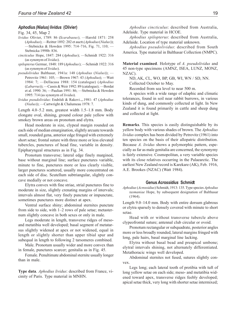#### *Aphodius (Nialus) lividus* **(Olivier)**

Fig. 34, 45, Map 2

- *lividus* Olivier, 1789: 86 (*Scarabaeus*); —Harold 1871: 258 (*Aphodius*); —Reitter 1892: 202 et auctt.(*Aphodius* (*Nialus*)); —Stebnicka & Howden 1995: 714–716, Fig. 71, 110; — Stebnicka 1998b: 836.
- *cincticulus* Hope, 1847: 284 (*Aphodius*); —Schmidt 1922: 316 (as synonym of *lividus*).
- *spilopterus* Germar, 1848: 189 (*Aphodius*); —Schmidt 1922: 316 (as synonym of *lividus*).
- *pseudolividus* Balthasar, 1941a: 148 (*Aphodius* (*Nialus*)); Petrovitz 1961: 105; —Brown 1967: 43 *(Aphodius*); —Watt 1984: 7; —Dellacasa 1988: 154 (catalogue) (*Aphodius* (*Labarrus*)); —Cassis & Weir 1992: 89 (catalogue); —Bordat et al. 1990: 36; —Paulian 1991: 86; —Stebnicka & Howden 1995: 714 (as synonym of *lividus*).
- *lividus pseudolividus*: Endrödi & Rakovi…, 1981: 47 (*Aphodius* (*Nialus*)); —Cartwright & Chalumeau 1978: 7.

Length 4.0–5.2 mm, greatest width 1.5–1.8 mm. Body elongate oval, shining, ground colour pale yellow with smokey brown areas on pronotum and elytra.

Head moderate in size, clypeal margin rounded on each side of median emargination, slightly arcuate towards small, rounded gena, anterior edge fringed with extremely short setae; frontal suture with three more or less elevated tubercles, punctures of head fine, variable in density. Epipharyngeal structures as in Fig. 34.

Pronotum transverse; lateral edge finely margined, base without marginal line; surface punctures variable, minute to fine, punctures more or less clearly visible, larger punctures scattered, usually more concentrated on each side of disc. Scutellum subtriangular, slightly concave medially or not concave.

Elytra convex with fine striae, strial punctures fine to moderate in size, slightly crenating margins of intervals; intervals almost flat, very finely punctate or impunctate, sometimes punctures more distinct at apex.

Ventral surface shiny; abdominal sternites punctate from side to side, with 1–2 rows of pale setae; metasternum slightly concave in both sexes or only in male.

Legs moderate in length, transverse ridges of mesoand metatibia well developed; basal segment of metatarsus slightly widened at apex or not widened, equal in length or slightly shorter than upper tibial spur and subequal in length to following 2 tarsomeres combined.

Male. Pronotum usually wider and more convex than in female, punctures scarcer; genitalia as in Fig. 45.

Female. Penultimate abdominal sternite usually longer than in male.

**Type data**. *Aphodius lividus*: described from France, vicinity of Paris. Type material in MNHN.

*Aphodius cincticulus*: described from Australia, Adelaide. Type material in HCOE.

*Aphodius spilopterus*: described from Australia, Adelaide. Location of type material unknown.

*Aphodius pseudolividus*: described from South America. Type material in Balthasar Collection (NMPC).

**Material examined**. Holotype of *A. pseudolividus* and 45 non-type specimens (AMNZ, ISEA, LUNZ, MONZ, NZAC).

ND, AK, CL, WO, BP, GB, WI, WN / SD, NN. Collected October to May.

Recorded from sea level to near 500 m.

A species with a wide range of edaphic and climatic tolerances, found in soil near rabbit burrows, in various kinds of dung, and commonly collected at light. In New Zealand it is found primarily in cattle and sheep dung and collected at light.

**Remarks**. This species is easily distinguishable by its yellow body with various shades of brown. The *Aphodius lividus* complex has been divided by Petrovitz (1961) into ten species on the basis of their allopatric distribution. Because *A. lividus* shows a polymorphic pattern, especially as far as male genitalia are concerned, the synonymy is fairly extensive. Cosmopolitan, a very variable species with its close relatives occurring in the Palaearctic. The earliest New Zealand record is Karekare (AK), Feb. 1916, A.E. Brookes (NZAC) (Watt 1984).

#### **Genus** *Acrossidius* **Schmidt**

*Aphodius* (*Acrossidius*) Schmidt, 1913: 135. Type species *Aphodius tasmaniae* Hope, by subsequent designation of Balthasar (1964).

Length 9.0–14.0 mm. Body with entire dorsum glabrous or elytra sparsely to densely covered with minute to short setae.

Head with or without transverse tubercle above clypeofrontal suture; antennal club circular or ovoid.

Pronotum rectangular or subquadrate, posterior angles more or less broadly rounded, lateral margins fringed with long, pale hairs, basal marginal line lacking.

Elytra without basal bead and preapical umbone; elytral intervals shining, not alternately differentiated. Metathoracic wings well developed.

Abdominal sternites not fused, sutures slightly convex.

Legs long; each lateral tooth of protibia with tuft of long yellow setae on each side; meso- and metatibia widened toward apex, transverse ridges feebly developed; apical setae thick, very long with shorter setae intermixed;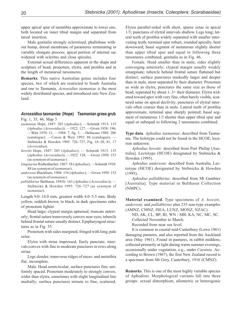upper apical spur of metatibia approximate to lower one, both located on inner tibial margin and separated from tarsal insertion.

Male genitalia strongly sclerotised, phallobase without hump, dorsal membrane of parameres terminating in variably elongate process; apical portion of internal sac widened with sclerites and close spicules.

External sexual differences apparent in the shape and sculpture of head, pronotum, elytra, and protibia and in the length of metatarsal tarsomeres.

**Remarks**. This native Australian genus includes four species, two of which are restricted to South Australia and one to Tasmania. *Acrossidius tasmaniae* is the most widely distributed species, and introduced into New Zealand.

#### *Acrossidius tasmaniae* **(Hope) Tasmanian grass grub**

Fig. 1, 35, 46, Map 3

- *tasmaniae* Hope, 1847: 285 (*Aphodius*); —Schmidt 1913: 135 (*Aphodius* (*Acrossidius*)); —1922: 127; —Given 1958: 196; —Watt 1970: 11; —1984: 7, fig. 1; —Dellacasa 1988: 206 (catalogue); —Cassis & Weir 1992: 86 (catalogue); — Stebnicka & Howden 1995: 726–727, Fig. 18–20, 81, 17 (*Acrossidius*).
- *howitti* Hope, 1847: 285 (*Aphodius*); Schmidt 1913: 135 (*Aphodius* (*Acrossidius*)); —1922: 128; —Given 1950: 153 (as synonym of *tasmaniae*).
- *longitarsus* Redtenbacher, 1867: 58 (*Aphodius*); —Schmidt 1910: 88 (as synonym of *tasmaniae*).
- *andersoni* Blackburn, 1904: 154 (*Aphodius*); —Given 1950: 153 (as synonym of *tasmaniae*).
- *pallidihirtus* Balthasar, 1941b: 163 (*Aphodius* (*Acrossidius*)); Stebnicka & Howden 1995: 726–727 (as synonym of *tasmaniae*).

Length 9.0–14.0 mm, greatest width 4.0–5.5 mm. Body yellow, reddish brown, to black, in dark specimens sides of pronotum lighter.

Head large; clypeal margin upturned, truncate anteriorly; frontal suture transversely convex near eyes; tubercle behind frontal suture usually distinct. Epipharyngeal structures as in Fig. 35.

Pronotum with sides margined, fringed with long, pale setae.

Elytra with striae impressed, finely punctate; intervals convex with fine to moderate punctures in rows along striae.

Legs slender; transverse ridges of meso- and metatibia flat, incomplete.

Male. Head semicircular, surface punctures fine, uniformly spaced. Pronotum moderately to strongly convex, wider than elytra, sometimes with slight longitudinal line medially; surface punctures minute to fine, scattered.

Elytra parallel-sided with short, sparse setae in apical 1/3; punctures of elytral intervals shallow. Legs long; lateral teeth of protibia widely separated with smaller intervening teeth; terminal spur robust, rounded apically, bent downward; basal segment of metatarsus slightly shorter than upper tibial spur and equal to following three tarsomeres combined; genitalia as in Fig. 46.

Female. Head smaller than in male, sides slightly converging anteriorly; clypeal margin usually weakly emarginate; tubercle behind frontal suture flattened but distinct; surface punctures markedly larger and deeper than in male, most separated by their diameter. Pronotum as wide as elytra, punctures the same size as those of head, separated by about  $1-3\times$  their diameter. Elytra widened toward apex with very fine, often barely visible, scattered setae on apical declivity; punctures of elytral intervals often coarser than in male. Lateral teeth of protibia approximate, terminal spur sharply pointed; basal segment of metatarsus 1/3 shorter than upper tibial spur and equal or subequal to following 2 tarsomeres combined.

**Type data**. *Aphodius tasmaniae*: described from Tasmania. The holotype could not be found in the HCOE; location unknown.

*Aphodius howitti:* described from Port Phillip [Australia]. Lectotype (HCOE) designated by Stebnicka & Howden (1995).

*Aphodius andersoni:* described from Australia. Lectotype (HCOE) designated by Stebnicka & Howden (1995).

*Aphodius pallidihirtus*: described from Mt Gambier [Australia]. Type material in Balthasar Collection (NMPC).

**Material examined**. Type specimens of *A. howitti, andersoni,* and *pallidihirtus* plus 235 non-type examples (AMNZ, CMNZ, ISEA, LUNZ, MONZ, NZAC).

ND, AK, CL, BP, RI, WN / MB, KA, NC, MC, SC. Collected November to March.

Recorded from near sea level.

It is common in coastal mid-Canterbury (Lowe 1961) damaging pastures, and also reported from the Auckland area (May 1961). Found in pastures, in rabbit middens; collected primarily at light during warm summer evenings, occasionally under vegetation, e.g., under *Cassinia.* According to Brown (1967), the first New Zealand record is a specimen from Mt Grey, Canterbury, 1916 (CMNZ).

**Remarks**. This is one of the most highly variable species of Aphodiini. Morphological variants fall into three groups: sexual dimorphism, allometric or heterogonic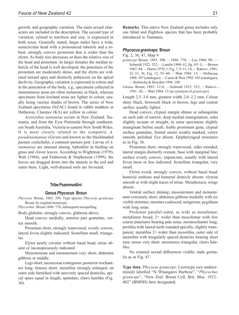growth, and geographic variation. The main sexual characters are included in the description. The second type of variation, related to nutrition and size, is expressed in both sexes. Generally stated, larger males have a wide, semicircular head with a pronounced tubercle and a robust, strongly convex pronotum that is wider than the elytra. As body size decreases so does the relative size of the head and pronotum. In larger females the median tubercle of the head is well developed, the punctures of the pronotum are moderately dense, and the elytra are widened toward apex and distinctly pubescent on the apical declivity. Geographic variation is expressed in colour and in the punctation of the body, e.g., specimens collected in mountainous areas are often melanistic or black, whereas specimens from lowland areas are lighter in colour, usually being various shades of brown. The series of New Zealand specimens (NZAC) found in rabbit middens at Hathaway, Clarence (KA) are yellow in colour.

*Acrossidius tasmaniae* occurs in New Zealand, Tasmania, and from the Eyre Peninsula through southeastern South Australia, Victoria to eastern New South Wales. It is most closely related to the sympatric *A. pseudotasmaniae* (Given) and known as the blackheaded pasture cockchafer, a common pasture pest. Larvae of *A. tasmaniae* are unusual among Aphodiini in feeding on grass and clover leaves. According to Wightman (1979), Watt (1984), and Emberson & Stephenson (1999), the leaves are dragged down into the tunnels in the soil and eaten there. Light, well-drained soils are favoured.

#### **Tribe Psammodiini**

#### **Genus** *Phycocus* **Broun**

*Phycocus* Broun, 1883: 299. Type species *Phycocus graniceps* Broun, by original monotypy.

*Phycochus*: Broun 1886: 770, subsequent misspelling.

Body globular, strongly convex, glabrous above.

Head convex medially, anterior part granulate, vertex smooth.

Pronotum short, strongly transversal, evenly convex, lateral fovea slightly indicated. Scutellum small, triangular.

Elytra nearly circular without basal bead; striae absent or inconspicuously indicated.

Mesosternum and metasternum very short; abdomen gibbose at middle.

Legs short; mesocoxae contiguous; posterior trochanters long; femora short; metatibia strongly enlarged, on outer side furnished with unevenly spaced denticles, apical spurs equal in length, spatulate; claws hairlike (Fig. 30).

**Remarks**. This native New Zealand genus includes only one blind and flightless species that has been probably introduced to Tasmania.

#### *Phycocus graniceps* **Broun**

Fig. 2, 36, 47, Map 4

- *graniceps* Broun, 1883: 300; —1886: 770; —Lea 1904: 90; Schmidt 1922: 522; —Landin 1960: 62, fig. 4 F–L; —Brown 1967: 44; —Harris 1970: 1, Fig. 7, 9–11, 14; —Rakovi… 1981: 32–33, 36, Fig. 12, 55–60; —Watt 1984: 13; —Dellacasa 1988: 307 (catalogue); —Cassis & Weir 1992: 103 (catalogue); —Stebnicka & Howden 1996: 109.
- *lobatus* Broun, 1893: 1114; —Schmidt 1922: 523; —Rakovi… 1981: 36; —Watt 1984: 13 (as synonym of *graniceps*).

Length 2.5–3.0 mm, greatest width 2.0–2.2 mm. Colour shiny black, brownish black or brown, legs and ventral surface usually lighter.

Head convex, clypeal margin obtuse or subangulate on each side of narrow, deep median emargination, sides slightly arcuate or straight, in some specimens slightly emarginate before small, feebly prominent gena; clypeal surface granulate, frontal suture weakly marked, vertex smooth, polished. Eye absent. Epipharyngeal structures as in Fig. 36.

Pronotum short, strongly transversal, sides rounded, lateral margin distinctly crenate, base with marginal line; surface evenly convex, impunctate, usually with lateral fovea more or less indicated. Scutellum triangular, very small.

Elytra ovoid, strongly convex, without basal bead; humeral umbone and humeral denticle absent; elytron smooth or with slight traces of striae. Metathoracic wings absent.

Ventral surface shining; mesosternum and metasternum extremely short; abdomen gibbose medially with six visible sternites; sternites coalesced, setigerous; pygidium with long setae.

Profemur parallel-sided, as wide as metafemur; metafemur broad,  $2 \times$  wider than mesofemur with few coarse punctures bearing pale setae; metatrochanter long; protibia with lateral teeth rounded apically, slightly transparent; metatibia  $2 \times$  wider than mesotibia, outer side of metatibia with irregularly spaced denticles bearing short seta; tarsus very short, tarsomeres triangular, claws hairlike.

No external sexual differences visible; male genitalia as in Fig. 47.

**Type data**. *Phycocus graniceps*: Lectotype (sex undetermined) labelled "N Whangarei Harbour", "*Phycochus graniceps*", "New Zeal. Broun Coll. Brit. Mus. 1922– 482" (BMNH) here designated.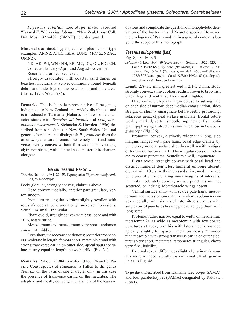*Phycocus lobatus*: Lectotype male, labelled "Taranaki", "*Phycochuslobatus*", "New Zeal. Broun Coll. Brit. Mus. 1922–482" (BMNH) here designated.

**Material examined**. Type specimens plus 67 non-type examples (AMNZ, ANIC, ISEA, LUNZ, MONZ, NZAC, OMNZ).

ND, AK, WI, WN / NN, BR, MC, DN, OL, FD / CH. Collected January–April and August–November.

Recorded at or near sea level.

Strongly associated with coastal sand dunes on beaches, nocturnally active, commonly found beneath debris and under logs on the beach or in sand dune areas (Harris 1970, Watt 1984).

**Remarks**. This is the sole representative of the genus, indigenous to New Zealand and widely distributed, and is introduced to Tasmania (Hobart). It shares some character states with *Tesarius sulcipennis* and *Leiopsammodius newcastleensis* Stebnicka & Howden (1996) described from sand dunes in New South Wales. Unusual generic characters that distinguish *P*. *graniceps* from the other two genera are: pronotum extremely short and transverse, evenly convex without furrows or their vestiges; elytra non striate, without basal bead; posterior trochanters elongate.

#### **Genus** *Tesarius* **Rakovi**…

*Tesarius* Rakovi…, 1981: 27–29. Type species *Phycocus sulcipennis* Lea, by monotypy.

Body globular, strongly convex, glabrous above.

Head convex medially, anterior part granulate, vertex smooth.

Pronotum rectangular, surface slightly swollen with rows of moderate punctures along transverse impressions. Scutellum small, triangular.

Elytra ovoid, strongly convex with basal bead and with 10 punctate striae.

Mesosternum and metasternum very short; abdomen convex at middle.

Legs short; mesocoxae contiguous; posterior trochanters moderate in length; femora short; metatibia broad with strong transverse carina on outer side, apical spurs spatulate, nearly equal in length; claws hairlike (Fig. 31).

**Remarks**. Rakovi… (1984) transferred four Nearctic, Pacific Coast species of *Psammodius* Fallén to the genus *Tesarius* on the basis of one character only, in this case the presence of transverse carina on the metatibia. The adaptive and mostly convergent characters of the legs are

obvious and complicate the question of monophyletic derivation of the Australian and Nearctic species. However, the phylogeny of Psammodiini in a general context is beyond the scope of this monograph.

#### *Tesarius sulcipennis* **(Lea)**

Fig. 8, 48, Map 5

*sulcipennis* Lea, 1904: 89 (*Phycocus*); —Schmidt, 1922: 523; — Landin 1960: 65 (*Phycocus* (*Brindalus*)); —Rakovi… 1981: 27–29, Fig.. 52–54 (*Tesarius*); —1984: 450; —Dellacasa 1988: 307 (catalogue); —Cassis & Weir 1992: 103 (catalogue); —Stebnicka & Howden 1996: 109.

Length 2.8–3.2 mm, greatest width 2.1–2.2 mm. Body strongly convex, shiny; colour reddish brown to brownish black, legs and ventral surface usually lighter.

Head convex, clypeal margin obtuse to subangulate on each side of narrow, deep median emargination, sides straight or slightly emarginate before feebly protruding, setaceous gena; clypeal surface granulate, frontal suture weakly marked, vertex smooth, impunctate. Eye vestigial. Epipharyngeal structures similar to those in *Phycocus graniceps* (Fig. 36).

Pronotum convex, distinctly wider than long, side margins fringed with pale hairs, basal edge crenate by punctures; pronotal surface slightly swollen with vestiges of transverse furrows marked by irregular rows of moderate to coarse punctures. Scutellum small, impunctate.

Elytra ovoid, strongly convex with basal bead and distinct humeral denticles, humeral umbone absent; elytron with 10 distinctly impressed striae, medium-sized punctures slightly crenating inner margins of intervals; intervals moderately convex, surface punctures minute, scattered, or lacking. Metathoracic wings absent.

Ventral surface shiny with scarce pale hairs; mesosternum and metasternum extremely short; abdomen convex medially with six visible sternites; sternites with single row of punctures bearing pale setae, pygidium with long setae.

Profemur rather narrow, equal to width of mesofemur; metafemur 2× as wide as mesofemur with few coarse punctures at apex; protibia with lateral teeth rounded apically, slightly transparent; metatibia nearly  $2 \times$  wider than mesotibia with strong transverse carina on outer side; tarsus very short, metatarsal tarsomeres triangular, claws very fine, hairlike.

External sexual differences slight, elytra in male usually more rounded laterally than in female. Male genitalia as in Fig. 48.

**Type data**. Described from Tasmania. Lectotype (SAMA) and four paralectotypes (SAMA) designated by Rakovi... (1981).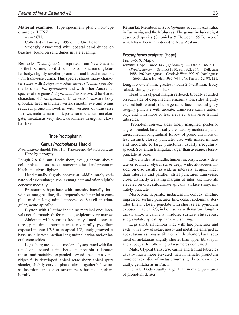**Material examined**. Type specimens plus 2 non-type examples (LUNZ).

 $-$  / – / CH.

Collected in January 1999 on Te One Beach.

Strongly associated with coastal sand dunes on beaches, found on sand dunes in late evening.

**Remarks**. *T. sulcipennis* is reported from New Zealand for the first time; it is distinct in its combination of globular body, slightly swollen pronotum and broad metatibia with transverse carina. This species shares many character states with *Leiopsammodius newcastleensis* (see Remarks under *Ph. graniceps*) and with other Australian species of the genus *Leiopsammodius* Rakovi.. The shared characters of *T. sulcipennis* and *L. newcastleensis* are: body globular, head granulate, vertex smooth, eye and wings reduced; pronotum swollen with vestiges of transverse furrows; metasternum short, posterior trochanters not elongate; metatarsus very short, tarsomeres triangular, claws hairlike.

#### **Tribe Proctophanini**

#### **Genus** *Proctophanes* **Harold**

*Proctophanes* Harold, 1861: 111. Type species *Aphodiussculptus* Hope, by monotypy.

Length 2.8–6.2 mm. Body short, oval, glabrous above; colour black to castaneous, sometimes head and pronotum black and elytra lighter.

Head usually slightly convex at middle, rarely carinate and tuberculate; clypeus emarginate and often slightly concave medially.

Pronotum subquadrate with tumosity laterally, base without marginal line, disc frequently with partial or complete median longitudinal impression. Scutellum triangular, acute apically.

Elytron with 10 striae including marginal one; intervals not alternately differentiated, epipleura very narrow.

Abdomen with sternites frequently fluted along sutures, penultimate sternite arcuate ventrally, pygidium exposed in apical 2/3 or in apical 1/2, finely grooved at base, usually with median longitudinal carina and/or lateral concavities.

Legs short; mesocoxae moderately separated with flattened or elevated carina between; protibia tridentate; meso- and metatibia expanded toward apex, transverse ridges fully developed, apical setae short; apical spurs slender, slightly curved, placed close together below tarsal insertion; tarsus short, tarsomeres subtriangular, claws hornlike.

**Remarks**. Members of *Proctophanes* occur in Australia, in Tasmania, and the Moluccas. The genus includes eight described species (Stebnicka & Howden 1995), two of which have been introduced to New Zealand.

#### *Proctophanes sculptus* **(Hope)**

Fig. 3–6, 9, Map 6

*sculptus* Hope, 1846: 147 (*Aphodius*); —Harold 1861: 111 (*Proctophanes*); —Schmidt 1910: 95. 1922: 364; —Dellacasa 1988: 196 (catalogue); —Cassis & Weir 1992: 93 (catalogue); —Stebnicka & Howden 1995: 744–745, Fig. 51–52, 98, 121.

Length 5.0–5.8 mm, greatest width 2.6–2.8 mm. Body robust, shiny, piceous black.

Head with clypeal margin reflexed, broadly rounded on each side of deep median emargination, sides slightly excised before small, obtuse gena; surface of head slightly roughly punctate with arcuate, transverse carina anteriorly, and with more or less elevated, transverse frontal tubercles.

 Pronotum convex, sides finely margined, posterior angles rounded, base usually crenated by moderate punctures; median longitudinal furrow of pronotum more or less distinct, closely punctate, disc with mixed minute and moderate to large punctures, usually irregularly spaced. Scutellum triangular, larger than average, closely punctate at base.

Elytra widest at middle, humeri inconspicuously dentate or rounded; elytral striae deep, wide, alutaceous inside, on disc usually as wide as intervals, at apex wider than intervals and parallel; strial punctures transverse, close, distinctly crenating margins of intervals; intervals elevated on disc, subcarinate apically, surface shiny, minutely punctate.

Mesocoxae separate; metasternum convex, midline impressed, surface punctures fine, dense; abdominal sternites finely, closely punctate with short setae; pygidium exposed in apical 2/3, in both sexes with narrow, longitudinal, smooth carina at middle, surface alutaceous, subgranulate, apical lip narrowly shining.

Legs short; all femora wide with fine punctures and each with a row of setae; meso- and metatibia enlarged at apex; tarsus as long as tibia or a little shorter; basal segment of metatarsus slightly shorter than upper tibial spur and subequal to following 3 tarsomeres combined.

Male. Clypeal transverse carina and frontal tubercles usually much more elevated than in female, pronotum more convex; disc of metasternum slightly concave medially; genitalia as in Fig. 5.

Female. Body usually larger than in male, punctures of pronotum denser.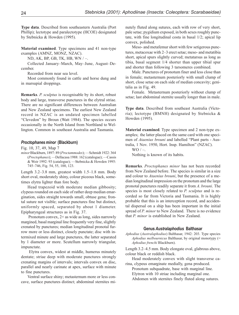**Type data**. Described from southeastern Australia (Port Phillip); lectotype and paralectotype (HCOE) designated by Stebnicka & Howden (1995).

**Material examined**. Type specimens and 41 non-type examples (AMNZ, MONZ, NZAC).

ND, AK, BP, GB, TK, HB, WN / –.

Collected January–March, May–June, August–December.

Recorded from near sea level.

Most commonly found in cattle and horse dung and in marsupial droppings.

**Remarks**. *P. sculptus* is recognisable by its short, robust body and large, transverse punctures in the elytral striae. There are no significant differences between Australian and New Zealand specimens. The earliest New Zealand record in NZAC is an undated specimen labelled "Clevedon" by Broun (Watt 1984). The species occurs occasionally in the North Island from Northland to Wellington. Common in southeast Australia and Tasmania.

#### *Proctophanes minor* **(Blackburn)**

Fig. 10, 37, 49, Map 7

*minor* Blackburn, 1897: 89 (*Proctammodes*); —Schmidt 1922: 364 (*Proctophanes*); —Dellacasa 1988: 162 (catalogue); —Cassis & Weir 1992: 93 (catalogue); —Stebnicka & Howden 1995: 745–746, Fig. 54, 55, 100, 123.

Length 3.2–3.8 mm, greatest width 1.5–1.8 mm. Body short oval, moderately shiny, colour piceous black, sometimes elytra lighter than fore body.

Head trapezoid with moderate median gibbosity; clypeus rounded on each side of rather deep median emargination, sides straight towards small, obtuse gena; frontal suture not visible; surface punctures fine but distinct, uniformly spaced, separated by about 1 diameter. Epipharyngeal structures as in Fig. 37.

Pronotum convex,  $2 \times$  as wide as long, sides narrowly margined, basal marginal line frequently very fine, slightly crenated by punctures; median longitudinal pronotal furrow more or less distinct, closely punctate; disc with intermixed minute and large punctures, the latter separated by 1 diameter or more. Scutellum narrowly triangular, impunctate.

 Elytra convex, widest at middle, humerus minutely dentate; striae deep with moderate punctures strongly crenating margins of intervals; intervals convex on disc, parallel and nearly carinate at apex, surface with minute to fine punctures.

Ventral surface shiny; metasternum more or less concave, surface punctures distinct; abdominal sternites minutely fluted along sutures, each with row of very short, pale setae; pygidium exposed, in both sexes roughly punctate, with fine longitudinal costa in basal 1/2; apical lip convex, polished.

Meso- and metafemur short with few setigerous punctures, metacoxae with 2–3 erect setae; meso- and metatibia short, apical spurs slightly curved; metatarsus as long as tibia, basal segment 1/4 shorter than upper tibial spur and shorter than following 3 tarsomeres combined.

Male. Punctures of pronotum finer and less close than in female; metasternum posteriorly with small clump of short, close setae on each side of median concavity; genitalia as in Fig. 49.

Female. Metasternum posteriorly without clump of setae; last abdominal sternite usually longer than in male.

**Type data**. Described from southeast Australia (Victoria); lectotype (BMNH) designated by Stebnicka & Howden (1995).

**Material examined**. Type specimen and 2 non-type examples; the latter placed on the same card with one specimen of *Ataenius brouni* and labelled "Plant parts - Australia, 1 Nov. 1950, Hort. Insp. Hamilton" (NZAC).

 $WO$  / –. Nothing is known of its habits.

**Remarks**. *Proctophanes minor* has not been recorded from New Zealand before. The species is similar in a size and colour to *Ataenius brouni*, but the presence of a median longitudinal impression on the pronotum and the large pronotal punctures readily separate it from *A*. *brouni*. The species is most closely related to *P. sculptus* and is recorded so far from Victoria and Tasmania. It is highly probable that this is an interception record, and accidental dispersal on a ship has been important in the initial spread of *P. minor* to New Zealand. There is no evidence that *P. minor* is established in New Zealand.

#### **Genus** *Australaphodius* **Balthasar**

*Aphodius* (*Australaphodius*) Balthasar, 1942: 203. Type species *Aphodius melbournicus* Balthasar, by original monotypy (= *Aphodius frenchi* Blackburn).

Length 3.2–4.5 mm. Body elongate oval, glabrous above, colour black or reddish black.

Head moderately convex with slight transverse carina, clypeus emarginate medially, gena produced.

Pronotum subquadrate, base with marginal line.

Elytron with 10 striae including marginal one.

Abdomen with sternites finely fluted along sutures.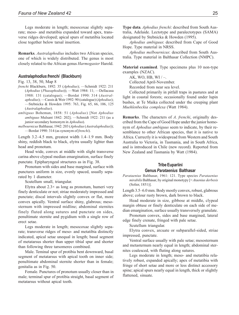Legs moderate in length; mesocoxae slightly separate; meso- and metatibia expanded toward apex, transverse ridges developed; apical spurs of metatibia located close together below tarsal insertion.

**Remarks**. *Australaphodius* includes two African species, one of which is widely distributed. The genus is most closely related to the African genus *Harmogaster* Harold.

#### *Australaphodius frenchi* **(Blackburn)**

Fig. 13, 38, 50, Map 8

- *frenchi* Blackburn, 1892: 35 (*Aphodius*); —Schmidt 1922: 211 (*Aphodius* (*Phaeaphodius*)); —Watt 1984: 11; —Dellacasa 1988: 131 (catalogue); —Bordat 1990: 314 (*Australaphodius*); —Cassis & Weir 1992: 90 (catalogue) (*Aphodius*); —Stebnicka & Howden 1995: 763, Fig. 65, 66, 106, 125 (*Australaphodius*).
- *ambiguus* Boheman, 1858: 51 (*Aphodius*) [Not *Aphodius ambiguus* Mulsant 1842: 202]; —Schmidt 1922: 211 (as a junior secondary homonym in *Aphodius*).

*melbournicus* Balthasar, 1942: 203 (*Aphodius* (*Australaphodius*)); —Bordat 1990: 314 (as synonym of *frenchi*).

Length 3.2–4.5 mm, greatest width 1.4–1.9 mm. Body shiny, reddish black to black, elytra usually lighter than head and pronotum.

Head wide, convex at middle with slight transverse carina above clypeal median emargination, surface finely punctate. Epipharyngeal structures as in Fig. 38.

Pronotum with sides and base margined, surface with punctures uniform in size, evenly spaced, usually separated by 1 diameter.

Scutellum small, triangular.

Elytra about  $2.3 \times$  as long as pronotum, humeri very finely denticulate or not; striae moderately impressed and punctate; discal intervals slightly convex or flat, more convex apically. Ventral surface shiny, glabrous; mesosternum with impressed midline; abdominal sternites finely fluted along sutures and punctate on sides, penultimate sternite and pygidium with a single row of erect setae.

Legs moderate in length; mesocoxae slightly separate; transverse ridges of meso- and metatibia distinctly indicated, apical setae unequal in length; basal segment of metatarsus shorter than upper tibial spur and shorter than following three tarsomeres combined.

Male. Teminal spur of protibia bent downward, basal segment of metatarsus with apical tooth on inner side; penultimate abdominal sternite shorter than in female; genitalia as in Fig. 50.

Female. Punctures of pronotum usually closer than in male; terminal spur of protibia straight, basal segment of metatarsus without apical tooth.

**Type data**. *Aphodius frenchi*: described from South Australia, Adelaide. Lectotype and paralectotypes (SAMA) designated by Stebnicka & Howden (1995).

*Aphodius ambiguus*: described from Cape of Good Hope. Type material in NRSS.

*Aphodius melbournicus*: described from South Australia. Type material in Balthasar Collection (NMPC).

**Material examined**. Type specimens plus 10 non-type examples (NZAC).

AK, WO, HB, WI  $/-$ . Collected April-November.

Recorded from near sea level.

Collected primarily in pitfall traps in pastures and at light in coastal forests; occasionally found under lupin bushes, at Te Maika collected under the creeping plant *Muehlenbeckia complexa* (Watt 1984).

**Remarks**. The characters of *A. frenchi*, originally described from the Cape of Good Hope under the junior homonym of *Aphodius ambiguus* seem to indicate, by their resemblance to other African species, that it is native to Africa. Currectly it is widespread from Western and South Australia to Victoria, in Tasmania, and in South Africa, and is introduced in Chile (new record). Reported from New Zealand and Tasmania by Watt (1984).

#### **Tribe Eupariini Genus** *Parataenius* **Balthasar**

*Parataenius* Balthasar, 1961: 121. Type species *Parataenius mirabilis* Balthasar, by original monotypy [= *Ataenius derbesis* (Solier, 1851)].

Length 3.5–6.0 mm. Body mostly convex, robust, glabrous above; colour rusty brown, dark brown to black.

Head moderate in size, gibbose at middle, clypeal margin obtuse or finely denticulate on each side of median emargination, surface usually transversely granulate.

Pronotum convex, sides and base margined, lateral edge finely crenate, fringed with pale setae.

Scutellum triangular.

Elytra convex, arcuate or subparallel-sided, striae impressed, punctate.

Ventral surface usually with pale setae; mesosternum and metasternum nearly equal in length; abdominal sternites coalesced, with fluting along sutures.

Legs moderate in length; meso- and metatibia relatively robust, expanded apically; apex of metatibia with fringe of short setae and more or less distinct accessory spine; apical spurs nearly equal in length, thick or slightly flattened, sinuate.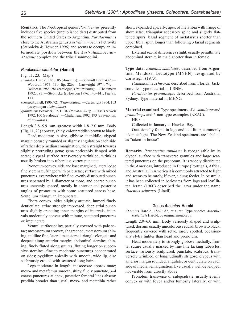**Remarks**. The Neotropical genus *Parataenius* presently includes five species (unpublished data) distributed from the southern United States to Argentina. *Parataenius* is close to the Australian genus *Australammoecius* Petrovitz (Stebnicka & Howden 1996) and seems to occupy an intermediate position between the *Australammoecius– Ataenius* complex and the tribe Psammodiini.

#### *Parataenius simulator* **(Harold)**

#### Fig. 11, 23, Map 9

- *simulator* Harold, 1868: 85 (*Ataenius*); —Schmidt 1922: 439; Woodruff 1973: 130, fig. 226; —Cartwright 1974: 74; — Dellacasa 1988: 281 (catalogue) (*Parataenius*); —Chalumeau 1992: 193; —Stebnicka & Howden 1996: 140–141, Fig. 85, 113.
- *schwarzi* Linell, 1896: 721 *(Psammodius)*; —Cartwright 1964: 103 (as synonym of *simulator*).
- *granuliceps* Petrovitz, 1971: 102 (*Parataenius*); —Cassis & Weir 1992: 100 (catalogue); —Chalumeau 1992: 193 (as synonym of *simulator*).

Length 3.8–5.9 mm, greatest width 1.8–2.0 mm. Body (Fig. 11, 23) convex, shiny, colour reddish brown to black.

Head moderate in size, gibbose at middle, clypeal margin obtusely rounded or slightly angulate on each side of rather deep median emargination, then straight towards slightly protruding gena; gena noticeably fringed with setae; clypeal surface transversely wrinkled, wrinkles usually broken into tubercles; vertex punctate.

Pronotum convex, side and base margined, lateral edge finely crenate, fringed with pale setae; surface with mixed punctures, everywhere with fine, evenly distributed punctures separated by 1 diameter or more, and coarse punctures unevenly spaced, mostly in anterior and posterior angles of pronotum with some scattered across base. Scutellum triangular, impunctate.

Elytra convex, sides slightly arcuate, humeri finely denticulate; striae strongly impressed, deep strial punctures slightly crenating inner margins of intervals; intervals moderately convex with minute, scattered punctures or impunctate.

Ventral surface shiny, partially covered with pale setae; mesosternum convex, shagreened; metasternum shining, midline fine, lateral metasternal triangle elongate and deepest along anterior margin; abdominal sternites shining, finely fluted along sutures, fluting longer on successive sternites, fine to moderate punctures concentrated on sides; pygidium apically with smooth, wide lip, disc scabrously eroded with scattered long hairs.

Legs moderate in length; mesocoxae approximate; meso- and metafemur smooth, shiny, finely punctate, 3–4 coarse punctures at apex, posterior femoral lines absent; protibia broader than usual; meso- and metatibia rather short, expanded apically; apex of metatibia with fringe of short setae, triangular accessory spine and slightly flattened spurs; basal segment of metatarsus shorter than upper tibial spur, longer than following 3 tarsal segments combined.

External sexual differences slight; usually penultimate abdominal sternite in male shorter than in female

**Type data**. *Ataenius simulator*: described from Argentina, Mendoza. Lectotype (MNHN) designated by Cartwright (1973).

*Psammodius schwarzi*: described from Florida, Jacksonville. Type material in USNM.

*Parataenius granuliceps*: described from Australia, Sydney. Type material in MHNG.

**Material examined**. Type specimens of *A.simulator* and *granuliceps* and 5 non-type examples (NZAC).

 $HB / -$ .

Collected in January at Hawkes Bay.

Occasionally found in logs and leaf litter, commonly taken at light. The New Zealand specimens are labelled as "taken in house".

**Remarks**. *Parataenius simulator* is recognisable by its clypeal surface with transverse granules and large scattered punctures on the pronotum. It is widely distributed in the Americas, introduced in Europe (Portugal), Africa, and Australia. In America it is commonly attracted to light and seems to be rarely, if ever, a dung feeder. In Australia it has been collected in berlesates from logs and leaf litter. Jerath (1960) described the larva under the name *Ataenius schwarzi* (Linell).

#### **Genus** *Ataenius* **Harold**

*Ataenius* Harold, 1867: 82, et auctt. Type species *Ataenius scutellaris* Harold, by original monotypy.

Length 2.0–6.0 mm. Body variously shaped and sculptured; dorsum usually unicolorous reddish brown to black, frequently covered with setae, rarely spotted, occasionally elytra lighter than head and pronotum.

Head moderately to strongly gibbose medially, frontal suture usually marked by fine line lacking tubercles, surface variously sculptured, punctate, scabrous, transversely wrinkled, or longitudinally strigose; clypeus with anterior margin rounded, angulate, or denticulate on each side of median emargination. Eye usually well developed, not visible from directly above.

Pronotum transverse or subquadrate, usually evenly convex or with fovea and/or tumosity laterally, or with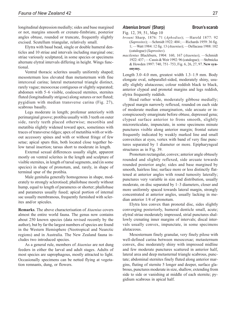longitudinal depression medially; sides and base margined or not, margins smooth or crenate-fimbriate, posterior angles obtuse, rounded or truncate, frequently slightly excised. Scutellum triangular, relatively small.

Elytra with basal bead, single or double humeral denticles and 10 striae and intervals including marginal one; striae variously sculptured, in some species or specimens alternate elytral intervals differing in height. Wings functional.

Ventral thoracic sclerites usually uniformly shaped; mesosternum less elevated than metasternum with fine intercoxal carina; lateral metasternal triangle distinct, rarely vague; mesocoxae contiguous or slightly separated; abdomen with 5–6 visible, coalesced sternites, sternites fluted (longitudinally strigose) along sutures or not fluted; pygidium with median transverse carina (Fig. 27), scabrous basally.

Legs moderate in length; profemur anteriorly with perimarginal groove; protibia usually with 3 teeth on outer side, rarely teeth placed otherwise; mesotibia and metatibia slightly widened toward apex, sometimes with traces of transverse ridges; apex of metatibia with or without accessory spines and with or without fringe of few setae; apical spurs thin, both located close together below tarsal insertion; tarsus short to moderate in length.

External sexual differences usually slight, apparent mostly on ventral sclerites in the length and sculpture of visible sternites, in length of tarsal segments, and (in some species) in shape of pronotum, and, rarely, in shape of terminal spur of the protibia.

Male genitalia generally homogenous in shape, moderately to strongly sclerotised; phallobase mostly without hump, equal to length of parameres or shorter; phallobase and parameres usually fused; apical portion of internal sac usually membranous, frequently furnished with sclerites and/or spicules.

**Remarks**. The above characterisation of *Ataenius* covers almost the entire world fauna. The genus now contains about 250 known species (data revised recently by the author), but by far the largest numbers of species are found in the Western Hemisphere (Neotropical and Nearctic regions) and in Australia. The New Zealand fauna includes two introduced species.

As a general rule, members of *Ataenius* are not dung feeders in either the larval and adult stages. Adults of most species are saprophagous, mostly attracted to light. Occasionally specimens can be netted flying at vegetation remnants, dung, or flowers.

#### *Ataenius brouni* **(Sharp) Broun's scarab**

Fig. 12, 39, 51, Map 10

- *brouni* Sharp, 1876: 71 (*Aphodius*); —Harold 1877: 92 (*Saprosites*); —Schmidt 1922: 404 ; —Richards 1959: 36 fig. 1; —Watt 1984: 12 fig. 13 (*Ataenius*); —Dellacasa 1988: 102 (catalogue) (*Saprosites*).
- *macilentus* Blackburn, 1904: 160, 167 (*Ataenius*); —Schmidt 1922: 437 ; —Cassis & Weir 1992: 96 (catalogue); —Stebnicka & Howden 1997: 740, 751–753, Fig. 6, 26, 27, 97. **New synonymy.**

Length 3.0–4.0 mm, greatest width 1.3–1.9 mm. Body elongate oval, subparallel-sided, moderately shiny, usually slightly alutaceous; colour reddish black to black, anterior clypeal and pronotal margins and legs reddish, elytra frequently reddish.

Head rather wide, moderately gibbose medially; clypeal margin narrowly reflexed, rounded on each side of moderate median emargination, side arcuate or inconspicuously emarginate before obtuse, depressed gena; clypeal surface anterior to frons smooth, slightly microreticulate, impunctate, in some specimens minute punctures visible along anterior margin; frontal suture frequently indicated by weakly marked line and small convexities at eyes, vertex with band of very fine punctures separated by 1 diameter or more. Epipharyngeal structures as in Fig. 39.

Pronotum rectangular, convex; anterior angle obtusely rounded and slightly reflexed, side arcuate towards rounded posterior angle; sides and base margined by smooth, hairless line; surface more or less distinctly flattened at anterior angles with round tumosity laterally; punctures very variable in size and distribution, usually moderate, on disc separated by 1–3 diameters, closer and more uniformly spaced towards lateral margin, strongly concentrated at anterior angles, usually lacking in median anterior 1/4 of pronotum.

Elytra less convex than pronotal disc, sides slightly converging posteriorly, humeral denticle small, acute; elytral striae moderately impressed, strial punctures shallowly crenating inner margins of intervals; discal intervals usually convex, impunctate, in some specimens alutaceous.

Mesosternum finely granular, very finely pilose with well-defined carina between mesocoxae; metasternum convex, disc moderately shiny with impressed midline and few moderate punctures scattered in anterior half, lateral area and deep metasternal triangle scabrous, punctate; abdominal sternites finely fluted along anterior margins, fluting of sternite 5 longer and deeper, surface glabrous, punctures moderate in size, shallow, extending from side to side or vanishing at middle of each sternite; pygidium scabrous in apical half.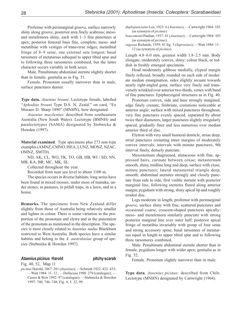Profemur with perimarginal groove, surface narrowly shiny along groove, posterior area finely scabrous; mesoand metafemora shiny, each with 1–3 fine punctures at apex; posterior femoral lines fine, complete; meso- and metatibiae with vestiges of transverse ridges; metatibial fringe of 8–9 setae, one external seta longest; basal tarsomere of metatarsus subequal to upper tibial spur and to following three tarsomeres combined, but the latter character occurs variably in both sexes.

Male. Penultimate abdominal sternite slightly shorter than in female; genitalia as in Fig. 51.

Female. Pronotum usually narrower than in male, surface punctures denser.

**Type data.** *Ataenius brouni*: Lectotype female, labelled "*Aphodius brouni* Type D.S. N. Zeald." on card, "Ex Musaeo D. Sharp 1890" (MNHN), here designated.

*Ataenius macilentus*: described from southeastern Australia (New South Wales). Lectotype (BMNH) and paralectotypes (SAMA) designated by Stebnicka & Howden (1997).

**Material examined**. Type specimens plus 273 non-type examples (AMNZ, CMNO, ISEA, LUNZ, MONZ, NZAC, OMNZ, SMTD).

ND, AK, CL, WO, TK, TO, GB, HB, WI / SD, NN, MB, KA, BR, MC, MK, SL.

Collected throughout the year.

Recorded from near sea level to about 1100 m.

The species occurs in diverse habitats; long series have been found in mixed mosses, under moss of manuka, under stones, in pastures, in pitfall traps, in a lawn, and in a house.

**Remarks.** The specimens from New Zealand differ slightly from those of Australia being relatively smaller and lighter in colour. There is some variation in the proportion of the pronotum and elytra and in the punctation of the pronotum as mentioned in the description. The species is most closely related to *Ataenius nudus* Blackburn restricted to West Australia. Both species have a similar habitus and belong to the *A. australasiae* group of species (Stebnicka & Howden 1997).

#### *Ataenius picinus* **Harold pitchy scarab**

Fig. 40, 52, Map 11

*picinus* Harold, 1867: 281 (*Ataenius*); —Schmidt 1922: 422–433; —Watt 1984: 11–12 ; —Dellacasa 1988: 279 (catalogue); — Cassis & Weir 1992: 97 (catalogue); —Stebnicka & Howden 1997: 740, 746–748, Fig. 4, 5, 22, 99.

*duplopunctatus* Lea, 1923: 6 (*Ataenius*); —Cartwright 1964: 103 (as synonym of *picinus*).

*boucomonti* Paulian, 1937: 41 (*Ataenius*); —Cartwright 1964: 103 (as synonym of *picinus*).

*rugosus* Richards, 1959: 41 fig. 3 (*Saprosites*); —Watt 1984: 11– 12 (as synonym of *picinus*).

Length 4.8–6.0 mm, greatest width 1.8–2.5 mm. Body elongate, moderately convex, shiny; colour black, or reddish in freshly emerged specimens.

Head moderately gibbose medially, clypeal margin finely reflexed, broadly rounded on each side of moderate median emargination, sides slightly arcuate towards nearly right-angled gena; surface very finely and transversely wrinkled over anterior two-thirds, vertex with band of fine punctures. Epipharyngeal structures as in Fig. 40.

Pronotum convex, side and base strongly margined, edge finely crenate, fimbriate, crenations noticeable at anterior angle; surface with mixed punctures throughout, very fine punctures evenly spaced, separated by about twice their diameters, larger punctures slightly irregularly spaced, gradually finer and less numerous over median anterior third of disc.

Elytron with very small humeral denticle, striae deep, strial punctures crenating inner margins of moderately convex intervals; intervals with minute punctures, 9th interval finely, densely punctate.

Mesosternum shagreened, alutaceous with fine, appressed hairs, carinate between coxae; metasternum smooth, shiny, midline long and deep, surface with close, minute punctures; lateral metasternal triangle deep, smooth; abdominal sternites strongly and closely punctate from side to side, first visible sternite with posterior marginal line, following sternites fluted along anterior margin; pygidium with strong, shiny apical lip and roughly eroded disc.

Legs moderate in length; profemur with perimarginal groove, surface shiny with fine, scattered punctures and occasional coarse, crescent-shaped punctures apically; meso- and metafemora similarly punctate with strong posterior marginal line over outer half; posterior apical fringe of metatibia invariably with group of four setae and strong accessory spine; basal tarsomere of metatarsus equal in length to upper tibial spur and to following three tarsomeres combined.

Male. Penultimate abdominal sternite shorter than in female, pygidium longer with wider apex; genitalia as in Fig. 52.

Female. Pronotum slightly narrower than in male.

**Type data**. *Ataenius picinus*: described from Chile. Lectotype (MNHN) designated by Cartwright (1964).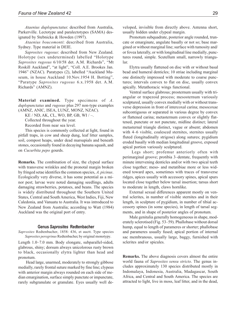*Ataenius duplopunctatus*: described from Australia, Parkerville. Lectotype and paralectotypes (SAMA) designated by Stebnicka & Howden (1997).

*Ataenius boucomonti*: described from Australia, Sydney. Type material in DEIE.

*Saprosites rugosus*: described from New Zealand. Holotype (sex undetermined) labelled "Holotype *Saprosites rugosus* 6/10/58 det. A.M. Richards", "Mt Roskill Auckland", "at light", "Coll. A.E. Brookes Jan. 1946" (NZAC). Paratypes (2), labelled "Auckland Museum, in house Auckland 10.Nov.1954 H. Botting", "Paratype *Saprosites rugosus* 6.x.1958 det. A.M. Richards" (AMNZ).

**Material examined.** Type specimens of *A. duplopunctatus* and *rugosus* plus 297 non-type examples (AMNZ, ANIC, ISEA, LUNZ, MONZ, NZAC).

KE / ND, AK, CL, WO, BP, GB, WI / –.

Collected throughout the year.

Recorded from near sea level.

This species is commonly collected at light, found in pitfall traps, in cow and sheep dung, leaf litter samples, soil, compost heaps, under dead marsupials and beneath stones, occasionally found in decaying banana squash, and on *Cucurbita pepo* gourds.

**Remarks.** The combination of size, the clypeal surface with transverse wrinkles and the pronotal margin broken by fringed setae identifies the common species, *A. picinus*. Ecologically very diverse, it has some potential as a minor pest; larvae were noted damaging seedlings, adults damaging strawberries, potatoes, and beans. The species is widely distributed throughout the Southern United States, Central and South America, West Indies, Fiji, New Caledonia, and Vanuatu to Australia. It was introduced to New Zealand from Australia; according to Watt (1984) Auckland was the original port of entry.

#### **Genus** *Saprosites* **Redtenbacher**

*Saprosites* Redtenbacher, 1858: 436, et auctt. Type species *Saprosites peregrinus* Redtenbacher, by original monotypy.

Length 1.0–7.0 mm. Body elongate, subparallel-sided, glabrous, shiny; dorsum always unicolorous rusty brown to black, occasionally elytra lighter than head and pronotum.

 Head large, unarmed, moderately to strongly gibbose medially, rarely frontal suture marked by fine line; clypeus with anterior margin always rounded on each side of median emargination, surface simply punctate or impunctate, rarely subgranulate or granulate. Eyes usually well developed, invisible from directly above. Antenna short, usually hidden under clypeal margin.

Pronotum subquadrate, posterior angle rounded, truncate or emarginate, angulate basally or not so; base margined or without marginal line; surface with tumosity and/ or fovea laterally, or with longitudinal line medially, punctures round, simple. Scutellum small, narrowly triangular.

Elytra usually flattened on disc with or without basal bead and humeral denticles; 10 striae including marginal one distinctly impressed with moderate to coarse punctures; intervals convex to flat on disc, usually convex apically. Metathoracic wings functional.

Ventral surface glabrous; prosternum usually with triangular or trapezoid process; mesosternum variously sculptured, usually convex medially with or without transverse depression in front of intercoxal carina; mesocoxae subcontiguous or separated in various degree by convex or flattened carina; metasternum convex or slightly flattened, punctate or not punctate, midline distinct; lateral metasternal triangle distinct, vague or absent; abdomen with 4–6 visible, coalesced sternites, sternites usually fluted (longitudinally strigose) along sutures; pygidium eroded basally with median longitudinal groove, exposed apical portion variously sculptured.

 Legs short; profemur anteriorly often with perimarginal groove; protibia 3–dentate, frequently with minute intervening denticles and/or with two apical teeth close together; meso- and metatibiae more or less widened toward apex, sometimes with traces of transverse ridges, apices usually with accessory spines, apical spurs located close together below tarsal insertion; tarsus short to moderate in length, claws hornlike.

External sexual differences apparent mostly on ventral sclerites, in number of visible sternites and in their length, in sculpture of pygidium, in number of tibial accessory spines (in some species), in length of tarsal segments, and in shape of posterior angles of pronotum.

Male genitalia generally homogeneous in shape, moderately sclerotised (Fig. 53–59). Phallobase without dorsal hump, equal to length of parameres or shorter; phallobase and parameres usually fused; apical portion of internal sac membranous, usually large, baggy, furnished with sclerites and/or spicules.

**Remarks.** The above diagnosis covers almost the entire world fauna of *Saprosites sensu stricto*. The genus includes approximately 130 species distributed mostly in Indomalaya, Indonesia, Australia, Madagascar, South Africa, and Central and South America. The species are attracted to light, live in moss, leaf litter, and in the dead,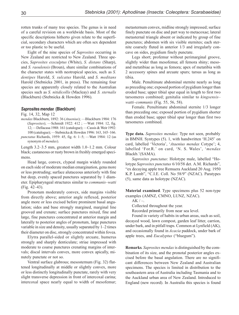rotten trunks of many tree species. The genus is in need of a careful revision on a worldwide basis. Most of the specific descriptions hitherto given relate to the superficial, secondary characters which are often sex dependent or too plastic to be useful.

Eight of the nine species of *Saprosites* occurring in New Zealand are restricted to New Zealand. Three species, *Saprosites exsculptus* (White), *S. distans* (Sharp), and *S. raoulensis* (Broun), share similar combinations of the character states with neotropical species, such as *S. dentipes* Harold, *S. sulcatus* Harold, and *S. meditans* Harold (Stebnicka 2001, in press). The remaining four species are apparently closely related to the Australian species such as *S. nitidicollis* (Macleay) and *S. sternalis* (Blackburn) (Stebnicka & Howden 1996).

#### *Saprosites mendax* **(Blackburn)**

Fig. 14, 32, Map 12

*mendax* Blackburn, 1892: 36 (*Ataenius*); —Blackburn 1904: 176 (*Saprosites*); —Schmidt 1922: 412 ; —Watt 1984: 12, fig. 12; —Dellacasa 1988: 161 (catalogue); —Cassis & Weir 1992: 100 (catalogue); —Stebnicka & Howden 1996: 163, 165–166.

*punctatus* Richards, 1959: 45, fig. 6: 1–5; —Watt 1984: 12 (as synonym of *mendax*).

Length 3.2–3.5 mm, greatest width 1.0–1.2 mm. Colour black; castaneous or rusty brown in freshly emerged specimens.

Head large, convex, clypeal margin widely rounded on each side of moderate median emargination, gena more or less protruding; surface alutaceous anteriorly with fine but deep, evenly spaced punctures separated by 1 diameter. Epipharyngeal structures similar to *communis–watti* (Fig. 42–43).

Pronotum moderately convex, side margins visible from directly above; anterior angle reflexed, posterior angle more or less excised before prominent basal angulation; sides and base strongly margined, marginal line grooved and crenate; surface punctures mixed, fine and large, fine punctures concentrated at anterior margin and laterally to posterior angles of pronotum, large punctures variable in size and density, usually separated by 1–2 times their diameter on disc, strongly concentrated within fovea.

Elytra parallel-sided or slightly arcuate, humerus strongly and sharply denticulate; striae impressed with moderate to coarse punctures crenating margins of intervals; discal intervals convex, more convex apically, minutely punctate or not so.

Ventral surface glabrous; mesosternum (Fig. 32) flattened longitudinally at middle or slightly convex, more or less distinctly longitudinally punctate, rarely with very slight transverse depression in front of intercoxal carina; intercoxal space nearly equal to width of mesofemur; metasternum convex, midline strongly impressed; surface finely punctate on disc and part way to metacoxae; lateral metasternal triangle absent or indicated by group of fine punctures; abdomen with six visible sternites; each sternite coarsely fluted in anterior 1/3 and irregularly concave on sides, pygidium finely punctate.

Legs short; profemur without perimarginal groove, slightly wider than mesofemur, all femora shiny; mesoand metatibiae as long as femora; apex of metatibia with 2 accessory spines and arcuate spurs; tarsus as long as tibia.

Male. Penultimate abdominal sternite nearly as long as preceding one; exposed portion of pygidium longer than eroded base; upper tibial spur equal in length to first two tarsomeres combined; genitalia similar to *kingsensis– watti–communis* (Fig. 55, 56, 58).

Female. Penultimate abdominal sternite 1/3 longer than preceding one; exposed portion of pygidium shorter than eroded base; upper tibial spur longer than first two tarsomeres combined.

**Type data.** *Saprosites mendax*: Type not seen, probably in BMNH. Syntypes (5). 1, with handwritten 'H.245' on card, labelled 'Victoria', '*Ataenius mendax* Cotype'; 4, labelled 'For.R.' on card, 'N. S. Wales', '*mendax* Blackb.'(SAMA).

*Saprosites punctatus*: Holotype male, labelled "Holotype *Saprosites punctatus* 6/10/58 det. A.M. Richards", "ex decaying apple tree Remuera Auckland 20 Aug. 1950 K.P. Lamb", "C.I.E. Coll. No 58/9" (NZAC). Paratypes (5), same data as holotype (NZAC).

**Material examined**. Type specimens plus 52 non-type examples (AMNZ, CMNO, LUNZ, NZAC).

 $AK / -$ .

Collected throughout the year.

Recorded primarily from near sea level.

Found in variety of habits in urban areas, such as soil, decayed wood, lawn compost, garden leaf litter, carrion, under bark, and in pitfall traps. Common at Lynfield (AK), and occasionally found in *Acacia* paddock, under bark of apple trees, and *Eucalyptus* ("bluegum").

**Remarks**. *Saprosites mendax* is distinguished by the combination of its size, and the pronotal posterior angles excised before the basal angulation. There are no significant differences between New Zealand and Australian specimens. The species is limited in distribution to the southeastern area of Australia including Tasmania and to the Auckland urban area of New Zealand. Introduced to England (new record). In Australia this species is found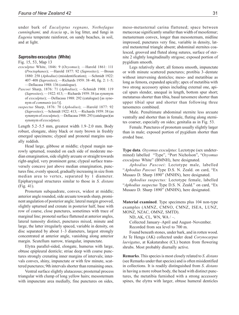under bark of *Eucalyptus regnans, Nothofagus cunninghami,* and *Acacia* sp., in log litter, and fungi in *Eugenia* temperate rainforest, on sandy beaches, in soil, and at light.

#### *Saprosites exsculptus* **(White)**

Fig. 15, 53, Map 13

- *exsculptus* White, 1846: 9 (*Oxyomus*); —Harold 1861: 111 (*Proctophanes*); —Harold 1877: 92 (*Saprosites*); —Broun 1880: 258 (*Aphodius*) (misidentification); —Schmidt 1922: 407–408 (*Saprosites*); —Richards 1959: 38–40, fig. 2: 1–5; —Dellacasa 1988: 136 (catalogue).
- *Pascoei* Sharp, 1876: 71 (*Aphodius*); —Schmidt 1908: 119 (*Saprosites*); —1922: 413; —Richards 1959: 38 (as synonym of *exsculptus*); —Dellacasa 1988: 292 (catalogue) [as synonym of *communis* (*sic*!)].
- *suspectus* Sharp, 1876: 70 (*Aphodius*); —Harold 1877: 92 (*Saprosites*); —Schmidt 1922: 413; —Richards 1959: 38 (as synonym of *exsculptus*); —Dellacasa 1988: 293 (catalogue)(as synonym of *exsculptus*).

Length 5.2–5.5 mm, greatest width 1.9–2.0 mm. Body robust, elongate, shiny black or rusty brown in freshly emerged specimens; clypeal and pronotal margins usually reddish.

Head large, gibbose at middle; clypeal margin narrowly upturned, rounded on each side of moderate median emargination, side slightly arcuate or straight towards right-angled, very prominent gena; clypeal surface transversely concave just above median emargination, punctures fine, evenly spaced, gradually increasing in size from median area to vertex, separated by 1 diameter. Epipharyngeal structures similar to those in *S. distans* (Fig. 41).

Pronotum subquadrate, convex, widest at middle; anterior angle rounded, side arcuate towards sharp, prominent angulation of posterior angle; lateral margin grooved, slightly upturned and crenate in posterior half, base with row of coarse, close punctures, sometimes with trace of marginal line; pronotal surface flattened at anterior angles, lateral tumosity distinct, punctures mixed, minute and large, the latter irregularly spaced, variable in density, on disc separated by about 1–3 diameters, largest strongly concentrated at anterior angle, vanishing along anterior margin. Scutellum narrow, triangular, impunctate.

Elytra parallel-sided, elongate, humerus with large, obtuse epipleural denticle; striae deep with coarse punctures strongly crenating inner margins of intervals; intervals convex, shiny, impunctate or with few minute, scattered punctures; 9th intervals shorter than remaining ones.

Ventral surface slightly alutaceous; prosternal process triangular with clump of long yellow hairs; mesosternum with impunctate area medially, fine punctures on sides,

meso-metasternal carina flattened; space between metacoxae significantly smaller than width of mesofemur; metasternum convex, longer than mesosternum, midline impressed, punctures very fine, variable in density, lateral metasternal triangle absent; abdominal sternites coalesced, grooved and fluted along sutures, surface of sternite 2 slightly longitudinally strigose; exposed portion of pygidium smooth.

Legs relatively short; all femora smooth, impunctate or with minute scattered punctures; protibia 3–dentate without intervening denticles; meso- and metatibiae as long as femora, expanded apically; apex of metatibia with two strong accessory spines including external one, apical spurs slender, unequal in length, bottom spur short; metatarsus shorter than tibia, basal tarsomere shorter than upper tibial spur and shorter than following three tarsomeres combined.

Male. Penultimate abdominal sternite less arcuate ventrally and shorter than in female, fluting along sternites coarser, especially on sides; genitalia as in Fig. 53.

Female. Punctures of pronotum usually slightly larger than in male; exposed portion of pygidium shorter than eroded base.

**Type data***. Oxyomus exsculptus*: Lectotype (sex undetermined) labelled "Type", "Port Nicholson", "*Oxyomus exsculptus* White" (BMNH), here designated.

*Aphodius Pascoei*: Lectotype male, labelled "*Aphodius Pascoei* Type D.S. N. Zeald. on card, "Ex Musaeo D. Sharp 1890" (MNHN), here designated.

*Aphodius suspectus:* Lectotype female, labelled "*Aphodius suspectus* Type D.S. N. Zeald." on card, "Ex Musaeo D. Sharp 1890" (MNHN), here designated.

**Material examined**. Type specimens plus 104 non-type examples (AMNZ, CMNO, CMNZ, ISEA, LUNZ, MONZ, NZAC, OMNZ, SMTD).

ND, AK, CL, WN, WA / –.

Collected January–April and August–November. Recorded from sea level to 700 m.

Found beneath stones, under bark, and in rotten wood. At Te Henga (AK) collected under dead *Corynocarpus laevigatus*, at Kakatarahoe (CL) beaten from flowering shrubs. Most probably diurnally active.

**Remarks**. This species is most closely related to *S*. *distans* (see Remarks under that species) and is often misidentified in collections. It is readily distinguished from *S*. *distans* in having a more robust body, the head with distinct punctures, the metatibia furnished with a strong accessory spines, the elytra with larger, obtuse humeral denticles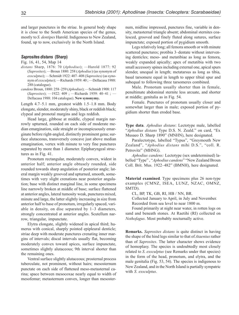and larger punctures in the striae. In general body shape it is close to the South American species of the genus, mostly to *S. dentipes* Harold. Indigenous to New Zealand, found, up to now, exclusively in the North Island.

#### *Saprosites distans* **(Sharp)**

Fig. 16, 41, 54, Map 14

- *distans* Sharp, 1876: 70 (*Aphodius*); —Harold 1877: 92 (*Saprosites*); —Broun 1880: 258 (*Aphodius*) (as synonym of *exsculptus*); —Schmidt 1922: 407–408 (*Saprosites)* (as synonym of *exsculptus*); —Richards 1959: 40 ; —Dellacasa 1988: 288 (catalogue).
- *candens* Broun, 1880: 258–259 (*Aphodius*); —Schmidt 1908: 117 (*Saprosites*); —1922: 409 ; —Richards 1959: 40–41 ; — Dellacasa 1988: 104 catalogue). **New synonymy.**

Length 4.7–5.1 mm, greatest width 1.5–1.8 mm. Body elongate, slender, moderately shiny, black or reddish black; clypeal and pronotal margins and legs reddish.

Head large, gibbose at middle, clypeal margin narrowly upturned, rounded on each side of moderate median emargination, side straight or inconspicuously emarginate before right-angled, distinctly prominent gena; surface alutaceous, transversely concave just above median emargination, vertex with minute to very fine punctures separated by more than 1 diameter. Epipharyngeal structures as in Fig. 41.

Pronotum rectangular, moderately convex, widest in anterior half; anterior angle obtusely rounded, side rounded towards sharp angulation of posterior angle; lateral margin weakly grooved and upturned, smooth, sometimes with very slight crenations near posterior angulation; base with distinct marginal line, in some specimens line narrowly broken at middle of base; surface flattened at anterior angles, lateral tumosity weak, punctures mixed, minute and large, the latter slightly increasing in size from anterior half to base of pronotum, irregularly spaced, variable in density, on disc separated by 1–3 diameters, strongly concentrated at anterior angles. Scutellum narrow, triangular, impunctate.

Elytra elongate, slightly widened in apical third; humerus with conical, sharply pointed epipleural denticle; striae deep with moderate punctures crenating inner margins of intervals; discal intervals usually flat, becoming moderately convex toward apices, surface impunctate, sometimes slightly alutaceous; 9th interval shorter than the remaining ones.

Ventral surface slightly alutaceous; prosternal process tuberculate, not prominent, without hairs; mesosternum punctate on each side of flattened meso-metasternal carina; space between mesocoxae nearly equal to width of mesofemur; metasternum convex, longer than mesosternum, midline impressed, punctures fine, variable in density, metasternal triangle absent; abdominal sternites coalesced, grooved and finely fluted along sutures, surface impunctate; exposed portion of pygidium smooth.

Legs relatively long; all femora smooth or with minute scattered punctures; protibia 3–dentate without intervening denticles; meso- and metatibiae as long as femora, weakly expanded apically; apex of metatibia with two small accessory spines including external one, apical spurs slender, unequal in length; metatarsus as long as tibia, basal tarsomere equal in length to upper tibial spur and subequal to following three tarsomeres combined.

Male. Pronotum usually shorter than in female, penultimate abdominal sternite less arcuate, and shorter at middle; genitalia as in Fig. 54.

Female. Punctures of pronotum usually closer and somewhat larger than in male; exposed portion of pygidium shorter than eroded base.

**Type data**. *Aphodius distans*: Lectotype male, labelled "*Aphodius distans* Type D.S. N. Zeald." on card, "Ex Musaeo D. Sharp 1890" (MNHN), here designated.

Paralectotype, labelled "Typus", "Greymouth New Zealand", "*Aphodius distans* mihi D.S.", "coll. R. Petrovitz" (MHNG).

*Aphodius candens:* Lectotype (sex undetermined) labelled "Type" , "*Aphodius candens*" "New Zealand Broun Coll. Brit. Mus. 1922–482" (BMNH), here designated.

**Material examined**. Type specimens plus 26 non-type examples (CMNZ, ISEA, LUNZ, NZAC, OMNZ, SMTD).

CL, BP, TK, GB, RI, HB / NN, BR.

Collected January to April, in July and November. Recorded from sea level to near 1800 m.

Found primarily at night near water, in rotten logs on sand and beneath stones. At Raetihi (RI) collected on *Nothofagus*. Most probably nocturnally active.

**Remarks.** *Saprosites distans* is quite distinct in having the shape of the hind legs similar to that of *Ataenius* rather than of *Saprosites*. The latter character shows evidence of homoplasy. The species is undoubtedly most closely related to *S*. *exsculptus* (see Remarks under that species) in the form of the head, pronotum, and elytra, and the male genitalia (Fig. 53, 54). The species is indigenous to New Zealand, and in the North Island is partially sympatric with *S. exsculptus*.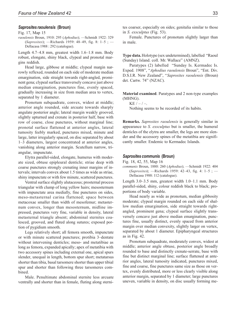#### *Saprosites raoulensis* **(Broun)**

Fig. 17, Map 15

*raoulensis* Broun, 1910: 295 (*Aphodius*); —Schmidt 1922: 329 (*Saprosites*); —Richards 1959: 48–49, fig. 8: 1–5 ; — Dellacasa 1988 : 292 (catalogue).

Length 4.7–4.8 mm, greatest width 1.6–1.8 mm. Body robust, elongate, shiny black, clypeal and pronotal margins reddish.

Head large, gibbose at middle; clypeal margin narrowly reflexed, rounded on each side of moderate median emargination, side straight towards right-angled, prominent gena; clypeal surface transversely concave just above median emargination, punctures fine, evenly spaced, gradually increasing in size from median area to vertex, separated by 1 diameter.

Pronotum subquadrate, convex, widest at middle; anterior angle rounded, side arcuate towards sharply angulate posterior angle; lateral margin weakly grooved, slightly upturned and crenate in posterior half, base with row of coarse, close punctures, without marginal line; pronotal surface flattened at anterior angles, lateral tumosity feebly marked, punctures mixed, minute and large, latter irregularly spaced, on disc separated by about 1–3 diameters, largest concentrated at anterior angles, vanishing along anterior margin. Scutellum narrow, triangular, impunctate.

Elytra parallel-sided, elongate, humerus with moderate sized, obtuse epipleural denticle; striae deep with coarse punctures strongly crenating inner margins of intervals; intervals convex about 1.5 times as wide as striae, shiny impunctate or with few minute, scattered punctures.

Ventral surface slightly alutaceous; prosternal process triangular with clump of long yellow hairs; mesosternum with impunctate area medially, fine punctures on sides, meso-metasternal carina flattened; space between metacoxae smaller than width of mesofemur; metasternum convex, longer than mesosternum, midline impressed, punctures very fine, variable in density, lateral metasternal triangle absent; abdominal sternites coalesced, grooved, and fluted along sutures; exposed portion of pygidium smooth.

Legs relatively short; all femora smooth, impunctate or with minute scattered punctures; protibia 3–dentate without intervening denticles; meso- and metatibiae as long as femora, expanded apically; apex of metatibia with two accessory spines including external one, apical spurs slender, unequal in length, bottom spur short; metatarsus shorter than tibia, basal tarsomere shorter than upper tibial spur and shorter than following three tarsomeres combined.

Male. Penultimate abdominal sternite less arcuate ventrally and shorter than in female, fluting along sternites coarser, especially on sides; genitalia similar to those in *S. exsculptus* (Fig. 53).

Female. Punctures of pronotum slightly larger than in male.

**Type data.** Holotype (sex undetermined), labelled "Raoul (Sunday) Island. coll. Mr. Wallace" (AMNZ).

Paratypes (2) labelled "Sunday Is. Kermadec Is. Exped. 1908", "*Aphodius raoulensis* Broun", "Ent. Div. D.S.I.R. New Zealand", "*Saprosites raoulensis* (Broun) det. Cartw. 74" (NZAC).

**Material examined**. Paratypes and 2 non-type examples (MHNG).

 $KE / - / -$ .

Nothing seems to be recorded of its habits.

**Remarks.** *Saprosites raoulensis* is generally similar in appearance to *S. exsculptus* but is smaller, the humeral denticles of the elytra are smaller, the legs are more slender and the accessory spines of the metatibia are significantly smaller. Endemic to Kermadec Islands.

#### *Saprosites communis* **(Broun)**

Fig. 18, 42, 55, Map 16

*communis* Broun, 1880: 260 (*Aphodius*); —Schmidt 1922: 404 (*Saprosites*); —Richards 1959: 42–43, fig. 4: 1–5 ; — Dellacasa 1988: 112 (catalogue).

Length 3.0–3.5 mm, greatest width 1.0–1.1 mm. Body parallel-sided, shiny, colour reddish black to black; proportions of body variable.

Head nearly as wide as pronotum, median gibbosity moderate; clypeal margin rounded on each side of shallow median emargination, side straight towards rightangled, prominent gena; clypeal surface slightly transversely concave just above median emargination, punctures fine, usually distinct, evenly spaced from anterior margin over median convexity, slightly larger on vertex, separated by about 1 diameter. Epipharyngeal structures as in Fig. 42.

Pronotum subquadrate, moderately convex, widest at middle; anterior angle obtuse, posterior angle broadly rounded to base and distinctly crenate-serrate, base with fine but distinct marginal line; surface flattened at anterior angles, lateral tumosity indicated, punctures mixed, fine and coarse, fine punctures same size as those on vertex, evenly distributed, more or less clearly visible along anterior margin, separated by 1 diameter; large punctures uneven, variable in density, on disc usually forming me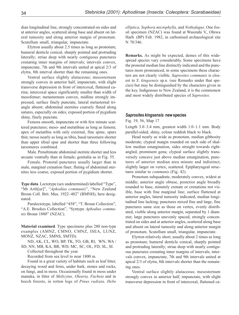dian longitudinal line, strongly concentrated on sides and at anterior angles, scattered along base and absent on lateral tumosity and along anterior margin of pronotum. Scutellum small, triangular, impunctate.

Elytron usually about 2.5 times as long as pronotum; humeral denticle conical, sharply pointed and protruding laterally; striae deep with nearly contiguous punctures crenating inner margins of intervals; intervals convex, impunctate, 7th and 9th intervals united at apical 2/3 of elytra, 8th interval shorter than the remaining ones.

Ventral surface slightly alutaceous; mesosternum strongly convex in anterior half, impunctate, with slight transverse depression in front of intercoxal, flattened carina; intercoxal space significantly smaller than width of mesofemur; metasternum convex, midline strongly impressed, surface finely punctate, lateral metasternal triangle absent; abdominal sternites coarsely fluted along sutures, especially on sides; exposed portion of pygidium shiny, finely punctate.

Femora smooth, impunctate or with few minute scattered punctures; meso- and metatibiae as long as femora; apex of metatibia with only external, fine spine, spurs thin; tarsus nearly as long as tibia, basal tarsomere shorter than upper tibial spur and shorter than three following tarsomeres combined.

Male. Penultimate abdominal sternite shorter and less arcuate ventrally than in female; genitalia as in Fig. 55.

Female. Pronotal punctures usually larger than in male, marginal crenation finer; fluting of abdominal sternites less coarse, exposed portion of pygidium shorter.

**Type data**. Lectotype (sex undetermined) labelled "Type", "Mt Arth[ur]", "*Aphodius communis*", "New Zealand Broun Coll. Brit. Mus. 1922–482" (BMNH), here designated.

Paralectotype, labelled "458", "T. Broun Collection", "A.E. Brookes Collection", "Syntype *Aphodius communis* Broun 1880" (NZAC).

**Material examined**. Type specimens plus 280 non-type examples (AMNZ, CMNO, CMNZ, ISEA, LUNZ, MONZ, NZAC, SMNS, SMTD).

ND, AK, CL, WO, BP, TK, TO, GB, RI, WN, WA / SD, NN, MB, KA, BR, WD, MC, SC, OL, FD, SL, SI.

Collected throughout the year.

Recorded from sea level to near 1800 m.

Found in a great variety of habitats such as leaf litter, decaying wood and ferns, under bark, stones and rocks, on fungi, and in moss. Occasionally found in moss under manuka, in litter of *Melicytus, Olearia, Fuchsia* and in beech forests, in rotten logs of *Pinus radiata, Hebe* *elliptica, Sophora microphylla,* and *Nothofagus*. One fossil specimen (NZAC) was found at Waiotahi V., Ohiwa Harb. (BP) Feb. 1982, in carbonised archaeological site N 78/346.

**Remarks.** As might be expected, demes of this widespread species vary considerably. Some specimens have the pronotal median line distinctly indicated and the punctures more pronounced, in some specimens these characters are not clearly visible. *Saprosites communis* is closest to *S*. *kingsensis* sp.n. (see Remarks under that species) but may be distinguished by the characters given in the key. Indigenous to New Zealand, it is the commonest and most widely distributed species of *Saprosites*.

#### *Saprosites kingsensis* **new species**

#### Fig. 19, 56, Map 17

Length 3.0–3.4 mm, greatest width 1.0–1.1 mm. Body parallel-sided, shiny, colour reddish black to black.

Head nearly as wide as pronotum, median gibbosity moderate; clypeal margin rounded on each side of shallow median emargination, sides straight towards rightangled, prominent gena; clypeal surface slightly transversely concave just above median emargination, punctures of anterior median area minute and indistinct, slightly larger on vertex, scattered. Epipharyngeal structures similar to *communis* (Fig. 42).

Pronotum subquadrate, moderately convex, widest at middle; anterior angle obtuse, posterior angle broadly rounded to base, minutely crenate or crenations not visible, base with fine marginal line; surface flattened at anterior angles, lateral tumosity indicated, median longitudinal line lacking; punctures mixed fine and large, fine punctures same size as those on vertex, evenly distributed, visible along anterior margin, separated by 1 diameter, large punctures unevenly spaced, strongly concentrated on sides and at anterior angles, scattered along base and absent on lateral tumosity and along anterior margin of pronotum. Scutellum small, triangular, impunctate.

Elytron relatively short, usually about 2 times as long as pronotum; humeral denticle conical, sharply pointed and protruding laterally; striae deep with nearly contiguous punctures crenating inner margins of intervals; intervals convex, impunctate, 7th and 9th intervals united at apical 2/3 of elytra, 8th intervals shorter than the remaining ones.

Ventral surface slightly alutaceous; mesosternum strongly convex in anterior half, impunctate, with slight transverse depression in front of intercoxal, flattened ca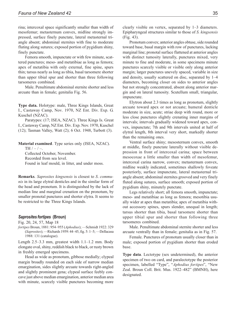rina; intercoxal space significantly smaller than width of mesofemur; metasternum convex, midline strongly impressed, surface finely punctate, lateral metasternal triangle absent; abdominal sternites with fine to moderate fluting along sutures; exposed portion of pygidium shiny, finely punctate.

Femora smooth, impunctate or with few minute, scattered punctures; meso- and metatibiae as long as femora; apex of metatibia with only external, fine spine, spurs thin; tarsus nearly as long as tibia, basal tarsomere shorter than upper tibial spur and shorter than three following tarsomeres combined.

Male. Penultimate abdominal sternite shorter and less arcuate than in female; genitalia Fig. 56.

**Type data.** Holotype: male, Three Kings Islands, Great I., Castaway Camp, Nov. 1970, NZ Ent. Div. Exp. G. Kuschel (NZAC).

Paratypes: (17; ISEA, NZAC). Three Kings Is. Great I., Castaway Camp, NZ Ent. Div. Exp. Nov. 1970, Kuschel (12); Tasman Valley, Watt (2); 6 Oct. 1948, Turbott (3).

**Material examined**. Type series only (ISEA, NZAC).

TH  $/ - / -$ . Collected October, November. Recorded from sea level. Found in leaf mould, in litter, and under moss.

**Remarks**. *Saprosites kingsensis* is closest to *S*. *communis* in its large elytral denticles and in the similar form of the head and pronotum. It is distinguished by the lack of median line and marginal crenation on the pronotum, by smaller pronotal punctures and shorter elytra. It seems to be restricted to the Three Kings Islands.

#### *Saprosites fortipes* **(Broun)**

Fig. 20, 24, 57, Map 18

*fortipes* Broun, 1881: 954–955 (*Aphodius*); —Schmidt 1922: 329 (*Saprosites*); —Richards 1959: 44–45, fig. 5: 1–5; —Dellacasa 1988: 131 (catalogue).

Length 2.5–3.3 mm, greatest width 1.1–1.2 mm. Body elongate oval, shiny, reddish black to black, or rusty brown in freshly emerged specimens.

Head as wide as pronotum, gibbose medially; clypeal margin broadly rounded on each side of narrow median emargination, sides slightly arcuate towards right-angled and slightly prominent gena; clypeal surface feebly concave just above median emargination, anterior median area with minute, scarcely visible punctures becoming more

clearly visible on vertex, separated by 1–3 diameters. Epipharyngeal structures similar to those of *S. kingsensis* (Fig. 43).

Pronotum convex; anterior angles obtuse, side rounded toward base, basal margin with row of punctures, lacking marginal line; pronotal surface flattened at anterior angles with distinct tumosity laterally, punctures mixed, very minute to fine and moderate, in some specimens minute punctures scarcely visible or visible only along anterior margin; larger punctures unevely spaced, variable in size and density, usually scattered on disc, separated by 1–4 diameters, becoming closer on sides to anterior angles but not strongly concentrated, absent along anterior margin and on lateral tumosity. Scutellum small, triangular, impunctate.

Elytron about 2.3 times as long as pronotum, slightly arcuate toward apex or not arcuate; humeral denticle moderate in size, acute; striae deep with round, more or less close punctures slightly crenating inner margins of intervals; intervals gradually widened toward apex, convex, impunctate; 7th and 9th intervals united at half of elytral length, 8th interval very short, markedly shorter than the remaining ones.

Ventral surface shiny; mesosternum convex, smooth at middle, finely punctate laterally without visible depression in front of intercoxal carina; space between mesocoxae a little smaller than width of mesofemur, intercoxal carina narrow, convex; metasternum convex, midline weakly indicated, sometimes shallowly foveate posteriorly, surface impunctate, lateral metasternal triangle absent; abdominal sternites grooved and very finely fluted along sutures, surface smooth; exposed portion of pygidium shiny, minutely punctate.

Legs relatively short; all femora smooth, impunctate; meso- and metatibiae as long as femora; mesotibia usually wider at apex than metatibia; apex of metatibia without accessory spines, spurs slender, unequal in length; tarsus shorter than tibia, basal tarsomere shorter than upper tibial spur and shorter than following three tarsomeres combined.

Male. Penultimate abdominal sternite shorter and less arcuate ventrally than in female; genitalia as in Fig. 57.

Female. Punctures of pronotum usually closer than in male; exposed portion of pygidium shorter than eroded base.

**Type data**. Lectotype (sex undetermined), the anterior specimen of two on card, and paralectotype the posterior specimen, labelled "Type", "*Aphodius fortipes*", "New Zeal. Broun Coll. Brit. Mus. 1922–482" (BMNH), here designated.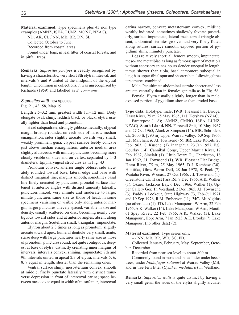**Material examined**. Type specimens plus 43 non type examples (AMNZ, ISEA, LUNZ, MONZ, NZAC).

ND, AK, CL / NN, MB, BR, DN, SL.

Recorded from coastal areas.

Found under logs, in leaf litter of coastal forests, and in pitfall traps.

**Remarks**. *Saprosites fortipes* is readily recognised by having a characteristic, very short 8th elytral interval, and intervals 7 and 9 united at the midpoint of the elytral length. Uncommon in collections, it was unrecognised by Richards (1959) and labelled as *S*. *communis*.

#### *Saprosites watti* **new species**

Fig. 21, 43, 58, Map 19

Length 2.5–3.2 mm, greatest width 1.1–1.2 mm. Body elongate oval, shiny, reddish black or black, elytra usually lighter than head and pronotum.

Head subquadrate, strongly gibbose medially; clypeal margin broadly rounded on each side of narrow median emargination, sides slightly arcuate towards very small, weakly prominent gena; clypeal surface feebly concave just above median emargination, anterior median area slightly alutaceous with minute punctures becoming more clearly visible on sides and on vertex, separated by 1–3 diameters. Epipharyngeal structures as in Fig. 43

Pronotum convex; anterior angle obtuse, side arcuately rounded toward base, lateral edge and base with distinct marginal line, margins smooth, sometimes basal line finely crenated by punctures; pronotal surface flattened at anterior angles with distinct tumosity laterally, punctures mixed, very minute and moderate to large; minute punctures same size as those of head, in some specimens vanishing or visible only along anterior margin; larger punctures unevely spaced, variable in size and density, usually scattered on disc, becoming nearly contiguous toward sides and at anterior angles, absent along anterior margin. Scutellum small, triangular, impunctate.

Elytron about 2.3 times as long as pronotum, slightly arcuate toward apex, humeral denticle very small, acute; striae deep with large punctures nearly same size as those of pronotum, punctures round, not quite contiguous, deepest at base of elytra, distinctly crenating inner margins of intervals; intervals convex, shining, impunctate; 7th and 9th intervals united in apical 2/3 of elytra, intervals 5, 6, 8, 9 equal in length, shorter than the remaining ones.

Ventral surface shiny; mesosternum convex, smooth at middle, finely punctate laterally with distinct transverse depression in front of intercoxal carina; space between mesocoxae equal to width of mesofemur, intercoxal carina narrow, convex; metasternum convex, midline weakly indicated, sometimes shallowly foveate posteriorly, surface impunctate, lateral metasternal triangle absent; abdominal sternites grooved and very finely fluted along sutures, surface smooth; exposed portion of pygidium shiny, minutely punctate.

Legs relatively short; all femora smooth, impunctate; meso- and metatibiae as long as femora; apex of metatibia without accessory spines, spurs slender, unequal in length; tarsus shorter than tibia, basal tarsomere subequal in length to upper tibial spur and shorter than following three tarsomeres combined.

Male. Penultimate abdominal sternite shorter and less arcuate ventrally than in female; genitalia as in Fig. 58.

Female. Elytra usually slightly longer than in male; exposed portion of pygidium shorter than eroded base.

**Type data**. Holotype: male, **[WD]** Pleasant Flat Bridge, Haast River, 75 m, 25 May 1965, D.J. Kershaw (NZAC).

Paratypes: (118); AMNZ, CMNO, ISEA, LUNZ, NZAC). **South Island. NN.** Farewell Spit, 10 May 1967 and 27 Oct 1965, Alack & Simpson (14). **MB.** Schroders Ck, 2600 ft, [790 m] Upper Wairau Valley, 5,9 Sep 1966, L.P. Marchant & J.I. Townsend (6). **BR.** Lake Rotoiti, 23 Feb 1963, G. Kuschel (1). Inangahua, 23 Jan 1957, E.S. Gourlay (14). Cannibal Gorge, Upper Maruia River, 17 Feb 1962, Sinclair (1). Little Totara R., Charleston, 18 Jan 1969, J.I. Townsend (1). **WD.** Pleasant Flat Bridge, Haast River, 75 m, 25 May 1965, D.J. Kershaw (30). Hokitika, Glow Worm Dell, 28 Jan 1978, S. Peck (7). Waitaha River, W coast, 27 Oct 1966, J.I. Townsend (1). Greenstone Ck, Haast Pass Rd, 7 Dec 1966, A.K. Walker (1). Okuru, Jacksons Bay, 6 Dec. 1966, Walker (1). Upper Callery Gor. Tr. Westland, 2 Dec 1965, J.I. Townsend (3). Paddy's Lookout, State Highway 73, Feb–Jul 1971 and 19 Sep 1976, R.M. Emberson (11). **MC.** Mt Algidus (no other data) (1). **FD.** Lake Manapouri, W Arm, 22 Feb 1965, A.K. Walker (14). Lake Manapouri, W Arm, Mouth of Spey River, 22 Feb 1965, A.K. Walker (3). Lake Manapouri, Hope Arm, 7 Jan 1923, A.E. Brooks (7). Lake Manapouri (no other data) (2).

#### **Material examined.** Type series only.

 $-$  / NN, MB, BR, WD, SC, FD.

Collected January, February, May, September, October, December.

Recorded from near sea level to about 800 m.

Commonly found in moss and in leaf litter under beech trees, under *Nothofagus solandri* at Wairau Valley (MB, and in tree fern litter (*Cyathea medullaris*) in Westland.

**Remarks.** *Saprosites watti* is quite distinct by having a very small gena, the sides of the elytra slightly arcuate,

Collected October to June.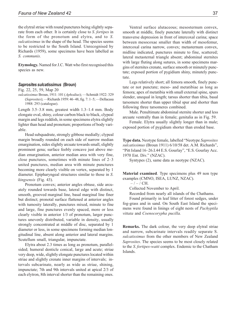the elytral striae with round punctures being slightly separate from each other. It is certainly close to *S*. *fortipes* in the form of the pronotum and elytra, and to *S. sulcatissimus* in the shape of the head. The species seems to be restricted to the South Island. Unrecognised by Richards (1959), some specimens have been labelled as *S. communis.*

**Etymology.** Named for J.C. Watt who first recognised this species as new.

#### *Saprosites sulcatissimus* **(Broun)**

Fig. 22, 25, 59, Map 20

*sulcatissimus* Broun, 1911: 101 (*Aphodius*); —Schmidt 1922: 329 (*Saprosites*); —Richards 1959: 46–48, fig. 7: 1–5; —Dellacasa 1988: 293 (catalogue).

Length 3.5–3.8 mm, greatest width 1.3–1.4 mm. Body elongate oval, shiny, colour carbon black to black, clypeal margin and legs reddish, in some specimens elytra slightly lighter than head and pronotum; proportions of body variable.

Head subquadrate, strongly gibbose medially; clypeal margin broadly rounded on each side of narrow median emargination, sides slightly arcuate towards small, slightly prominent gena; surface feebly concave just above median emargination, anterior median area with very fine, close punctures, sometimes with minute lines of 2–3 united punctures, median area with minute punctures becoming more clearly visible on vertex, separated by 1 diameter. Epipharyngeal structures similar to those in *S. kingsensis* (Fig. 43).

Pronotum convex; anterior angles obtuse, side arcuately rounded towards base, lateral edge with distinct, smooth, grooved marginal line, basal marginal line finer but distinct; pronotal surface flattened at anterior angles with tumosity laterally, punctures mixed, minute to fine and large, fine punctures evenly spaced, more or less clearly visible in anterior 1/3 of pronotum, larger punctures unevenly distributed, variable in density, usually strongly concentrated at middle of disc, separated by 1 diameter or less, in some specimens forming median longitudinal line, absent along anterior and lateral margins. Scutellum small, triangular, impunctate.

Elytra about 2.3 times as long as pronotum, parallelsided; humeral denticle conical, large and acute; striae very deep, wide, slightly elongate punctures located within striae and slightly crenate inner margins of intervals; intervals subcarinate, nearly as wide as striae, shining, impunctate; 7th and 9th intervals united at apical 2/3 of each elytron, 8th interval shorter than the remaining ones.

Ventral surface alutaceous; mesosternum convex, smooth at middle, finely punctate laterally with distinct transverse depression in front of intercoxal carina; space between mesocoxae smaller than width of mesofemur, intercoxal carina narrow, convex; metasternum convex, midline indicated, punctures minute to fine, scattered; lateral metasternal triangle absent; abdominal sternites with large fluting along sutures, in some specimens margins of sternites crenate, surface smooth or minutely punctate; exposed portion of pygidium shiny, minutely punctate.

Legs relatively short; all femora smooth, finely punctate or not punctate; meso- and metatibiae as long as femora; apex of metatibia with small external spine, spurs slender, unequal in length; tarsus shorter than tibia, basal tarsomere shorter than upper tibial spur and shorter than following three tarsomeres combined.

Male. Penultimate abdominal sternite shorter and less arcuate ventrally than in female; genitalia as in Fig. 59.

Female. Elytra usually slightly longer than in male; exposed portion of pygidium shorter than eroded base.

**Type data.** Neotype female, labelled "Neotype *Saprosites sulcatissimus* (Broun 1911) 6/10/58 det. A.M. Richards", "Pitt Island 16–26.I.44 E.S. Gourlay", "E.S. Gourlay Acc. 1970 Ent. Div." (NZAC).

Syntypes (2), same data as neotype (NZAC).

**Material examined**. Type specimens plus 49 non type examples (CMNO, ISEA, LUNZ, NZAC).

 $-$  /  $-$  / CH.

Collected November to April.

Recorded from nearly all islands of the Chathams.

Found primarily in leaf litter of forest sedges, under fog-grass and in sand. On South East Island the specimens were found in linings of eight nests of *Pachyptila vittata* and *Coenocorypha pucilla.*

**Remarks.** The dark colour, the very deep elytral striae and narrow, subcarinate intervals readily separate S. *sulcatissimus* from the other members of New Zealand *Saprosites*. The species seems to be most closely related to the *S*. *fortipes*-*watti* complex. Endemic to the Chatham Islands.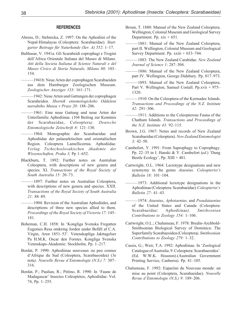#### **REFERENCES**

- Ahrens, D.; Stebnicka, Z. 1997: On the Aphodiini of the Nepal-Himalayas (Coleoptera: Scarabaeidae). *Stuttgarter Beitrage für Naturkunde (Ser. A) 552*: 1–17.
- Balthasar, V. 1941a: Gli Scarabeidi coprophagi e Trogini dell'Africa Orientale Italiana del Museo di Milano*. Atti della Societa Italiana di Scienze Naturali e del Museo Civico di Storia Naturale, Milano 80:* 103– 154.
	- ———1941b: Neue Arten der coprophagen Scarabaeiden aus dem Hamburger Zoologischen Museum. *Zoologischer Anzeiger 133:* 161–171.
	- -1942: Neue Arten und Gattungen der coprophagen Scarabeiden. *Sbornik entomologickeho Oddeleni narodniho Musea v Praze 20:* 188–206.
- ———1961: Eine neue Gattung und neue Arten der Unterfamilie Aphodiinae. (104 Beitrag zur Kenntnis der Scarabaeidae, Coleoptera*). Deutsche Entomologische Zeitschrift 8:* 121–130.
- ———1964: Monographie der Scarabaeidae und Aphodiidae der palaearktischen und orientalischen Region. Coleoptera Lamellicornia. Aphodiidae. *Verlag Tschechoslovakischen Akademie der Wissenschaften, Praha 3,* Pp 1–652.
- Blackburn, T. 1892: Further notes on Australian Coleoptera, with descriptions of new genera and species. XI. *Transactions of the Royal Society of South Australia 15:* 20–73.
	- -1897: Further notes on Australian Coleoptera, with descriptions of new genera and species. XXII. *Transactions of the Royal Society of South Australia 21:* 88–89.
	- ———1904: Revision of the Australian Aphodiides, and descriptions of three new species allied to them*. Proceedings of the Royal Society of Victoria 17:* 145– 181.
- Boheman, C.H. 1858: In 'Kongliga Svenska Fregatten Eugenies Resa omkring Jorden under Befäll af C.A. Virgin, Aren 1851–53'. Vetenskapliga Jakttagelser Pa H.M.K. Oscar den Forstes. Kongliga Svenska Vetenskaps-Akademie: Stockholm, Pp. 1–217.
- Bordat, P. 1990: Aphodiinae nouveaux ou peu connus d'Afrique du Sud (Coleoptera, Scarabaeoidea) (3e note*). Nouvelle Revue d'Entomologie (N.S.) 7:* 307– 316.
- Bordat, P.; Paulian, R.; Pittino, R. 1990: In 'Faune de Madagascar' Insectes Coléoptéres, Aphodiidae. Vol. 74, Pp. 1–255.
- Broun, T. 1880: Manual of the New Zealand Coleoptera. Wellington, Colonial Museum and Geological Survey Department. Pp.  $xix + 651$ .
- -1881: Manual of the New Zealand Coleoptera, part II. Wellington, Colonial Museum and Geological Survey Department. Pp. xxiii + 653–744.
- ———1883: The New Zealand Carabidae. *New Zealand Journal of Science 1*: 287–304.
- -1886: Manual of the New Zealand Coleoptera, part IV. Wellington, George Didsbury. Pp. 817–973.
- -1893: Manual of the New Zealand Coleoptera. Part V. Wellington, Samuel Costall. Pp.xvii + 975– 1320.
- -1910: On the Coleoptera of the Kermadec Islands. *Transactions and Proceedings of the N.Z. Institute 42:* 291–306.
- -1911: Additions to the Coleopterous Fauna of the Chatham Islands. *Transactions and Proceedings of the N.Z. Institute 43:* 92–115.
- Brown, J.G. 1967: Notes and records of New Zealand Scarabaeidae (Coleoptera). *New Zealand Entomologist 3:* 42–50.
- Cambefort, Y. 1991: From Saprophagy to Coprophagy. Pp. 22–35 in I. Hanski & Y. Cambefort (*ed*.) 'Dung Beetle Ecology', Pp. XIII + 481.
- Cartwright, O.L. 1964: Lectotype designations and new synonymy in the genus *Ataenius*. *Coleopterist's Bulletin 18:* 101–104.
- -1973: Additional lectotype designations in the Aphodiinae (Coleoptera: Scarabaeidae). *Coleopterist's Bulletin 27:* 41–43.
- ———1974: *Ataenius*, *Aphotaenius,* and *Pseudataenius* of the United States and Canada (Coleoptera: Scarabaeidae: Aphodiinae*). Smithsonian Contributions to Zoology 154:* 1–106.
- Cartwright, O.L.; Chalumeau, F. 1978: Bredin-Archbold-Smithsonian Biological Survey of Dominica: The Superfamily Scarabaeoidea (Coleoptera*). Smithsonian Contributions to Zoology 279:* 1–32.
- Cassis, G.; Weir, T.A. 1992: Aphodiinae. In 'Zoological Catalogue of Australia. 9. Coleoptera: Scarabaeoidea'. (Ed. W.W.K. Houston).(Australian Government Printing Service, Canberra). Pp. 81–105.
- Chalumeau, F. 1992: Eupariini du Nouveau monde: un mise au point (Coleoptera, Scarabaeidae). *Nouvelle Revue d'Entomologie (N.S.) 9:* 189–206.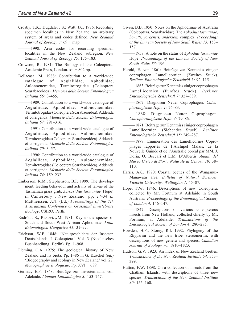Crosby, T.K.; Dugdale, J.S.; Watt, J.C. 1976: Recording specimen localities in New Zealand: an arbitrary system of areas and codes defined. *New Zealand Journal of Zoology 3:* 69 + map.

-1998: Area codes for recording specimen localities in the New Zealand subregion. *New Zealand Journal of Zoology 25:* 175–183.

- Crowson, R. 1981: The Biology of the Coleoptera. Academic Press, London. xii + 802 pp.
- Dellacasa, M. 1988: Contribution to a world-wide catalogue of Aegialiidae, Aphodiidae, Aulonocnemidae, Termitotrogidae (Coleoptera Scarabaeoidea). *Memorie della Societa Entomologica Italiana 66:* 3–455.
	- $-1989$ : Contribution to a world-wide catalogue of Aegialiidae, Aphodiidae, Aulonocnemidae, Termitotrogidae (Coleoptera Scarabaeoidea). Addenda et corrigenda. *Memorie della Societa Entomologica Italiana 67:* 291–316.
	- $-1991$ : Contribution to a world-wide catalogue of Aegialiidae, Aphodiidae, Aulonocnemidae, Termitotrogidae (Coleoptera Scarabaeoidea). Addenda et corrigenda. *Memorie della Societa Entomologica Italiana 70:* 3–57.
	- -1996: Contribution to a world-wide catalogue of Aegialiidae, Aphodiidae, Aulonocnemidae, Termitotrogidae (Coleoptera Scarabaeoidea). Addenda et corrigenda. *Memorie della Societa Entomologica Italiana 74:* 159–232.
- Emberson, R.M., Stephenson, B.P. 1999. The development, feeding behaviour and activity of larvae of the Tasmanian grass grub, *Acrossidius tasmaniae* (Hope) in Canterbury , New Zealand. pp. 27-34 *in* Mattheissen, J.N. (Ed.) *Proceedings of the 7th Australasian Conference on Grassland Invertebrate Ecology*, CSIRO, Perth.
- Endrödi, S.; Rakovi., M. 1981: Key to the species of South and South West African Aphodiinae. *Folia Entomologica Hungarica 41:* 31–77.
- Erichson, W.F. 1848: 'Naturgeschichte der Insecten Deutschlands. I. Coleoptera.' Vol. 3 (Nicolaisches Buchhandlung: Berlin). Pp. 1–968.
- Fleming, C.A. 1975: The geological history of New Zealand and its biota. Pp. 1–86 in G. Kuschel (*ed*.) 'Biogeography and ecology in New Zealand' vol. 27. *Monographiae Biologicae*, Pp. XVI + 689.
- Germar, E.F. 1848: Beiträge zur Insectenfauna von Adelaide. *Linnaea Entomologica 3:* 153–247.
- Given, B.B. 1950: Notes on the Aphodiinae of Australia (Coleoptera, Scarabaeidae). The *Aphodius tasmaniae*, *howitti, yorkensis, andersoni* complex. *Proceedings of the Linnean Society of New South Wales 75:* 153– 157.
- ———1958: A note on the status of *Aphodius tasmaniae* Hope. *Proceedings of the Linnean Society of New South Wales 83:* 196.
- Harold, E. von 1861: Beiträge zur Kenntniss einiger coprophagen Lamellicornien. (Zweites Stuck). *Berliner Entomologische Zeitschrift 5:* 92–115.
- ———1863: Beiträge zur Kenntniss einiger coprophagen Lamellicornien (Funftes Stuck). *Berliner Entomologische Zeitschrift 7:* 327–389.
- ———1867: Diagnosen Neuer Coprophagen. *Coleopterologische Hefte 1:* 76–83.
- $-1868$ : Diagnosen Neuer Coprophagen. *Coleopterologische Hefte 4:* 79–86.
- ———1871: Beiträge zur Kenntniss einiger coprophagen Lamellicornien. (Siebendes Stuck). *Berliner Entomologische Zeitschrift 15:* 249–287.
- -1877: Enumération des Lamellicornes Coprophages rapportés de l'Archipel Malais, de la Nouvelle Guinée et de l'Australie boréal par MM. J. Doria, O. Beccari et L.M. D'Albertis. *Annali del Museo Civico di Storia Naturale di Genova 10:* 38– 110.
- Harris, A.C. 1970: Coastal beetles of the Wanganui-Manawatu area. *Bulletin of Natural Sciences, Victoria University, Wellington 1:* 45–87.
- Hope, F.W. 1846: Descriptions of new Coleoptera, collected by Mr. Fortnum at Adelaide in South Australia*. Proceedings of the Entomological Society of London 4:* 146–147.
- -1847: Descriptions of various coleopterous insects from New Holland, collected chiefly by Mr. Fortnum, at Adelaide. *Transactions of the Entomological Society of London 4:* 280–285.
- Howden, H.F.; Storey, R.I. 1992: Phylogeny of the Rhyparini and the new tribe Stereomerini, with descriptions of new genera and species. *Canadian Journal of Zoology 70:* 1810–1823.
- Hudson, G.V. 1923: An index of New Zealand beetles*. Transactions of the New Zealand Institute 54:* 353– 399.
- Hutton, F.W. 1898: On a collection of insects from the Chatham Islands, with descriptions of three new species. *Transactions of the New Zealand Institute 30:* 155–160.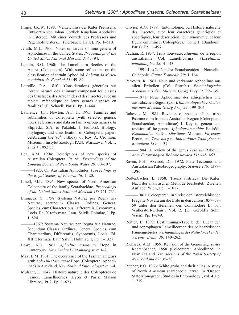- Illiger, J.K.W. 1798: 'Verzeichniss der Käfer Preussens. Entworten von Johan Gottlieb Kugelann Apotheker in Osterode. Mit einer Vorrede des Professors und Pagenhofmeisters...' (Gerbauer: Halle). Pp. 1–510.
- Jerath, M.L. 1960: Notes on larvae of nine genera of Aphodiinae in the United States. *Proceedings of the United States National Museum 3:* 43–94.
- Landin, B.O. 1960: The Lamellicorn Beetles of the Azores (Coleoptera). With some reflections on the classification of certain Aphodiini*. Boletim do Museu municipal do Funchal 13:* 49–84.
- Latreille, P.A. 1810: 'Considérations générales sur l'ordre naturel des animaux composant les classes des Crustacés, des Arachnides et des Insectes; avec un tableau méthodique de leurs genres disposés en familles.' (F. Schoell: Paris). Pp. 1–444.
- Lawrence, J.F.; Newton, A.F. Jr. 1995: Families and subfamilies of Coleoptera (with selected genera, notes, references and data on family-group names). *In* Slipi½ski, S.A. & Pakaluk, J. (editors)*.* Biology, phylogeny, and classification of Coleoptera: papers celebrating the  $80<sup>th</sup>$  birthday of Roy A. Crowson. Muzeum i Instytut Zoologii PAN, Warszawa. Vol. 1, 2:  $xi + 1092$  pp.
- Lea, A.M. 1904: Descriptions of new species of Australian Coleoptera. Pt. vii. *Proceedings of the Linnean Society of New South Wales 29:* 60–107.

———1923: On Australian Aphodiides. *Proceedings of the Royal Society of Victoria 36:* 1–20.

- Linell, M.L. 1896: New species of North American Coleoptera of the family Scarabaeidae. *Proceedings of the United States National Museum 18:* 721–731.
- Linnaeus, C. 1758: Systema Naturae per Regna tria Naturae, secundum Classes, Ordines, Genera, Species, cum Characteribus, Differentiis, Synonymis, Locis. Ed. X reformata. Laur. Salvii: Holmiae, I, Pp. 1–824.

-1767: Systema Naturae per Regna tria Naturae, Secundum Classes, Ordines, Genera, Species, cum Characteribus, Differentiis, Synonymis, Locis. Ed. XII reformata. Laur Salvii: Holmiae, I, Pp. 1–1327.

- Lowe, A.D. 1961: *Aphodius tasmaniae* Hope in Canterbury. *New Zealand Entomologist 2:* 1–2.
- May, B.M. 1961: The occurrence of the Tasmanian grass grub *Aphodius tasmaniae* Hope (Coleoptera: Aphodiinae) in Auckland. *New Zealand Entomologist 2:* 1–4.
- Mulsant, E. 1842: Histoire naturelle des Coléoptéres de France. Lamellicornes (Lyon et Paris: Maison Libraire.) Pt 2. Pp. 1–623.
- Olivier, A.G. 1789: 'Entomologie, ou Histoire naturelle des Insectes, avec leur caractéres génériques et spécifiques, leur description, leur synonymie, et leur figure enluminée, Coléoptéres.' Tome I. (Baudouin: Paris). Pp. 1–497.
- Paulian, R. 1937: Trois nouveaux *Ataenius* de la région australienne (Col. Lamellicornia). *Miscellanea entomologica 38:* 41–43.
- -1991: Les Coléoptéres Scarabaeoidea de Nouvelle-Calédonie. *Faune Tropicale 29:* 1–164.
- Petrovitz, R. 1961: Neue und verkannte Aphodiinae aus allen Erdteilen (Col. Scarab.). *Entomologische Arbeiten aus dem Museum Georg Frey 12:* 99–135.
- ———1971: Neue Aphodiinae der äthiopischen und australischen Region (Col.). *Entomologische Arbeiten aus dem Museum Georg Frey 22:* 199–204.
- Rakovi.,.M. 1981: Revision of species of the tribe Psammodiini from the Australian Region (Coleoptera, Scarabaeidae, Aphodiinae) I. Key to genera and revision of the genera *Aphodopsammobius* Endrödi, *Psammodius* Fallén, *Diastictus* Mulsant, *Phycocus* Broun, and *Tesarius* g.n. *Annotationes Zoologicae et Botanicae 139:* 1–37.
- ———1984: A review of the genus *Tesarius* Rakovi…. *Acta Entomologica Bohemoslovaca 81:* 448–452.
- Raven, P.H.; Axelrod, D.I. 1972: Plate Tectonics and Australasian Paleobiogeography. *Science 176:* 1379– 1386.
- Redtenbacher, L. 1858: 'Fauna austriaca. Die Käfer. Nach der analytischen Methode bearbeitet.' Zweiten Auflage, Wien, Pp. 1–1017.
- ———1867: Coleopteren. In 'Reise der Österreichischen Fregatte Novara um die Erde in den Jahren 1857–58– 59 unter den Befehlen des Commodore B. von Wüllerstorf-Urbair'. Vol. 2. (K. Gerold's Sohn: Wien). Pp. 1–249.
- Reitter, E. 1892: Bestimmungs-Tabelle der Lucaniden und coprophagen Lamellicornen des palaearktischen Faunengebietes. *Verhandlungen des Naturforschenden Vereins, Brünn 30:* 140–262.
- Richards, A.M. 1959: Revision of the Genus *Saprosites* Redtenbacher, 1858 (Coleoptera: Aphodiinae) in New Zealand*. Transactions of the Royal Society of New Zealand 87:* 35–50.
- Ritcher, P.O. 1966: White grubs and their allies. A study of North American scarabaeoid larvae. In 'Oregon State Monograph, Studies in Entomology', vol. 4, Pp. 1–219.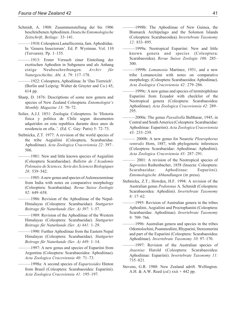- Schmidt, A. 1908: Zusammenstellung der bis 1906 beschriebenen Aphodiinen. *Deutsche Entomologische Zeitschrift, Beilage:* 33–141.
	- ———1910: Coleoptera Lamellicornia, fam. Aphodiidae. In 'Genera Insectorum'. Ed. P. Wystman. Vol. 110 (Tervuren). Pp. 1–155.
- ———1913: Erster Versuch einer Einteilung der exotischen Aphodien in Subgenera und als Anhang einige Neubeschreibungen. *Archiv für Naturgeschichte, Abt. A, 79:* 117–178.
	- ———1922: Coleoptera, Aphodiinae. In 'Das Tierreich'. (Berlin und Leipzig: Walter de Gruyter and Co.) 45, 614 pp.
- Sharp, D. 1876: Descriptions of some new genera and species of New Zealand Coleoptera. *Entomologist's Monthly Magazine 13:* 70–72.
- Solier, A.J.J. 1851: Zoologia: Coleopteros. In 'Historia fisica y politica de Chile segun documentos adquiridos en esta republica durante doce anos de residencia en ella..'. (Ed. C. Gay: Paris) 5: 72–73.
- Stebnicka, Z.T. 1977: A revision of the world species of the tribe Aegialiini (Coleoptera, Scarabaeidae. Aphodiinae). *Acta Zoologica Cracoviensia 22:* 397– 506.
	- $-1981$ : New and little known species of Aegialiini (Coleoptera Scarabaeidae). *Bulletin de l'Academie Polonaise de Sciences, Serie des Sciences Biologiques 28:* 539–542.
	- $-1985$ : A new genus and species of Aulonocneminae from India with notes on comparative morphology (Coleoptera: Scarabaeidae*). Revue Suisse Zoologie 92:* 649–658.
	- $-1986$ : Revision of the Aphodiinae of the Nepal-Himalayas (Coleoptera: Scarabaeidae). *Stuttgarter Beitrage für Naturkunde (Ser. A) 397:* 1–57.
	- ———1989: Revision of the Aphodiinae of the Western Himalayas (Coleoptera: Scarabaeidae). *Stuttgarter Beitrage für Naturkunde (Ser. A) 441:* 1–29.
	- ———1990: Further Aphodiinae from the Eastern Nepal Himalayas (Coleoptera: Scarabaeidae). *Stuttgarter Beitrage für Naturkunde (Ser. A) 449:* 1–14.
		- ———1997: A new genus and species of Eupariini from Argentina (Coleoptera: Scarabaeoidea: Aphodiinae). *Acta Zoologica Cracoviensia 40:* 71–73.
	- ———1998a: A second species of *Euparixoides* Hinton from Brasil (Coleoptera: Scarabaeoidea: Eupariini). *Acta Zoologica Cracoviensia 41:* 195–197.
- ———1998b: The Aphodiinae of New Guinea, the Bismarck Archipelago and the Solomon Islands (Coleoptera: Scarabaeoidea). *Invertebrate Taxonomy 12:* 833–895.
- ———1999a: Neotropical Eupariini: New and little known genera and species (Coleoptera: Scarabaeoidea). *Revue Suisse Zoologie 106:* 285– 300.
- ———1999b: *Lomanoxia* Martinez, 1951, and a new tribe Lomanoxiini with notes on comparative morphology. (Coleoptera: Scarabaeoidea: Aphodiinae). *Acta Zoologica Cracoviensia 42:* 279–286.
- ———1999c: A new genus and species of termitophilous Eupariini from Ecuador with checklist of the Neotropical genera (Coleoptera: Scarabaeoidea: Aphodiinae). *Acta Zoologica Cracoviensia 42:* 289– 295.
- ———2000a: The genus *Passaliolla* Balthasar, 1945, in Central and South America (Coleoptera: Scarabaeidae: Aphodiinae: Eupariini). *Acta Zoologica Cracoviensia 43:* 233–239.
- ——— 2000b: A new genus for Nearctic *Pleurophorus ventralis* Horn, 1887, with phylogenetic inferences (Coleoptera: Scarabaeidae: Aphodiinae: Aphodiini). *Acta Zoologica Cracoviensia 43:* 287–291.
- 2001: A revision of the Neotropical species of *Saprosites* Redtenbacher, 1858 (Insecta: Coleoptera: Scarabaeidae: Aphodiinae: Eupariini). *Entomologische Abhandlungen* (in press).
- Stebnicka, Z.T.; Howden, H.F. 1994: A revision of the Australian genus *Podotenus* A. Schmidt (Coleoptera: Scarabaeoidea: Aphodiini). *Invertebrate Taxonomy 8:* 17–62.
	- ———1995: Revision of Australian genera in the tribes Aphodiini, Aegialiini and Proctophanini (Coleoptera: Scarabaeidae: Aphodiinae). *Invertebrate Taxonomy 9:* 709–766.
- -1996: Australian genera and species in the tribes Odontolochini, Psammodiini, Rhyparini, Stereomerini and part of the Eupariini (Coleoptera: Scarabaeoidea: Aphodiinae). *Invertebrate Taxonomy 10:* 97–170.
- -1997: Revision of the Australian species of *Ataenius* Harold (Coleoptera: Scarabaeoidea: Aphodiinae: Eupariini). *Invertebrate Taxonomy 11:* 735–821.
- Stevens, G.R. 1980: New Zealand adrift. Wellington. A.H. & A.W. Reed (*ed.*) xxii + 442 pp.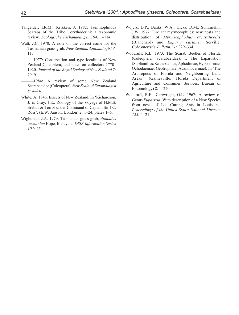- Tangelder, I.R.M.; Krikken, J. 1982: Termitophilous Scarabs of the Tribe Corythoderini: a taxonomic review. *Zoologische Verhandelingen 194:* 1–114.
- Watt, J.C. 1970: A note on the correct name for the Tasmanian grass grub*. New Zealand Entomologist 4:* 11.
	- ———1977: Conservation and type localities of New Zealand Coleoptera, and notes on collectors 1770– 1920. *Journal of the Royal Society of New Zealand 7:* 79–91.
- -1984: A review of some New Zealand Scarabaeidae (Coleoptera). *New Zealand Entomologist 8:* 4–24.
- White, A. 1846: Insects of New Zealand. In 'Richardson, J. & Gray, J.E.: Zoology of the Voyage of H.M.S. Erebus & Terror under Command of Captain Sir J.C. Ross'. (E.W. Janson: London) 2: 1–24, plates 1–6.
- Wightman, J.A. 1979: Tasmanian grass grub, *Aphodius tasmaniae* Hope, life cycle*. DSIR Information Series 105:* 25.
- Wojcik, D.P.; Banks, W.A.; Hicks, D.M.; Summerlin, J.W. 1977: Fire ant myrmecophiles: new hosts and distribution of *Myrmecaphodius excavaticollis* (Blanchard) and *Euparia castanea* Serville. *Coleopterist's Bulletin 31:* 329–334.
- Woodruff, R.E. 1973: The Scarab Beetles of Florida (Coleoptera: Scarabaeidae). I. The Laparosticti (Subfamilies: Scarabaeinae, Aphodiinae, Hybosorinae, Ochodaeinae, Geotrupinae, Acanthocerinae). In 'The Arthropods of Florida and Neighbouring Land Areas'. (Gainesville: Florida Department of Agriculture and Consumer Services, Bureau of Entomology) 8: 1–220.
- Woodruff, R.E.; Cartwright, O.L. 1967: A review of Genus *Euparixia.* With description of a New Species from nests of Leaf-Cutting Ants in Louisiana. *Proceedings of the United States National Museum 123:* 1–21.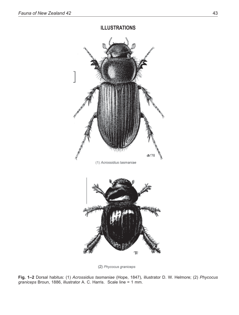

(2) Phycocus graniceps

**Fig. 1–2** Dorsal habitus: (1) *Acrossidius tasmaniae* (Hope, 1847), illustrator D. W. Helmore; (2) *Phycocus graniceps* Broun, 1886, illustrator A. C. Harris. Scale line = 1 mm.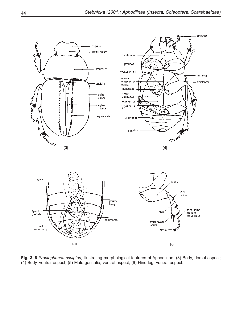

**Fig. 3–6** *Proctophanes sculptus,* illustrating morphological features of Aphodiinae: (3) Body, dorsal aspect; (4) Body, ventral aspect; (5) Male genitalia, ventral aspect; (6) Hind leg, ventral aspect.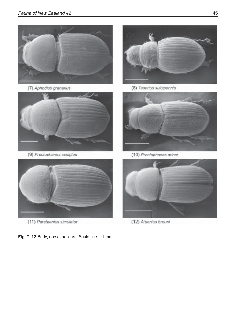

(7) Aphodius granarius



(9) Proctophanes sculptus



(11) Parataenius simulator

**Fig. 7–12** Body, dorsal habitus. Scale line = 1 mm.



(8) Tesarius sulcipennis



(10) Proctophanes minor



(12) Ataenius brouni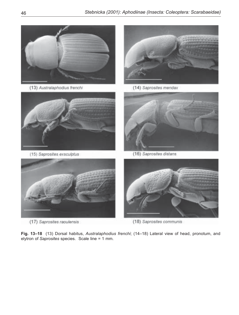

(13) Australaphodius frenchi



(14) Saprosites mendax



(15) Saprosites exsculptus



(16) Saprosites distans



(17) Saprosites reoulensis



(18) Saprosites communis

**Fig. 13–18** (13) Dorsal habitus, *Australaphodius frenchi*; (14–18) Lateral view of head, pronotum, and elytron of *Saprosites* species. Scale line = 1 mm.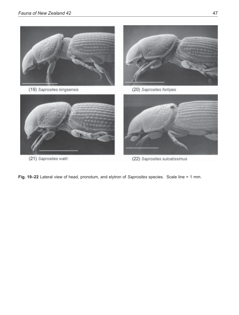

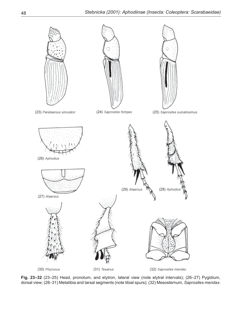

**Fig. 23–32** (23–25) Head, pronotum, and elytron, lateral view (note elytral intervals); (26–27) Pygidium, dorsal view; (28–31) Metatibia and tarsal segments (note tibial spurs); (32) Mesosternum, *Saprosites mendax*.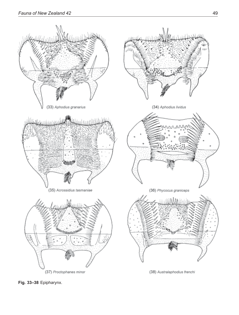



(33) Aphodius granarius

(35) Acrossidius tasmaniae



(37) Proctophanes minor

(36) Phycocus graniceps





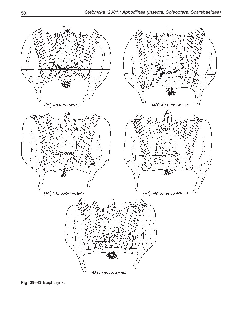

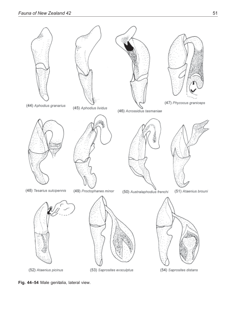

**Fig. 44–54** Male genitalia, lateral view.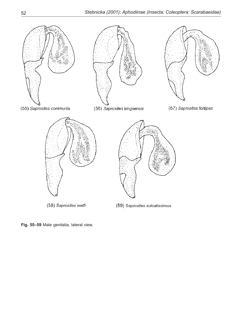

**Fig. 55–59** Male genitalia, lateral view.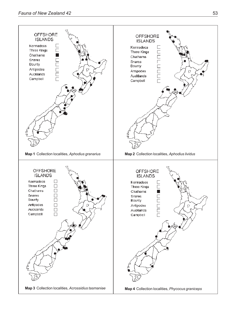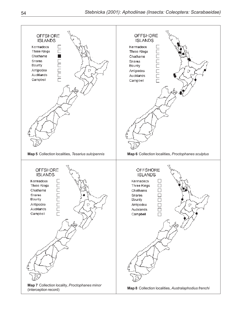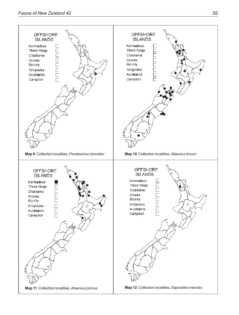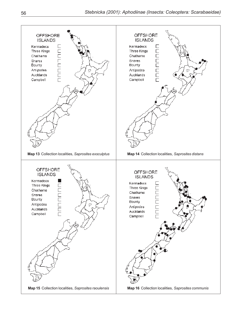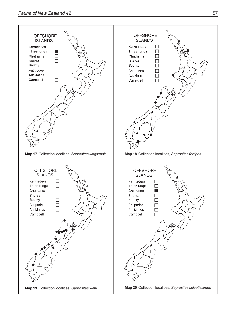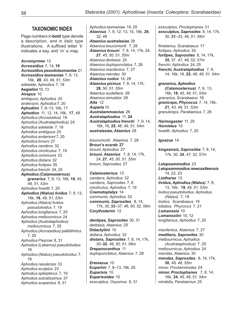**TAXONOMIC INDEX**

Page numbers in **bold** type denote a description, and in *italic* type illustrations. A suffixed letter 'k' indicates a key, and 'm' a map.

*Acromyrmex* 12 *Acrossidius* 7, 14, **19** *Acrossidius pseudotasmaniae* 21 *Acrossidius tasmaniae*7, 8, 13, 16k, **20**, *43, 49, 51, 53m adelaide, Aphodius* 7, 18 **Aegialiini** 10, 13 *Airapus* 10 *ambiguus, Aphodius* 25 *andersoni, Aphodius* 7, 20 **Aphodiini** 7, 9–13, 16k, 17 *Aphodius* 11, 12, 14, 16k, **17**, *48 Aphodius (Acrossidius)* 19 *Aphodius (Australaphodius)* 24 *Aphodius adelaide* 7, 18 *Aphodius ambiguus* 25 *Aphodius andersoni* 7, 20 *Aphodius brouni* 27 *Aphodius candens* 32 *Aphodius cincticulus* 7, 19 *Aphodius communis* 33 *Aphodius distans* 32 *Aphodius fortipes* 35 *Aphodius frenchi* 24, 25 *Aphodius (Calamosternus) granarius* 7, 9, 13, 16k, **18**, *45, 49, 51, 53m Aphodius howitti* 7, 20 *Aphodius (Nialus) lividus* 7, 9, 13, 16k, **19**, *49, 51, 53m Aphodius (Nialus) lividus pseudolividus* 7, 19 *Aphodius longitarsus* 7, 20 *Aphodius melbournicus* 24 *Aphodius (Australaphodius) melbournicus* 7, 25 *Aphodius (Acrossidius) pallidihirtus* 7, 20 *Aphodius Pascoei* 8, 31 *Aphodius (Labarrus) pseudolividus* 19 *Aphodius (Nialus) pseudolividus* 7, 19 *Aphodius raoulensis* 33 *Aphodius sculptus* 23 *Aphodius spilopterus* 7, 19 *Aphodius sulcatissimus* 37 *Aphodius suspectus* 8, 31

*Aphodius tasmaniae* 19, 20 *Ataenius* 7, 9, 12, 13, 15, 16k, **26**, 32, *48 Ataenius australasiae* 28 *Ataenius boucomonti* 7, 28 *Ataenius brouni* 7, 8, 14, 17k, 24, **27**, *45, 50, 51, 55m Ataenius derbesis* 25 *Ataenius duplopunctatus* 7, 28 *Ataenius macilentus* 7, 27 *Ataenius mendax* 30 *Ataenius nudus*14, 28 *Ataenius picinus* 7, 8, 14, 17k, **28**, *50, 51, 55m Ataenius scutellaris* 26 *Ataenius simulator* 26 *Atta* 12 *Auperia* 10 *Australammoecius* 26 *Australaphodius* 11, **24** *Australaphodius frenchi* 7, 9, 14, 16k, 18, **25**, *46, 49, 51, 54m australasiae, Ataenius* 28

*boucomonti, Ataenius* 7, 28 **Broun's scarab 27** *brouni, Aphodius* 27 *brouni, Ataenius* 7, 8, 14, 17k, 24, **27**, *45, 50, 51, 55m brouni, Saprosites* 27

*Calamosternus* 13 *candens, Aphodius* 32 *candens, Saprosites* 7, 8 *cincticulus, Aphodius* 7, 19 *Cnematoplatys* 14 *communis, Aphodius* 33 *communis, Saprosites* 8, 14, 17k, 30, **33**–37, *46, 50, 52, 56m* **Corythoderini** 12

*dentipes, Saprosites* 30, 31 *derbesis, Ataenius* 25 **Didactyliini** 10 *distans, Aphodius 32 distans, Saprosites* 7, 8, 14, 17k, 30–**32**, *46, 50, 51, 56m Drepanocanthus* 11 *duplopunctatus, Ataenius* 7, 28

*Eremazus* 10 **Eupariini** 7, 9–13, 16k, 25 *Euparixia*10 *Euparixoides*10 *exsculptus, Oxyomus* 8, 31 *exsculptus, Proctophanes* 31 *exsculptus, Saprosites* 8, 14, 17k, 30, **31**–33, *46, 51, 56m*

*fimetarius, Scarabaeus* 17 *fortipes, Aphodius* 35 *fortipes, Saprosites* 8, 14, 17k, **35**, 37, *47, 48, 52, 57m frenchi, Aphodius* 24, 25 *frenchi, Australaphodius* 7, 9, 14, 16k, 18, **25**, *46, 49, 51, 54m*

*granarius, Aphodius (Calamosternus)* 7, 9, 13, 16k, **18**, *45, 49, 51, 53m granarius, Scarabaeus* 18 *graniceps, Phycocus* 7, 14, 16k, **21**, *43, 49, 51, 53m granuliceps, Parataenius* 7, 26

*Harmogaster* 11, 25 *Hornietus* 10 *howitti, Aphodius* 7, 20

*Iguazua* 14

*kingsensis, Saprosites* 7, 8, 14, 17k, 30, **34**, *47, 52, 57m*

*Leiopsammodius* 23 *Leiopsammodius newcastleensis* 14, 22, 23 *Liothorax* 13 *lividus, Aphodius (Nialus)* 7, 9, 13, 16k, **19**, *49, 51, 53m lividus pseudolividus, Aphodius (Nialus)* 7, 19 *lividus, Scarabaeus* 19 *lobatus, Phycocus* 7, 21 *Lomanoxia*10 **Lomanoxiini** 10, 12 *longitarsus, Aphodius* 7, 20

*macilentus, Ataenius* 7, 27 *meditans, Saprosites* 30 *melbournicus, Aphodius (Australaphodius)* 7, 25 *melbournicus, Aphodius* 24 *mendax, Ataenius* 30 *mendax, Saprosites* 8, 14, 17k, **30**, *46, 48, 55m minor, Proctammodes* 24 *minor, Proctophanes* 7, 8, 14, 16k, **24**, *45, 49, 51, 54m mirabilis, Parataenius* 25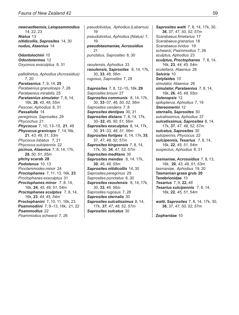*newcastleensis, Leiopsammodius* 14, 22, 23 *Nialus* 13 *nitidicollis, Saprosites* 14, 30 *nudus, Ataenius*14 **Odontolochini** 10 *Odontotermes* 12 *Oxyomus exsculptus* 8, 31 *pallidihirtus, Aphodius (Acrossidius)* 7, 20 *Parataenius* 7, 9, 14, **25** *Parataenius granuliceps* 7, 26 *Parataenius mirabilis* 25 *Parataenius simulator* 7, 8, 14, 16k, **26**, *45, 48, 55m Pascoei, Aphodius* 8, 31 *Passaliolla* 14 *peregrinus, Saprosites* 29 *Phycochus* 21 *Phycocus* 7, 10, 13–15, **21**, *48 Phycocus graniceps* 7, 14,16k, **21**, *43, 49, 51, 53m Phycocus lobatus* 7, 21 *Phycocus sulcipennis* 22 *picinus, Ataenius* 7, 8, 14, 17k, **28**, *50, 51, 55m* **pitchy scarab 28** *Podotenus*10, 13 *Proctammodes minor* 24 *Proctophanes* 7, 11, 13, 16k, **23** *Proctophanes exsculptus* 31 *Proctophanes minor* 7, 8, 14, 16k, **24**, *45, 49, 51, 54m Proctophanes sculptus* 7, 8, 14, 16k, **23**, *44, 45, 54m* **Proctophanini** 7, 10, 11, 16k, 23 **Psammodiini** 7, 9–13, 16k, 21, 22 *Psammodius* 22 *Psammodius schwarzi* 7, 26

*pseudolividus, Aphodius (Labarrus)* 19 *pseudolividus, Aphodius (Nialus)* 7, 19 *pseudotasmaniae, Acrossidius* 21 *punctatus, Saprosites* 8, 30 *raoulensis, Aphodius* 33 *raoulensis, Saprosites* 8, 14, 17k, 30, **33**, *46, 56m rugosus, Saprosites* 7, 28 *Saprosites* 7, 8*,* 12–15, 16k, **29** *Saprosites brouni* 27 *Saprosites communis* 8, 14, 17k, 30, **33**–37, *46, 50, 52, 56m Saprosites candens* 7, 8 *Saprosites dentipes* 30, 31 *Saprosites distans* 7, 8, 14, 17k, 30–**32**, *46, 50, 51, 56m Saprosites exsculptus* 8*,* 14, 17k, 30, **31**–33, *46, 51, 56m Saprosites fortipes* 8, 14, 17k, **35**, 37, *47, 48, 52, 57m Saprosites kingsensis* 7, 8, 14, 17k, 30, **34**, *47, 52, 57m Saprosites meditans* 30 *Saprosites mendax* 8, 14, 17k, **30**, *46, 48, 55m Saprosites nitidicollis* 14, 30 *Saprosites peregrinus* 29 *Saprosites punctatus* 8, 30 *Saprosites raoulensis* 8, 14, 17k, 30, **33**, *46, 56m Saprosites rugosus* 7, 28 *Saprosites sternalis* 30 *Saprosites sulcatissimus* 8, 14, 17k, *37, 47, 48, 52, 57m Saprosites sulcatus* 30

*Saprosites watti* 7, 8, 14, 17k, 30, **36**, 37, *47, 50, 52, 57m Scarabaeus fimetarius* 17 *Scarabaeus granarius* 18 *Scarabaeus lividus* 19 *schwarzi, Psammodius* 7, 26 *sculptus, Aphodius* 23 *sculptus, Proctophanes* 7, 8, 14, 16k, **23**, *44, 45, 54m scutellaris, Ataenius* 26 *Selviria* 10 *Setylaides* 10 *simulator, Ataenius* 26 *simulator, Parataenius* 7, 8, 14, 16k, **26**, *45, 48, 55m Solenopsis* 12 *spilopterus, Aphodius* 7, 19 *Stereomerini* 12 *sternalis, Saprosites* 30 *sulcatissimus, Aphodius* 37 *sulcatissimus, Saprosites* 8, 14, 17k, **37**, *47, 48, 52, 57m sulcatus, Saprosites* 30 *sulcipennis, Phycocus* 22 *sulcipennis, Tesarius* 7, 8, 14, 16k, **22**, *45, 51, 54m suspectus, Aphodius* 8, 31 *tasmaniae, Acrossidius* 7, 8, 13, 16k, **20**, *43, 49, 51, 53m tasmaniae, Aphodius* 19, 20 **Tasmanian grass grub 20 Tenebrionidae** 10 *Tesarius* 7, 9, **22,** *48 Tesarius sulcipennis* 7, 8, 14, 16k, **22**, *45, 51, 54m watti, Saprosites* 7, 8, 14, 17k, 30, **36**, 37, *47, 50, 52, 57m*

**Zopheridae** 10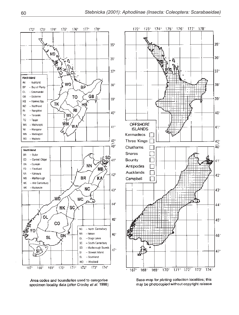

Area codes and boundaries used to categorise specimen locality data (after Crosby et al. 1998)

Base-map for plotting collection localities; this may be photocopied without copyright release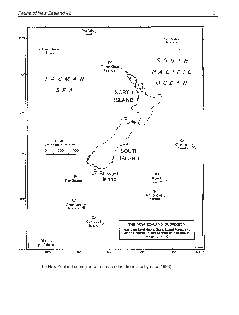

The New Zealand subregion with area codes (from Crosby *et al.* 1998).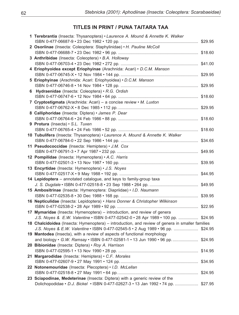## **TITLES IN PRINT / PUNA TAITARA TAA**

| 1 Terebrantia (Insecta: Thysanoptera) · Laurence A. Mound & Annette K. Walker                   |  |
|-------------------------------------------------------------------------------------------------|--|
| 2 Osoriinae (Insecta: Coleoptera: Staphylinidae) • H. Pauline McColl                            |  |
|                                                                                                 |  |
| 3 Anthribidae (Insecta: Coleoptera) · B.A. Holloway                                             |  |
|                                                                                                 |  |
| 4 Eriophyoidea except Eriophyinae (Arachnida: Acari) · D.C.M. Manson                            |  |
|                                                                                                 |  |
| 5 Eriophyinae (Arachnida: Acari: Eriophyoidea) · D.C.M. Manson                                  |  |
|                                                                                                 |  |
| 6 Hydraenidae (Insecta: Coleoptera) · R.G. Ordish                                               |  |
|                                                                                                 |  |
| 7 Cryptostigmata (Arachnida: Acari) - a concise review • M. Luxton                              |  |
|                                                                                                 |  |
| 8 Calliphoridae (Insecta: Diptera) · James P. Dear                                              |  |
|                                                                                                 |  |
| 9 Protura (Insecta) · S.L. Tuxen                                                                |  |
|                                                                                                 |  |
| 10 Tubulifera (Insecta: Thysanoptera) · Laurence A. Mound & Annette K. Walker                   |  |
|                                                                                                 |  |
| 11 Pseudococcidae (Insecta: Hemiptera) • J.M. Cox                                               |  |
| 12 Pompilidae (Insecta: Hymenoptera) • A.C. Harris                                              |  |
|                                                                                                 |  |
| 13 Encyrtidae (Insecta: Hymenoptera) • J.S. Noyes                                               |  |
|                                                                                                 |  |
| 14 Lepidoptera - annotated catalogue, and keys to family-group taxa                             |  |
|                                                                                                 |  |
| 15 Ambositrinae (Insecta: Hymenoptera: Diapriidae) • I.D. Naumann                               |  |
|                                                                                                 |  |
| 16 Nepticulidae (Insecta: Lepidoptera) • Hans Donner & Christopher Wilkinson                    |  |
|                                                                                                 |  |
| 17 Mymaridae (Insecta: Hymenoptera) - introduction, and review of genera                        |  |
| J.S. Noyes & E.W. Valentine • ISBN 0-477-02542-0 • 28 Apr 1989 • 100 pp.  \$24.95               |  |
| 18 Chalcidoidea (Insecta: Hymenoptera) – introduction, and review of genera in smaller families |  |
| J.S. Noves & E.W. Valentine • ISBN 0-477-02545-5 • 2 Aug 1989 • 96 pp.  \$24.95                 |  |
| 19 Mantodea (Insecta), with a review of aspects of functional morphology                        |  |
|                                                                                                 |  |
| 20 Bibionidae (Insecta: Diptera) · Roy A. Harrison                                              |  |
|                                                                                                 |  |
| 21 Margarodidae (Insecta: Hemiptera) · C.F. Morales                                             |  |
|                                                                                                 |  |
| 22 Notonemouridae (Insecta: Plecoptera) • I.D. McLellan                                         |  |
|                                                                                                 |  |
| 23 Sciapodinae, Medeterinae (Insecta: Diptera) with a generic review of the                     |  |
| Dolichopodidae • D.J. Bickel • ISBN 0-477-02627-3 • 13 Jan 1992 • 74 pp.  \$27.95               |  |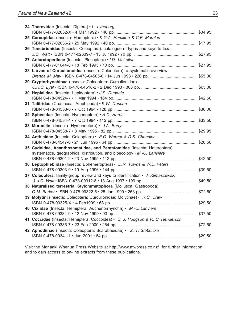| 24 Therevidae (Insecta: Diptera) • L. Lyneborg                                  |         |
|---------------------------------------------------------------------------------|---------|
|                                                                                 |         |
| 25 Cercopidae (Insecta: Homoptera) • K.G.A. Hamilton & C.F. Morales             |         |
|                                                                                 |         |
| 26 Tenebrionidae (Insecta: Coleoptera): catalogue of types and keys to taxa     |         |
|                                                                                 | \$27.95 |
| 27 Antarctoperlinae (Insecta: Plecoptera) · I.D. McLellan                       |         |
|                                                                                 |         |
| 28 Larvae of Curculionoidea (Insecta: Coleoptera): a systematic overview        |         |
|                                                                                 |         |
| 29 Cryptorhynchinae (Insecta: Coleoptera: Curculionidae)                        |         |
|                                                                                 | \$65.00 |
| 30 Hepialidae (Insecta: Lepidoptera) · J.S. Dugdale                             |         |
|                                                                                 |         |
| 31 Talitridae (Crustacea: Amphipoda) · K.W. Duncan                              |         |
|                                                                                 |         |
| 32 Sphecidae (Insecta: Hymenoptera) · A.C. Harris                               |         |
|                                                                                 |         |
| 33 Moranilini (Insecta: Hymenoptera) · J.A. Berry                               |         |
|                                                                                 |         |
| 34 Anthicidae (Insecta: Coleoptera) · F.G. Werner & D.S. Chandler               |         |
|                                                                                 |         |
| 35 Cydnidae, Acanthosomatidae, and Pentatomidae (Insecta: Heteroptera):         |         |
| systematics, geographical distribution, and bioecology • M.-C. Larivière        |         |
|                                                                                 | \$42.50 |
| 36 Leptophlebiidae (Insecta: Ephemeroptera) · D.R. Towns & W.L. Peters          |         |
|                                                                                 |         |
| 37 Coleoptera: family-group review and keys to identification • J. Klimaszewski |         |
|                                                                                 | \$49.50 |
| 38 Naturalised terrestrial Stylommatophora (Mollusca: Gastropoda)               |         |
|                                                                                 | \$72.50 |
| 39 Molytini (Insecta: Coleoptera: Curculionidae: Molytinae) • R.C. Craw         |         |
|                                                                                 | \$29.50 |
| 40 Cixiidae (Insecta: Hemiptera: Auchenorrhyncha) • M.-CLarivière               |         |
|                                                                                 |         |
| 41 Coccidae (Insecta: Hemiptera: Coccoidea) · C. J. Hodgson & R. C. Henderson   |         |
|                                                                                 |         |
| 42 Aphodiinae (Insecta: Coleoptera: Scarabaeidae) · Z. T. Stebnicka             |         |
|                                                                                 |         |
|                                                                                 |         |

Visit the Manaaki Whenua Press Website at http://www.mwpress.co.nz/ for further information, and to gain access to on-line extracts from these publications.